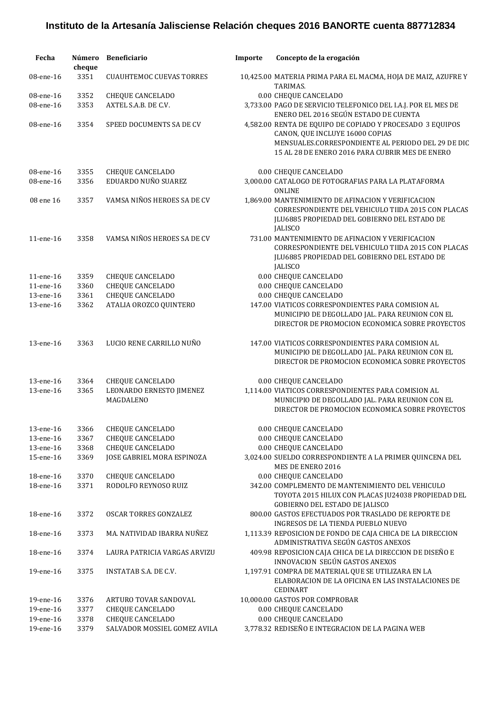| Fecha     | cheque | Número Beneficiario                   | Importe | Concepto de la erogación                                                                                                                                                                              |
|-----------|--------|---------------------------------------|---------|-------------------------------------------------------------------------------------------------------------------------------------------------------------------------------------------------------|
| 08-ene-16 | 3351   | <b>CUAUHTEMOC CUEVAS TORRES</b>       |         | 10,425.00 MATERIA PRIMA PARA EL MACMA, HOJA DE MAIZ, AZUFRE Y<br>TARIMAS.                                                                                                                             |
| 08-ene-16 | 3352   | <b>CHEQUE CANCELADO</b>               |         | 0.00 CHEQUE CANCELADO                                                                                                                                                                                 |
| 08-ene-16 | 3353   | AXTEL S.A.B. DE C.V.                  |         | 3,733.00 PAGO DE SERVICIO TELEFONICO DEL I.A.J. POR EL MES DE<br>ENERO DEL 2016 SEGÚN ESTADO DE CUENTA                                                                                                |
| 08-ene-16 | 3354   | SPEED DOCUMENTS SA DE CV              |         | 4,582.00 RENTA DE EQUIPO DE COPIADO Y PROCESADO 3 EQUIPOS<br>CANON, QUE INCLUYE 16000 COPIAS<br>MENSUALES.CORRESPONDIENTE AL PERIODO DEL 29 DE DIC<br>15 AL 28 DE ENERO 2016 PARA CUBRIR MES DE ENERO |
| 08-ene-16 | 3355   | CHEQUE CANCELADO                      |         | 0.00 CHEQUE CANCELADO                                                                                                                                                                                 |
| 08-ene-16 | 3356   | EDUARDO NUÑO SUAREZ                   |         | 3,000.00 CATALOGO DE FOTOGRAFIAS PARA LA PLATAFORMA<br><b>ONLINE</b>                                                                                                                                  |
| 08 ene 16 | 3357   | VAMSA NIÑOS HEROES SA DE CV           |         | 1,869.00 MANTENIMIENTO DE AFINACION Y VERIFICACION<br>CORRESPONDIENTE DEL VEHICULO TIIDA 2015 CON PLACAS<br>JLU6885 PROPIEDAD DEL GOBIERNO DEL ESTADO DE<br><b>JALISCO</b>                            |
| 11-ene-16 | 3358   | VAMSA NIÑOS HEROES SA DE CV           |         | 731.00 MANTENIMIENTO DE AFINACION Y VERIFICACION<br>CORRESPONDIENTE DEL VEHICULO TIIDA 2015 CON PLACAS<br>JLU6885 PROPIEDAD DEL GOBIERNO DEL ESTADO DE<br><b>JALISCO</b>                              |
| 11-ene-16 | 3359   | CHEQUE CANCELADO                      |         | 0.00 CHEQUE CANCELADO                                                                                                                                                                                 |
| 11-ene-16 | 3360   | <b>CHEQUE CANCELADO</b>               |         | 0.00 CHEQUE CANCELADO                                                                                                                                                                                 |
| 13-ene-16 | 3361   | <b>CHEQUE CANCELADO</b>               |         | 0.00 CHEQUE CANCELADO                                                                                                                                                                                 |
| 13-ene-16 | 3362   | ATALIA OROZCO QUINTERO                |         | 147.00 VIATICOS CORRESPONDIENTES PARA COMISION AL<br>MUNICIPIO DE DEGOLLADO JAL. PARA REUNION CON EL<br>DIRECTOR DE PROMOCION ECONOMICA SOBRE PROYECTOS                                               |
| 13-ene-16 | 3363   | LUCIO RENE CARRILLO NUÑO              |         | 147.00 VIATICOS CORRESPONDIENTES PARA COMISION AL<br>MUNICIPIO DE DEGOLLADO JAL. PARA REUNION CON EL<br>DIRECTOR DE PROMOCION ECONOMICA SOBRE PROYECTOS                                               |
| 13-ene-16 | 3364   | <b>CHEQUE CANCELADO</b>               |         | 0.00 CHEQUE CANCELADO                                                                                                                                                                                 |
| 13-ene-16 | 3365   | LEONARDO ERNESTO JIMENEZ<br>MAGDALENO |         | 1,114.00 VIATICOS CORRESPONDIENTES PARA COMISION AL<br>MUNICIPIO DE DEGOLLADO JAL. PARA REUNION CON EL<br>DIRECTOR DE PROMOCION ECONOMICA SOBRE PROYECTOS                                             |
| 13-ene-16 |        | 3366 CHEQUE CANCELADO                 |         | 0.00 CHEQUE CANCELADO                                                                                                                                                                                 |
| 13-ene-16 | 3367   | CHEQUE CANCELADO                      |         | 0.00 CHEQUE CANCELADO                                                                                                                                                                                 |
| 13-ene-16 | 3368   | CHEQUE CANCELADO                      |         | 0.00 CHEQUE CANCELADO                                                                                                                                                                                 |
| 15-ene-16 | 3369   | JOSE GABRIEL MORA ESPINOZA            |         | 3,024.00 SUELDO CORRESPONDIENTE A LA PRIMER QUINCENA DEL<br>MES DE ENERO 2016                                                                                                                         |
| 18-ene-16 | 3370   | <b>CHEQUE CANCELADO</b>               |         | 0.00 CHEQUE CANCELADO                                                                                                                                                                                 |
| 18-ene-16 | 3371   | RODOLFO REYNOSO RUIZ                  |         | 342.00 COMPLEMENTO DE MANTENIMIENTO DEL VEHICULO<br>TOYOTA 2015 HILUX CON PLACAS JU24038 PROPIEDAD DEL<br><b>GOBIERNO DEL ESTADO DE JALISCO</b>                                                       |
| 18-ene-16 | 3372   | OSCAR TORRES GONZALEZ                 |         | 800.00 GASTOS EFECTUADOS POR TRASLADO DE REPORTE DE<br><b>INGRESOS DE LA TIENDA PUEBLO NUEVO</b>                                                                                                      |
| 18-ene-16 | 3373   | MA. NATIVIDAD IBARRA NUÑEZ            |         | 1,113.39 REPOSICION DE FONDO DE CAJA CHICA DE LA DIRECCION<br>ADMINISTRATIVA SEGÚN GASTOS ANEXOS                                                                                                      |
| 18-ene-16 | 3374   | LAURA PATRICIA VARGAS ARVIZU          |         | 409.98 REPOSICION CAJA CHICA DE LA DIRECCION DE DISEÑO E<br>INNOVACION SEGÚN GASTOS ANEXOS                                                                                                            |
| 19-ene-16 | 3375   | <b>INSTATAB S.A. DE C.V.</b>          |         | 1,197.91 COMPRA DE MATERIAL QUE SE UTILIZARA EN LA<br>ELABORACION DE LA OFICINA EN LAS INSTALACIONES DE<br><b>CEDINART</b>                                                                            |
| 19-ene-16 | 3376   | ARTURO TOVAR SANDOVAL                 |         | 10,000.00 GASTOS POR COMPROBAR                                                                                                                                                                        |
| 19-ene-16 | 3377   | <b>CHEQUE CANCELADO</b>               |         | 0.00 CHEQUE CANCELADO                                                                                                                                                                                 |
| 19-ene-16 | 3378   | <b>CHEQUE CANCELADO</b>               |         | 0.00 CHEQUE CANCELADO                                                                                                                                                                                 |
| 19-ene-16 | 3379   | SALVADOR MOSSIEL GOMEZ AVILA          |         | 3,778.32 REDISEÑO E INTEGRACION DE LA PAGINA WEB                                                                                                                                                      |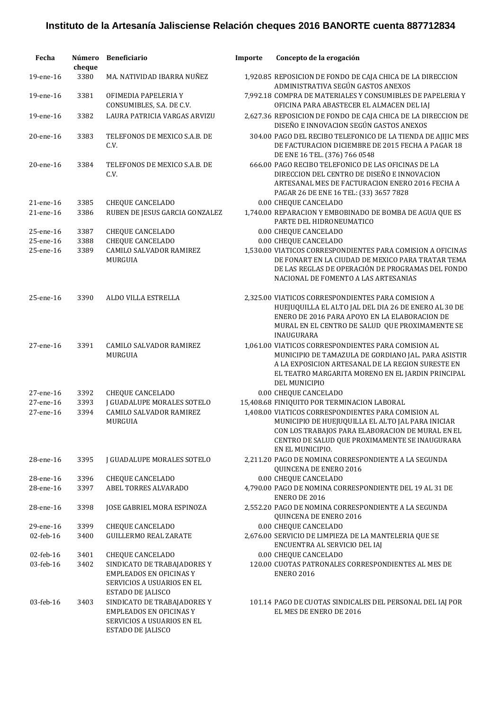| Fecha                  | Número<br>cheque | Beneficiario                                                                                                     | Importe | Concepto de la erogación                                                                                                                                                                                                              |
|------------------------|------------------|------------------------------------------------------------------------------------------------------------------|---------|---------------------------------------------------------------------------------------------------------------------------------------------------------------------------------------------------------------------------------------|
| 19-ene-16              | 3380             | MA. NATIVIDAD IBARRA NUÑEZ                                                                                       |         | 1,920.85 REPOSICION DE FONDO DE CAJA CHICA DE LA DIRECCION<br>ADMINISTRATIVA SEGÚN GASTOS ANEXOS                                                                                                                                      |
| 19-ene-16              | 3381             | OFIMEDIA PAPELERIA Y<br>CONSUMIBLES, S.A. DE C.V.                                                                |         | 7,992.18 COMPRA DE MATERIALES Y CONSUMIBLES DE PAPELERIA Y<br>OFICINA PARA ABASTECER EL ALMACEN DEL IAJ                                                                                                                               |
| 19-ene-16              | 3382             | LAURA PATRICIA VARGAS ARVIZU                                                                                     |         | 2,627.36 REPOSICION DE FONDO DE CAJA CHICA DE LA DIRECCION DE<br>DISEÑO E INNOVACION SEGÚN GASTOS ANEXOS                                                                                                                              |
| 20-ene-16              | 3383             | TELEFONOS DE MEXICO S.A.B. DE<br>C.V.                                                                            |         | 304.00 PAGO DEL RECIBO TELEFONICO DE LA TIENDA DE AJIJIC MES<br>DE FACTURACION DICIEMBRE DE 2015 FECHA A PAGAR 18<br>DE ENE 16 TEL. (376) 766 0548                                                                                    |
| 20-ene-16              | 3384             | TELEFONOS DE MEXICO S.A.B. DE<br>C.V.                                                                            |         | 666.00 PAGO RECIBO TELEFONICO DE LAS OFICINAS DE LA<br>DIRECCION DEL CENTRO DE DISEÑO E INNOVACION<br>ARTESANAL MES DE FACTURACION ENERO 2016 FECHA A<br>PAGAR 26 DE ENE 16 TEL: (33) 3657 7828                                       |
| 21-ene-16              | 3385             | <b>CHEQUE CANCELADO</b>                                                                                          |         | 0.00 CHEQUE CANCELADO                                                                                                                                                                                                                 |
| 21-ene-16              | 3386             | RUBEN DE JESUS GARCIA GONZALEZ                                                                                   |         | 1,740.00 REPARACION Y EMBOBINADO DE BOMBA DE AGUA QUE ES<br>PARTE DEL HIDRONEUMATICO                                                                                                                                                  |
| 25-ene-16<br>25-ene-16 | 3387<br>3388     | <b>CHEQUE CANCELADO</b><br><b>CHEQUE CANCELADO</b>                                                               |         | 0.00 CHEQUE CANCELADO<br>0.00 CHEQUE CANCELADO                                                                                                                                                                                        |
| 25-ene-16              | 3389             | CAMILO SALVADOR RAMIREZ<br>MURGUIA                                                                               |         | 1,530.00 VIATICOS CORRESPONDIENTES PARA COMISION A OFICINAS<br>DE FONART EN LA CIUDAD DE MEXICO PARA TRATAR TEMA<br>DE LAS REGLAS DE OPERACIÓN DE PROGRAMAS DEL FONDO<br>NACIONAL DE FOMENTO A LAS ARTESANIAS                         |
| 25-ene-16              | 3390             | ALDO VILLA ESTRELLA                                                                                              |         | 2,325.00 VIATICOS CORRESPONDIENTES PARA COMISION A<br>HUEJUQUILLA EL ALTO JAL DEL DIA 26 DE ENERO AL 30 DE<br>ENERO DE 2016 PARA APOYO EN LA ELABORACION DE<br>MURAL EN EL CENTRO DE SALUD QUE PROXIMAMENTE SE<br><b>INAUGURARA</b>   |
| 27-ene-16              | 3391             | CAMILO SALVADOR RAMIREZ<br>MURGUIA                                                                               |         | 1,061.00 VIATICOS CORRESPONDIENTES PARA COMISION AL<br>MUNICIPIO DE TAMAZULA DE GORDIANO JAL. PARA ASISTIR<br>A LA EXPOSICION ARTESANAL DE LA REGION SURESTE EN<br>EL TEATRO MARGARITA MORENO EN EL JARDIN PRINCIPAL<br>DEL MUNICIPIO |
| 27-ene-16              | 3392             | <b>CHEQUE CANCELADO</b>                                                                                          |         | 0.00 CHEQUE CANCELADO                                                                                                                                                                                                                 |
| 27-ene-16              | 3393             | <b>J GUADALUPE MORALES SOTELO</b>                                                                                |         | 15,408.68 FINIQUITO POR TERMINACION LABORAL                                                                                                                                                                                           |
| 27-ene-16              | 3394             | CAMILO SALVADOR RAMIREZ<br>MURGUIA                                                                               |         | 1,408.00 VIATICOS CORRESPONDIENTES PARA COMISION AL<br>MUNICIPIO DE HUEJUQUILLA EL ALTO JAL PARA INICIAR<br>CON LOS TRABAJOS PARA ELABORACION DE MURAL EN EL<br>CENTRO DE SALUD QUE PROXIMAMENTE SE INAUGURARA<br>EN EL MUNICIPIO.    |
| 28-ene-16              | 3395             | J GUADALUPE MORALES SOTELO                                                                                       |         | 2,211.20 PAGO DE NOMINA CORRESPONDIENTE A LA SEGUNDA<br>QUINCENA DE ENERO 2016                                                                                                                                                        |
| 28-ene-16              | 3396             | <b>CHEQUE CANCELADO</b>                                                                                          |         | 0.00 CHEQUE CANCELADO                                                                                                                                                                                                                 |
| 28-ene-16              | 3397             | ABEL TORRES ALVARADO                                                                                             |         | 4,790.00 PAGO DE NOMINA CORRESPONDIENTE DEL 19 AL 31 DE<br><b>ENERO DE 2016</b>                                                                                                                                                       |
| 28-ene-16              | 3398             | JOSE GABRIEL MORA ESPINOZA                                                                                       |         | 2,552.20 PAGO DE NOMINA CORRESPONDIENTE A LA SEGUNDA<br>QUINCENA DE ENERO 2016                                                                                                                                                        |
| 29-ene-16              | 3399             | CHEQUE CANCELADO                                                                                                 |         | 0.00 CHEQUE CANCELADO                                                                                                                                                                                                                 |
| 02-feb-16              | 3400             | <b>GUILLERMO REAL ZARATE</b>                                                                                     |         | 2,676.00 SERVICIO DE LIMPIEZA DE LA MANTELERIA QUE SE<br>ENCUENTRA AL SERVICIO DEL IAJ                                                                                                                                                |
| 02-feb-16              | 3401             | <b>CHEQUE CANCELADO</b>                                                                                          |         | 0.00 CHEQUE CANCELADO                                                                                                                                                                                                                 |
| 03-feb-16              | 3402             | SINDICATO DE TRABAJADORES Y<br><b>EMPLEADOS EN OFICINAS Y</b><br>SERVICIOS A USUARIOS EN EL<br>ESTADO DE JALISCO |         | 120.00 CUOTAS PATRONALES CORRESPONDIENTES AL MES DE<br><b>ENERO 2016</b>                                                                                                                                                              |
| 03-feb-16              | 3403             | SINDICATO DE TRABAJADORES Y<br><b>EMPLEADOS EN OFICINAS Y</b><br>SERVICIOS A USUARIOS EN EL<br>ESTADO DE JALISCO |         | 101.14 PAGO DE CUOTAS SINDICALES DEL PERSONAL DEL IAJ POR<br>EL MES DE ENERO DE 2016                                                                                                                                                  |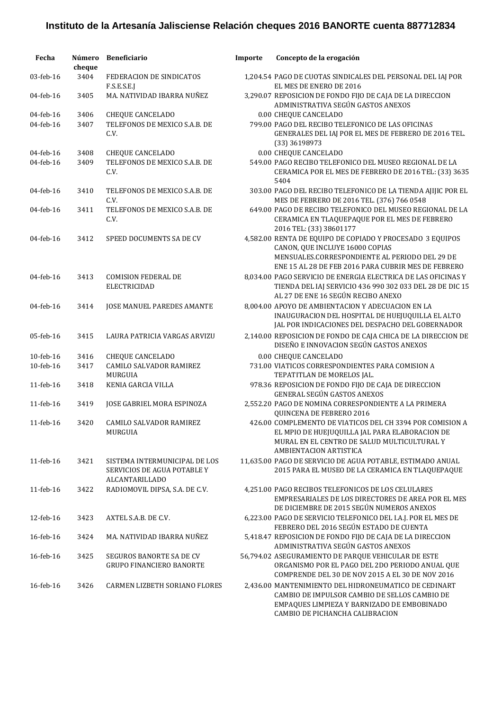| Fecha        | Número<br>cheque | <b>Beneficiario</b>                                                            | Importe | Concepto de la erogación                                                                                                                                                                              |
|--------------|------------------|--------------------------------------------------------------------------------|---------|-------------------------------------------------------------------------------------------------------------------------------------------------------------------------------------------------------|
| 03-feb-16    | 3404             | FEDERACION DE SINDICATOS<br>F.S.E.S.E.J                                        |         | 1,204.54 PAGO DE CUOTAS SINDICALES DEL PERSONAL DEL IAJ POR<br>EL MES DE ENERO DE 2016                                                                                                                |
| 04-feb-16    | 3405             | MA. NATIVIDAD IBARRA NUÑEZ                                                     |         | 3,290.07 REPOSICION DE FONDO FIJO DE CAJA DE LA DIRECCION<br>ADMINISTRATIVA SEGÚN GASTOS ANEXOS                                                                                                       |
| 04-feb-16    | 3406             | CHEQUE CANCELADO                                                               |         | 0.00 CHEQUE CANCELADO                                                                                                                                                                                 |
| 04-feb-16    | 3407             | TELEFONOS DE MEXICO S.A.B. DE<br>C.V.                                          |         | 799.00 PAGO DEL RECIBO TELEFONICO DE LAS OFICINAS<br>GENERALES DEL IAJ POR EL MES DE FEBRERO DE 2016 TEL.<br>(33) 36198973                                                                            |
| 04-feb-16    | 3408             | <b>CHEQUE CANCELADO</b>                                                        |         | 0.00 CHEQUE CANCELADO                                                                                                                                                                                 |
| 04-feb-16    | 3409             | TELEFONOS DE MEXICO S.A.B. DE<br>C.V.                                          |         | 549.00 PAGO RECIBO TELEFONICO DEL MUSEO REGIONAL DE LA<br>CERAMICA POR EL MES DE FEBRERO DE 2016 TEL: (33) 3635<br>5404                                                                               |
| 04-feb-16    | 3410             | TELEFONOS DE MEXICO S.A.B. DE<br>C.V.                                          |         | 303.00 PAGO DEL RECIBO TELEFONICO DE LA TIENDA AJIJIC POR EL<br>MES DE FEBRERO DE 2016 TEL. (376) 766 0548                                                                                            |
| 04-feb-16    | 3411             | TELEFONOS DE MEXICO S.A.B. DE<br>C.V.                                          |         | 649.00 PAGO DE RECIBO TELEFONICO DEL MUSEO REGIONAL DE LA<br>CERAMICA EN TLAQUEPAQUE POR EL MES DE FEBRERO<br>2016 TEL: (33) 38601177                                                                 |
| $04$ -feb-16 | 3412             | SPEED DOCUMENTS SA DE CV                                                       |         | 4,582.00 RENTA DE EQUIPO DE COPIADO Y PROCESADO 3 EQUIPOS<br>CANON, QUE INCLUYE 16000 COPIAS<br>MENSUALES.CORRESPONDIENTE AL PERIODO DEL 29 DE<br>ENE 15 AL 28 DE FEB 2016 PARA CUBRIR MES DE FEBRERO |
| 04-feb-16    | 3413             | <b>COMISION FEDERAL DE</b><br><b>ELECTRICIDAD</b>                              |         | 8,034.00 PAGO SERVICIO DE ENERGIA ELECTRICA DE LAS OFICINAS Y<br>TIENDA DEL IAJ SERVICIO 436 990 302 033 DEL 28 DE DIC 15<br>AL 27 DE ENE 16 SEGÚN RECIBO ANEXO                                       |
| 04-feb-16    | 3414             | <b>JOSE MANUEL PAREDES AMANTE</b>                                              |         | 8,004.00 APOYO DE AMBIENTACION Y ADECUACION EN LA<br>INAUGURACION DEL HOSPITAL DE HUEJUQUILLA EL ALTO<br>JAL POR INDICACIONES DEL DESPACHO DEL GOBERNADOR                                             |
| 05-feb-16    | 3415             | LAURA PATRICIA VARGAS ARVIZU                                                   |         | 2,140.00 REPOSICION DE FONDO DE CAJA CHICA DE LA DIRECCION DE<br>DISEÑO E INNOVACION SEGÚN GASTOS ANEXOS                                                                                              |
| 10-feb-16    | 3416             | <b>CHEQUE CANCELADO</b>                                                        |         | 0.00 CHEQUE CANCELADO                                                                                                                                                                                 |
| 10-feb-16    | 3417             | CAMILO SALVADOR RAMIREZ<br><b>MURGUIA</b>                                      |         | 731.00 VIATICOS CORRESPONDIENTES PARA COMISION A<br>TEPATITLAN DE MORELOS JAL.                                                                                                                        |
| 11-feb-16    | 3418             | KENIA GARCIA VILLA                                                             |         | 978.36 REPOSICION DE FONDO FIJO DE CAJA DE DIRECCION<br>GENERAL SEGÚN GASTOS ANEXOS                                                                                                                   |
| 11-feb-16    | 3419             | JOSE GABRIEL MORA ESPINOZA                                                     |         | 2,552.20 PAGO DE NOMINA CORRESPONDIENTE A LA PRIMERA<br>QUINCENA DE FEBRERO 2016                                                                                                                      |
| 11-feb-16    | 3420             | CAMILO SALVADOR RAMIREZ<br>MURGUIA                                             |         | 426.00 COMPLEMENTO DE VIATICOS DEL CH 3394 POR COMISION A<br>EL MPIO DE HUEJUQUILLA JAL PARA ELABORACION DE<br>MURAL EN EL CENTRO DE SALUD MULTICULTURAL Y<br>AMBIENTACION ARTISTICA                  |
| 11-feb-16    | 3421             | SISTEMA INTERMUNICIPAL DE LOS<br>SERVICIOS DE AGUA POTABLE Y<br>ALCANTARILLADO |         | 11,635.00 PAGO DE SERVICIO DE AGUA POTABLE, ESTIMADO ANUAL<br>2015 PARA EL MUSEO DE LA CERAMICA EN TLAQUEPAQUE                                                                                        |
| 11-feb-16    | 3422             | RADIOMOVIL DIPSA, S.A. DE C.V.                                                 |         | 4,251.00 PAGO RECIBOS TELEFONICOS DE LOS CELULARES<br>EMPRESARIALES DE LOS DIRECTORES DE AREA POR EL MES<br>DE DICIEMBRE DE 2015 SEGÚN NUMEROS ANEXOS                                                 |
| 12-feb-16    | 3423             | AXTEL S.A.B. DE C.V.                                                           |         | 6,223.00 PAGO DE SERVICIO TELEFONICO DEL I.A.J. POR EL MES DE<br>FEBRERO DEL 2016 SEGÚN ESTADO DE CUENTA                                                                                              |
| 16-feb-16    | 3424             | MA. NATIVIDAD IBARRA NUÑEZ                                                     |         | 5,418.47 REPOSICION DE FONDO FIJO DE CAJA DE LA DIRECCION<br>ADMINISTRATIVA SEGÚN GASTOS ANEXOS                                                                                                       |
| 16-feb-16    | 3425             | <b>SEGUROS BANORTE SA DE CV</b><br><b>GRUPO FINANCIERO BANORTE</b>             |         | 56,794.02 ASEGURAMIENTO DE PARQUE VEHICULAR DE ESTE<br>ORGANISMO POR EL PAGO DEL 2DO PERIODO ANUAL QUE<br>COMPRENDE DEL 30 DE NOV 2015 A EL 30 DE NOV 2016                                            |
| 16-feb-16    | 3426             | <b>CARMEN LIZBETH SORIANO FLORES</b>                                           |         | 2,436.00 MANTENIMIENTO DEL HIDRONEUMATICO DE CEDINART<br>CAMBIO DE IMPULSOR CAMBIO DE SELLOS CAMBIO DE<br>EMPAQUES LIMPIEZA Y BARNIZADO DE EMBOBINADO<br>CAMBIO DE PICHANCHA CALIBRACION              |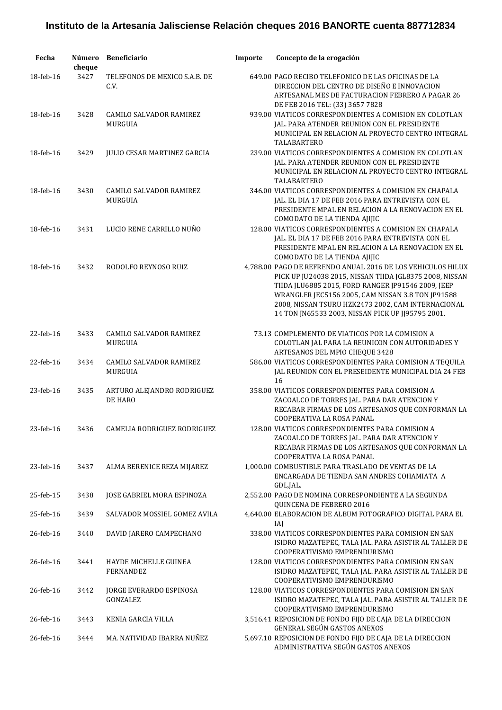| Fecha     | cheque | Número Beneficiario                       | Importe | Concepto de la erogación                                                                                                                                                                                                                                                                                                                     |
|-----------|--------|-------------------------------------------|---------|----------------------------------------------------------------------------------------------------------------------------------------------------------------------------------------------------------------------------------------------------------------------------------------------------------------------------------------------|
| 18-feb-16 | 3427   | TELEFONOS DE MEXICO S.A.B. DE<br>C.V.     |         | 649.00 PAGO RECIBO TELEFONICO DE LAS OFICINAS DE LA<br>DIRECCION DEL CENTRO DE DISEÑO E INNOVACION<br>ARTESANAL MES DE FACTURACION FEBRERO A PAGAR 26<br>DE FEB 2016 TEL: (33) 3657 7828                                                                                                                                                     |
| 18-feb-16 | 3428   | CAMILO SALVADOR RAMIREZ<br>MURGUIA        |         | 939.00 VIATICOS CORRESPONDIENTES A COMISION EN COLOTLAN<br>JAL. PARA ATENDER REUNION CON EL PRESIDENTE<br>MUNICIPAL EN RELACION AL PROYECTO CENTRO INTEGRAL<br>TALABARTERO                                                                                                                                                                   |
| 18-feb-16 | 3429   | <b>JULIO CESAR MARTINEZ GARCIA</b>        |         | 239.00 VIATICOS CORRESPONDIENTES A COMISION EN COLOTLAN<br>JAL. PARA ATENDER REUNION CON EL PRESIDENTE<br>MUNICIPAL EN RELACION AL PROYECTO CENTRO INTEGRAL<br>TALABARTERO                                                                                                                                                                   |
| 18-feb-16 | 3430   | CAMILO SALVADOR RAMIREZ<br>MURGUIA        |         | 346.00 VIATICOS CORRESPONDIENTES A COMISION EN CHAPALA<br>JAL. EL DIA 17 DE FEB 2016 PARA ENTREVISTA CON EL<br>PRESIDENTE MPAL EN RELACION A LA RENOVACION EN EL<br>COMODATO DE LA TIENDA AJIJIC                                                                                                                                             |
| 18-feb-16 | 3431   | LUCIO RENE CARRILLO NUÑO                  |         | 128.00 VIATICOS CORRESPONDIENTES A COMISION EN CHAPALA<br>JAL. EL DIA 17 DE FEB 2016 PARA ENTREVISTA CON EL<br>PRESIDENTE MPAL EN RELACION A LA RENOVACION EN EL<br>COMODATO DE LA TIENDA AJIJIC                                                                                                                                             |
| 18-feb-16 | 3432   | RODOLFO REYNOSO RUIZ                      |         | 4,788.00 PAGO DE REFRENDO ANUAL 2016 DE LOS VEHICULOS HILUX<br>PICK UP JU24038 2015, NISSAN TIIDA JGL8375 2008, NISSAN<br>TIIDA JLU6885 2015, FORD RANGER JP91546 2009, JEEP<br>WRANGLER JEC5156 2005, CAM NISSAN 3.8 TON JP91588<br>2008, NISSAN TSURU HZK2473 2002, CAM INTERNACIONAL<br>14 TON JN65533 2003, NISSAN PICK UP JJ95795 2001. |
| 22-feb-16 | 3433   | CAMILO SALVADOR RAMIREZ<br>MURGUIA        |         | 73.13 COMPLEMENTO DE VIATICOS POR LA COMISION A<br>COLOTLAN JAL PARA LA REUNICON CON AUTORIDADES Y<br>ARTESANOS DEL MPIO CHEQUE 3428                                                                                                                                                                                                         |
| 22-feb-16 | 3434   | CAMILO SALVADOR RAMIREZ<br><b>MURGUIA</b> |         | 586.00 VIATICOS CORRESPONDIENTES PARA COMISION A TEQUILA<br>JAL REUNION CON EL PRESEIDENTE MUNICIPAL DIA 24 FEB<br>16                                                                                                                                                                                                                        |
| 23-feb-16 | 3435   | ARTURO ALEJANDRO RODRIGUEZ<br>DE HARO     |         | 358.00 VIATICOS CORRESPONDIENTES PARA COMISION A<br>ZACOALCO DE TORRES JAL. PARA DAR ATENCION Y<br>RECABAR FIRMAS DE LOS ARTESANOS QUE CONFORMAN LA<br>COOPERATIVA LA ROSA PANAL                                                                                                                                                             |
| 23-feb-16 |        | 3436 CAMELIA RODRIGUEZ RODRIGUEZ          |         | 128.00 VIATICOS CORRESPONDIENTES PARA COMISION A<br>ZACOALCO DE TORRES JAL. PARA DAR ATENCION Y<br>RECABAR FIRMAS DE LOS ARTESANOS QUE CONFORMAN LA<br>COOPERATIVA LA ROSA PANAL                                                                                                                                                             |
| 23-feb-16 | 3437   | ALMA BERENICE REZA MIJAREZ                |         | 1,000.00 COMBUSTIBLE PARA TRASLADO DE VENTAS DE LA<br>ENCARGADA DE TIENDA SAN ANDRES COHAMIATA A<br>GDL,JAL.                                                                                                                                                                                                                                 |
| 25-feb-15 | 3438   | JOSE GABRIEL MORA ESPINOZA                |         | 2,552.00 PAGO DE NOMINA CORRESPONDIENTE A LA SEGUNDA<br>QUINCENA DE FEBRERO 2016                                                                                                                                                                                                                                                             |
| 25-feb-16 | 3439   | SALVADOR MOSSIEL GOMEZ AVILA              |         | 4,640.00 ELABORACION DE ALBUM FOTOGRAFICO DIGITAL PARA EL<br>IAI                                                                                                                                                                                                                                                                             |
| 26-feb-16 | 3440   | DAVID JARERO CAMPECHANO                   |         | 338.00 VIATICOS CORRESPONDIENTES PARA COMISION EN SAN<br>ISIDRO MAZATEPEC, TALA JAL. PARA ASISTIR AL TALLER DE<br>COOPERATIVISMO EMPRENDURISMO                                                                                                                                                                                               |
| 26-feb-16 | 3441   | HAYDE MICHELLE GUINEA<br><b>FERNANDEZ</b> |         | 128.00 VIATICOS CORRESPONDIENTES PARA COMISION EN SAN<br>ISIDRO MAZATEPEC, TALA JAL. PARA ASISTIR AL TALLER DE<br>COOPERATIVISMO EMPRENDURISMO                                                                                                                                                                                               |
| 26-feb-16 | 3442   | JORGE EVERARDO ESPINOSA<br>GONZALEZ       |         | 128.00 VIATICOS CORRESPONDIENTES PARA COMISION EN SAN<br>ISIDRO MAZATEPEC, TALA JAL. PARA ASISTIR AL TALLER DE<br>COOPERATIVISMO EMPRENDURISMO                                                                                                                                                                                               |
| 26-feb-16 | 3443   | KENIA GARCIA VILLA                        |         | 3,516.41 REPOSICION DE FONDO FIJO DE CAJA DE LA DIRECCION<br>GENERAL SEGÚN GASTOS ANEXOS                                                                                                                                                                                                                                                     |
| 26-feb-16 | 3444   | MA. NATIVIDAD IBARRA NUÑEZ                |         | 5,697.10 REPOSICION DE FONDO FIJO DE CAJA DE LA DIRECCION<br>ADMINISTRATIVA SEGÚN GASTOS ANEXOS                                                                                                                                                                                                                                              |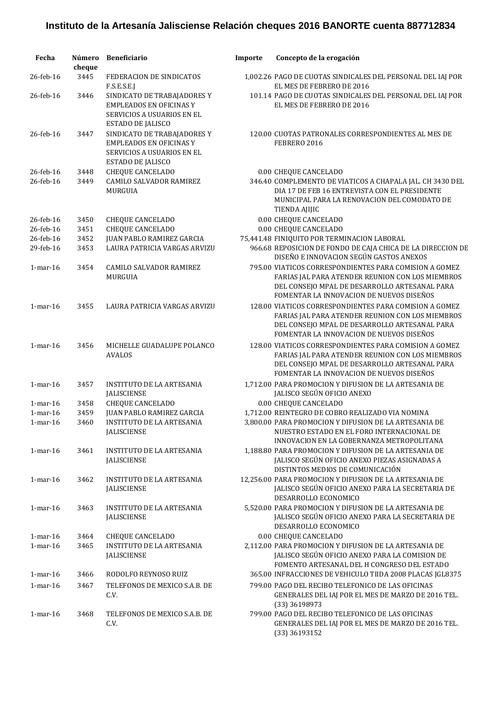| Fecha          | Número<br>cheque | <b>Beneficiario</b>                                                                                              | Importe | Concepto de la erogación                                                                                                                                                                                |
|----------------|------------------|------------------------------------------------------------------------------------------------------------------|---------|---------------------------------------------------------------------------------------------------------------------------------------------------------------------------------------------------------|
| 26-feb-16      | 3445             | FEDERACION DE SINDICATOS<br>F.S.E.S.E.J                                                                          |         | 1,002.26 PAGO DE CUOTAS SINDICALES DEL PERSONAL DEL IAJ POR<br>EL MES DE FEBRERO DE 2016                                                                                                                |
| 26-feb-16      | 3446             | SINDICATO DE TRABAJADORES Y<br><b>EMPLEADOS EN OFICINAS Y</b><br>SERVICIOS A USUARIOS EN EL<br>ESTADO DE JALISCO |         | 101.14 PAGO DE CUOTAS SINDICALES DEL PERSONAL DEL IAJ POR<br>EL MES DE FEBRERO DE 2016                                                                                                                  |
| 26-feb-16      | 3447             | SINDICATO DE TRABAJADORES Y<br><b>EMPLEADOS EN OFICINAS Y</b><br>SERVICIOS A USUARIOS EN EL<br>ESTADO DE JALISCO |         | 120.00 CUOTAS PATRONALES CORRESPONDIENTES AL MES DE<br>FEBRERO 2016                                                                                                                                     |
| 26-feb-16      | 3448             | <b>CHEQUE CANCELADO</b>                                                                                          |         | 0.00 CHEQUE CANCELADO                                                                                                                                                                                   |
| 26-feb-16      | 3449             | CAMILO SALVADOR RAMIREZ<br>MURGUIA                                                                               |         | 346.40 COMPLEMENTO DE VIATICOS A CHAPALA JAL. CH 3430 DEL<br>DIA 17 DE FEB 16 ENTREVISTA CON EL PRESIDENTE<br>MUNICIPAL PARA LA RENOVACION DEL COMODATO DE<br>TIENDA AJIJIC                             |
| 26-feb-16      | 3450             | CHEQUE CANCELADO                                                                                                 |         | 0.00 CHEQUE CANCELADO                                                                                                                                                                                   |
| 26-feb-16      | 3451             | <b>CHEQUE CANCELADO</b>                                                                                          |         | 0.00 CHEQUE CANCELADO                                                                                                                                                                                   |
| 26-feb-16      | 3452             | <b>JUAN PABLO RAMIREZ GARCIA</b>                                                                                 |         | 75,441.48 FINIQUITO POR TERMINACION LABORAL                                                                                                                                                             |
| 29-feb-16      | 3453             | <b>LAURA PATRICIA VARGAS ARVIZU</b>                                                                              |         | 966.68 REPOSICION DE FONDO DE CAJA CHICA DE LA DIRECCION DE<br>DISEÑO E INNOVACION SEGÚN GASTOS ANEXOS                                                                                                  |
| $1$ -mar- $16$ | 3454             | <b>CAMILO SALVADOR RAMIREZ</b><br><b>MURGUIA</b>                                                                 |         | 795.00 VIATICOS CORRESPONDIENTES PARA COMISION A GOMEZ<br>FARIAS JAL PARA ATENDER REUNION CON LOS MIEMBROS<br>DEL CONSEJO MPAL DE DESARROLLO ARTESANAL PARA<br>FOMENTAR LA INNOVACION DE NUEVOS DISEÑOS |
| $1$ -mar- $16$ | 3455             | LAURA PATRICIA VARGAS ARVIZU                                                                                     |         | 128.00 VIATICOS CORRESPONDIENTES PARA COMISION A GOMEZ<br>FARIAS JAL PARA ATENDER REUNION CON LOS MIEMBROS<br>DEL CONSEJO MPAL DE DESARROLLO ARTESANAL PARA<br>FOMENTAR LA INNOVACION DE NUEVOS DISEÑOS |
| $1$ -mar- $16$ | 3456             | MICHELLE GUADALUPE POLANCO<br>AVALOS                                                                             |         | 128.00 VIATICOS CORRESPONDIENTES PARA COMISION A GOMEZ<br>FARIAS JAL PARA ATENDER REUNION CON LOS MIEMBROS<br>DEL CONSEJO MPAL DE DESARROLLO ARTESANAL PARA<br>FOMENTAR LA INNOVACION DE NUEVOS DISEÑOS |
| $1$ -mar- $16$ | 3457             | INSTITUTO DE LA ARTESANIA<br><b>JALISCIENSE</b>                                                                  |         | 1.712.00 PARA PROMOCION Y DIFUSION DE LA ARTESANIA DE<br>JALISCO SEGÚN OFICIO ANEXO                                                                                                                     |
| $1$ -mar- $16$ | 3458             | <b>CHEQUE CANCELADO</b>                                                                                          |         | 0.00 CHEQUE CANCELADO                                                                                                                                                                                   |
| $1$ -mar- $16$ | 3459             | JUAN PABLO RAMIREZ GARCIA                                                                                        |         | 1,712.00 REINTEGRO DE COBRO REALIZADO VIA NOMINA                                                                                                                                                        |
| $1$ -mar- $16$ | 3460             | <b>INSTITUTO DE LA ARTESANIA</b><br><b>JALISCIENSE</b>                                                           |         | 3,800.00 PARA PROMOCION Y DIFUSION DE LA ARTESANIA DE<br>NUESTRO ESTADO EN EL FORO INTERNACIONAL DE                                                                                                     |
|                |                  |                                                                                                                  |         | INNOVACION EN LA GOBERNANZA METROPOLITANA                                                                                                                                                               |
| $1$ -mar- $16$ | 3461             | <b>INSTITUTO DE LA ARTESANIA</b><br><b>JALISCIENSE</b>                                                           |         | 1,188.80 PARA PROMOCION Y DIFUSION DE LA ARTESANIA DE<br>JALISCO SEGÚN OFICIO ANEXO PIEZAS ASIGNADAS A<br>DISTINTOS MEDIOS DE COMUNICACIÓN                                                              |
| $1$ -mar-16    |                  | <b>INSTITUTO DE LA ARTESANIA</b>                                                                                 |         | 12,256.00 PARA PROMOCION Y DIFUSION DE LA ARTESANIA DE                                                                                                                                                  |
|                | 3462             | <b>JALISCIENSE</b>                                                                                               |         | JALISCO SEGÚN OFICIO ANEXO PARA LA SECRETARIA DE<br>DESARROLLO ECONOMICO                                                                                                                                |
| $1$ -mar- $16$ | 3463             | INSTITUTO DE LA ARTESANIA<br><b>JALISCIENSE</b>                                                                  |         | 5,520.00 PARA PROMOCION Y DIFUSION DE LA ARTESANIA DE<br>JALISCO SEGÚN OFICIO ANEXO PARA LA SECRETARIA DE<br>DESARROLLO ECONOMICO                                                                       |
| $1$ -mar- $16$ | 3464             | <b>CHEQUE CANCELADO</b>                                                                                          |         | 0.00 CHEQUE CANCELADO                                                                                                                                                                                   |
| $1$ -mar- $16$ | 3465             | <b>INSTITUTO DE LA ARTESANIA</b><br><b>JALISCIENSE</b>                                                           |         | 2,112.00 PARA PROMOCION Y DIFUSION DE LA ARTESANIA DE<br>JALISCO SEGÚN OFICIO ANEXO PARA LA COMISION DE<br>FOMENTO ARTESANAL DEL H CONGRESO DEL ESTADO                                                  |
| $1$ -mar- $16$ | 3466             | RODOLFO REYNOSO RUIZ                                                                                             |         | 365.00 INFRACCIONES DE VEHICULO TIIDA 2008 PLACAS JGL8375                                                                                                                                               |
| $1$ -mar-16    | 3467             | TELEFONOS DE MEXICO S.A.B. DE<br>C.V.                                                                            |         | 799.00 PAGO DEL RECIBO TELEFONICO DE LAS OFICINAS<br>GENERALES DEL IAJ POR EL MES DE MARZO DE 2016 TEL.<br>(33) 36198973                                                                                |
| $1$ -mar-16    | 3468             | TELEFONOS DE MEXICO S.A.B. DE<br>C.V.                                                                            |         | 799.00 PAGO DEL RECIBO TELEFONICO DE LAS OFICINAS<br>GENERALES DEL IAJ POR EL MES DE MARZO DE 2016 TEL.<br>(33) 36193152                                                                                |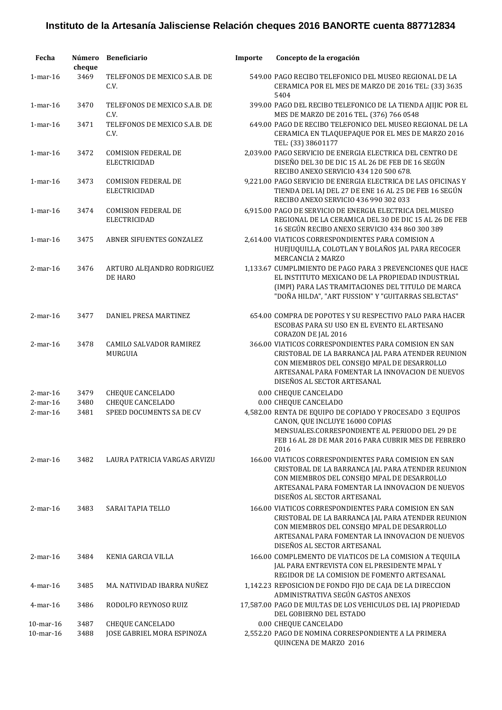| Fecha                      | cheque       | Número Beneficiario                                 | Importe | Concepto de la erogación                                                                                                                                                                                                                    |
|----------------------------|--------------|-----------------------------------------------------|---------|---------------------------------------------------------------------------------------------------------------------------------------------------------------------------------------------------------------------------------------------|
| $1$ -mar- $16$             | 3469         | TELEFONOS DE MEXICO S.A.B. DE<br>C.V.               |         | 549.00 PAGO RECIBO TELEFONICO DEL MUSEO REGIONAL DE LA<br>CERAMICA POR EL MES DE MARZO DE 2016 TEL: (33) 3635<br>5404                                                                                                                       |
| $1$ -mar- $16$             | 3470         | TELEFONOS DE MEXICO S.A.B. DE<br>C.V.               |         | 399.00 PAGO DEL RECIBO TELEFONICO DE LA TIENDA AJIJIC POR EL<br>MES DE MARZO DE 2016 TEL. (376) 766 0548                                                                                                                                    |
| $1$ -mar- $16$             | 3471         | TELEFONOS DE MEXICO S.A.B. DE<br>C.V.               |         | 649.00 PAGO DE RECIBO TELEFONICO DEL MUSEO REGIONAL DE LA<br>CERAMICA EN TLAQUEPAQUE POR EL MES DE MARZO 2016<br>TEL: (33) 38601177                                                                                                         |
| $1$ -mar-16                | 3472         | <b>COMISION FEDERAL DE</b><br><b>ELECTRICIDAD</b>   |         | 2,039.00 PAGO SERVICIO DE ENERGIA ELECTRICA DEL CENTRO DE<br>DISEÑO DEL 30 DE DIC 15 AL 26 DE FEB DE 16 SEGÚN<br>RECIBO ANEXO SERVICIO 434 120 500 678.                                                                                     |
| $1$ -mar-16                | 3473         | <b>COMISION FEDERAL DE</b><br><b>ELECTRICIDAD</b>   |         | 9,221.00 PAGO SERVICIO DE ENERGIA ELECTRICA DE LAS OFICINAS Y<br>TIENDA DEL IAJ DEL 27 DE ENE 16 AL 25 DE FEB 16 SEGÚN<br>RECIBO ANEXO SERVICIO 436 990 302 033                                                                             |
| $1$ -mar-16                | 3474         | <b>COMISION FEDERAL DE</b><br><b>ELECTRICIDAD</b>   |         | 6,915.00 PAGO DE SERVICIO DE ENERGIA ELECTRICA DEL MUSEO<br>REGIONAL DE LA CERAMICA DEL 30 DE DIC 15 AL 26 DE FEB<br>16 SEGÚN RECIBO ANEXO SERVICIO 434 860 300 389                                                                         |
| $1$ -mar-16                | 3475         | ABNER SIFUENTES GONZALEZ                            |         | 2,614.00 VIATICOS CORRESPONDIENTES PARA COMISION A<br>HUEJUQUILLA, COLOTLAN Y BOLAÑOS JAL PARA RECOGER<br>MERCANCIA 2 MARZO                                                                                                                 |
| $2$ -mar-16                | 3476         | ARTURO ALEJANDRO RODRIGUEZ<br>DE HARO               |         | 1,133.67 CUMPLIMIENTO DE PAGO PARA 3 PREVENCIONES QUE HACE<br>EL INSTITUTO MEXICANO DE LA PROPIEDAD INDUSTRIAL<br>(IMPI) PARA LAS TRAMITACIONES DEL TITULO DE MARCA<br>"DOÑA HILDA", "ART FUSSION" Y "GUITARRAS SELECTAS"                   |
| $2$ -mar-16                | 3477         | DANIEL PRESA MARTINEZ                               |         | 654.00 COMPRA DE POPOTES Y SU RESPECTIVO PALO PARA HACER<br>ESCOBAS PARA SU USO EN EL EVENTO EL ARTESANO<br>CORAZON DE JAL 2016                                                                                                             |
| $2$ -mar-16                | 3478         | <b>CAMILO SALVADOR RAMIREZ</b><br>MURGUIA           |         | 366.00 VIATICOS CORRESPONDIENTES PARA COMISION EN SAN<br>CRISTOBAL DE LA BARRANCA JAL PARA ATENDER REUNION<br>CON MIEMBROS DEL CONSEJO MPAL DE DESARROLLO<br>ARTESANAL PARA FOMENTAR LA INNOVACION DE NUEVOS<br>DISEÑOS AL SECTOR ARTESANAL |
| $2$ -mar-16                | 3479         | <b>CHEQUE CANCELADO</b>                             |         | 0.00 CHEQUE CANCELADO                                                                                                                                                                                                                       |
| $2$ -mar-16<br>$2$ -mar-16 | 3480<br>3481 | <b>CHEQUE CANCELADO</b><br>SPEED DOCUMENTS SA DE CV |         | 0.00 CHEQUE CANCELADO<br>4,582.00 RENTA DE EQUIPO DE COPIADO Y PROCESADO 3 EQUIPOS<br>CANON, QUE INCLUYE 16000 COPIAS<br>MENSUALES.CORRESPONDIENTE AL PERIODO DEL 29 DE<br>FEB 16 AL 28 DE MAR 2016 PARA CUBRIR MES DE FEBRERO<br>2016      |
| $2$ -mar-16                | 3482         | LAURA PATRICIA VARGAS ARVIZU                        |         | 166.00 VIATICOS CORRESPONDIENTES PARA COMISION EN SAN<br>CRISTOBAL DE LA BARRANCA JAL PARA ATENDER REUNION<br>CON MIEMBROS DEL CONSEJO MPAL DE DESARROLLO<br>ARTESANAL PARA FOMENTAR LA INNOVACION DE NUEVOS<br>DISEÑOS AL SECTOR ARTESANAL |
| $2$ -mar-16                | 3483         | SARAI TAPIA TELLO                                   |         | 166.00 VIATICOS CORRESPONDIENTES PARA COMISION EN SAN<br>CRISTOBAL DE LA BARRANCA JAL PARA ATENDER REUNION<br>CON MIEMBROS DEL CONSEJO MPAL DE DESARROLLO<br>ARTESANAL PARA FOMENTAR LA INNOVACION DE NUEVOS<br>DISEÑOS AL SECTOR ARTESANAL |
| $2$ -mar-16                | 3484         | KENIA GARCIA VILLA                                  |         | 166.00 COMPLEMENTO DE VIATICOS DE LA COMISION A TEQUILA<br>JAL PARA ENTREVISTA CON EL PRESIDENTE MPAL Y<br>REGIDOR DE LA COMISION DE FOMENTO ARTESANAL                                                                                      |
| $4$ -mar-16                | 3485         | MA. NATIVIDAD IBARRA NUÑEZ                          |         | 1,142.23 REPOSICION DE FONDO FIJO DE CAJA DE LA DIRECCION<br>ADMINISTRATIVA SEGÚN GASTOS ANEXOS                                                                                                                                             |
| $4$ -mar-16                | 3486         | RODOLFO REYNOSO RUIZ                                |         | 17,587.00 PAGO DE MULTAS DE LOS VEHICULOS DEL IAJ PROPIEDAD<br>DEL GOBIERNO DEL ESTADO                                                                                                                                                      |
| $10$ -mar- $16$            | 3487         | <b>CHEQUE CANCELADO</b>                             |         | 0.00 CHEQUE CANCELADO                                                                                                                                                                                                                       |
| 10-mar-16                  | 3488         | JOSE GABRIEL MORA ESPINOZA                          |         | 2,552.20 PAGO DE NOMINA CORRESPONDIENTE A LA PRIMERA<br>QUINCENA DE MARZO 2016                                                                                                                                                              |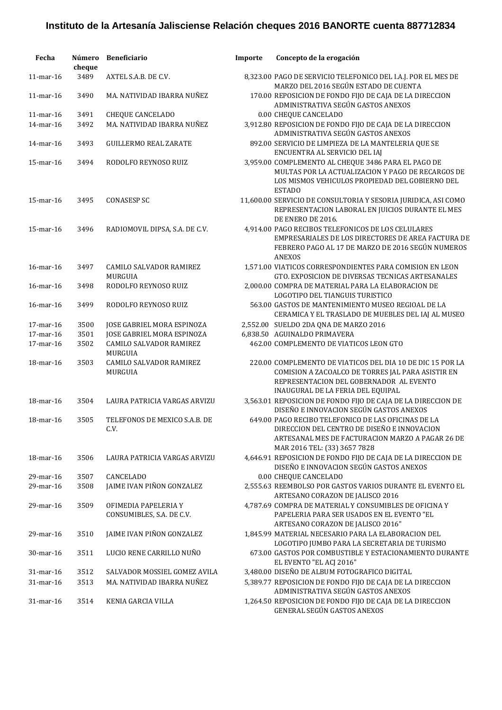| Fecha           | Número<br>cheque | <b>Beneficiario</b>                               | Importe | Concepto de la erogación                                                                                                                                                                        |
|-----------------|------------------|---------------------------------------------------|---------|-------------------------------------------------------------------------------------------------------------------------------------------------------------------------------------------------|
| $11$ -mar-16    | 3489             | AXTEL S.A.B. DE C.V.                              |         | 8,323.00 PAGO DE SERVICIO TELEFONICO DEL I.A.J. POR EL MES DE<br>MARZO DEL 2016 SEGÚN ESTADO DE CUENTA                                                                                          |
| $11$ -mar- $16$ | 3490             | MA. NATIVIDAD IBARRA NUÑEZ                        |         | 170.00 REPOSICION DE FONDO FIJO DE CAJA DE LA DIRECCION<br>ADMINISTRATIVA SEGÚN GASTOS ANEXOS                                                                                                   |
| 11-mar-16       | 3491             | <b>CHEQUE CANCELADO</b>                           |         | 0.00 CHEQUE CANCELADO                                                                                                                                                                           |
| 14-mar-16       | 3492             | MA. NATIVIDAD IBARRA NUÑEZ                        |         | 3,912.80 REPOSICION DE FONDO FIJO DE CAJA DE LA DIRECCION<br>ADMINISTRATIVA SEGÚN GASTOS ANEXOS                                                                                                 |
| 14-mar-16       | 3493             | <b>GUILLERMO REAL ZARATE</b>                      |         | 892.00 SERVICIO DE LIMPIEZA DE LA MANTELERIA QUE SE<br>ENCUENTRA AL SERVICIO DEL IAJ                                                                                                            |
| $15$ -mar- $16$ | 3494             | RODOLFO REYNOSO RUIZ                              |         | 3,959.00 COMPLEMENTO AL CHEQUE 3486 PARA EL PAGO DE<br>MULTAS POR LA ACTUALIZACION Y PAGO DE RECARGOS DE<br>LOS MISMOS VEHICULOS PROPIEDAD DEL GOBIERNO DEL<br><b>ESTADO</b>                    |
| $15$ -mar- $16$ | 3495             | <b>CONASESP SC</b>                                |         | 11,600.00 SERVICIO DE CONSULTORIA Y SESORIA JURIDICA, ASI COMO<br>REPRESENTACION LABORAL EN JUICIOS DURANTE EL MES<br>DE ENERO DE 2016.                                                         |
| 15-mar-16       | 3496             | RADIOMOVIL DIPSA, S.A. DE C.V.                    |         | 4,914.00 PAGO RECIBOS TELEFONICOS DE LOS CELULARES<br>EMPRESARIALES DE LOS DIRECTORES DE AREA FACTURA DE<br>FEBRERO PAGO AL 17 DE MARZO DE 2016 SEGÚN NUMEROS<br><b>ANEXOS</b>                  |
| 16-mar-16       | 3497             | <b>CAMILO SALVADOR RAMIREZ</b><br>MURGUIA         |         | 1,571.00 VIATICOS CORRESPONDIENTES PARA COMISION EN LEON<br>GTO. EXPOSICION DE DIVERSAS TECNICAS ARTESANALES                                                                                    |
| 16-mar-16       | 3498             | RODOLFO REYNOSO RUIZ                              |         | 2,000.00 COMPRA DE MATERIAL PARA LA ELABORACION DE<br>LOGOTIPO DEL TIANGUIS TURISTICO                                                                                                           |
| 16-mar-16       | 3499             | RODOLFO REYNOSO RUIZ                              |         | 563.00 GASTOS DE MANTENIMIENTO MUSEO REGIOAL DE LA<br>CERAMICA Y EL TRASLADO DE MUEBLES DEL IAJ AL MUSEO                                                                                        |
| 17-mar-16       | 3500             | JOSE GABRIEL MORA ESPINOZA                        |         | 2,552.00 SUELDO 2DA QNA DE MARZO 2016                                                                                                                                                           |
| 17-mar-16       | 3501             | JOSE GABRIEL MORA ESPINOZA                        |         | 6,838.50 AGUINALDO PRIMAVERA                                                                                                                                                                    |
| 17-mar-16       | 3502             | CAMILO SALVADOR RAMIREZ<br>MURGUIA                |         | 462.00 COMPLEMENTO DE VIATICOS LEON GTO                                                                                                                                                         |
| 18-mar-16       | 3503             | <b>CAMILO SALVADOR RAMIREZ</b><br>MURGUIA         |         | 220.00 COMPLEMENTO DE VIATICOS DEL DIA 10 DE DIC 15 POR LA<br>COMISION A ZACOALCO DE TORRES JAL PARA ASISTIR EN<br>REPRESENTACION DEL GOBERNADOR AL EVENTO<br>INAUGURAL DE LA FERIA DEL EQUIPAL |
| 18-mar-16       | 3504             | LAURA PATRICIA VARGAS ARVIZU                      |         | 3,563.01 REPOSICION DE FONDO FIJO DE CAJA DE LA DIRECCION DE<br>DISEÑO E INNOVACION SEGÚN GASTOS ANEXOS                                                                                         |
| 18-mar-16       | 3505             | TELEFONOS DE MEXICO S.A.B. DE<br>C.V.             |         | 649.00 PAGO RECIBO TELEFONICO DE LAS OFICINAS DE LA<br>DIRECCION DEL CENTRO DE DISEÑO E INNOVACION<br>ARTESANAL MES DE FACTURACION MARZO A PAGAR 26 DE<br>MAR 2016 TEL: (33) 3657 7828          |
| 18-mar-16       | 3506             | LAURA PATRICIA VARGAS ARVIZU                      |         | 4,646.91 REPOSICION DE FONDO FIJO DE CAJA DE LA DIRECCION DE<br>DISEÑO E INNOVACION SEGÚN GASTOS ANEXOS                                                                                         |
| 29-mar-16       | 3507             | CANCELADO                                         |         | 0.00 CHEQUE CANCELADO                                                                                                                                                                           |
| 29-mar-16       | 3508             | JAIME IVAN PIÑON GONZALEZ                         |         | 2,555.63 REEMBOLSO POR GASTOS VARIOS DURANTE EL EVENTO EL<br>ARTESANO CORAZON DE JALISCO 2016                                                                                                   |
| 29-mar-16       | 3509             | OFIMEDIA PAPELERIA Y<br>CONSUMIBLES, S.A. DE C.V. |         | 4,787.69 COMPRA DE MATERIAL Y CONSUMIBLES DE OFICINA Y<br>PAPELERIA PARA SER USADOS EN EL EVENTO "EL<br>ARTESANO CORAZON DE JALISCO 2016"                                                       |
| 29-mar-16       | 3510             | JAIME IVAN PIÑON GONZALEZ                         |         | 1,845.99 MATERIAL NECESARIO PARA LA ELABORACION DEL<br>LOGOTIPO JUMBO PARA LA SECRETARIA DE TURISMO                                                                                             |
| 30-mar-16       | 3511             | LUCIO RENE CARRILLO NUÑO                          |         | 673.00 GASTOS POR COMBUSTIBLE Y ESTACIONAMIENTO DURANTE<br>EL EVENTO "EL ACJ 2016"                                                                                                              |
| 31-mar-16       | 3512             | SALVADOR MOSSIEL GOMEZ AVILA                      |         | 3,480.00 DISEÑO DE ALBUM FOTOGRAFICO DIGITAL                                                                                                                                                    |
| 31-mar-16       | 3513             | MA. NATIVIDAD IBARRA NUÑEZ                        |         | 5,389.77 REPOSICION DE FONDO FIJO DE CAJA DE LA DIRECCION<br>ADMINISTRATIVA SEGÚN GASTOS ANEXOS                                                                                                 |
| 31-mar-16       | 3514             | KENIA GARCIA VILLA                                |         | 1,264.50 REPOSICION DE FONDO FIJO DE CAJA DE LA DIRECCION<br>GENERAL SEGÚN GASTOS ANEXOS                                                                                                        |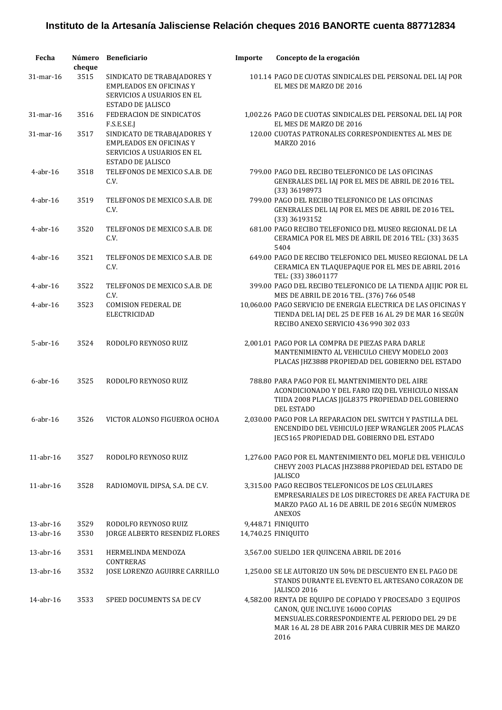| Fecha                  | cheque       | Número Beneficiario                                                                                                     | Importe | Concepto de la erogación                                                                                                                                                                                    |
|------------------------|--------------|-------------------------------------------------------------------------------------------------------------------------|---------|-------------------------------------------------------------------------------------------------------------------------------------------------------------------------------------------------------------|
| 31-mar-16              | 3515         | SINDICATO DE TRABAJADORES Y<br><b>EMPLEADOS EN OFICINAS Y</b><br><b>SERVICIOS A USUARIOS EN EL</b><br>ESTADO DE JALISCO |         | 101.14 PAGO DE CUOTAS SINDICALES DEL PERSONAL DEL IAJ POR<br>EL MES DE MARZO DE 2016                                                                                                                        |
| 31-mar-16              | 3516         | FEDERACION DE SINDICATOS<br>F.S.E.S.E.J                                                                                 |         | 1,002.26 PAGO DE CUOTAS SINDICALES DEL PERSONAL DEL IAJ POR<br>EL MES DE MARZO DE 2016                                                                                                                      |
| 31-mar-16              | 3517         | SINDICATO DE TRABAJADORES Y<br><b>EMPLEADOS EN OFICINAS Y</b><br>SERVICIOS A USUARIOS EN EL<br>ESTADO DE JALISCO        |         | 120.00 CUOTAS PATRONALES CORRESPONDIENTES AL MES DE<br><b>MARZO 2016</b>                                                                                                                                    |
| $4$ -abr-16            | 3518         | TELEFONOS DE MEXICO S.A.B. DE<br>C.V.                                                                                   |         | 799.00 PAGO DEL RECIBO TELEFONICO DE LAS OFICINAS<br>GENERALES DEL IAJ POR EL MES DE ABRIL DE 2016 TEL.<br>(33) 36198973                                                                                    |
| $4$ -abr-16            | 3519         | TELEFONOS DE MEXICO S.A.B. DE<br>C.V.                                                                                   |         | 799.00 PAGO DEL RECIBO TELEFONICO DE LAS OFICINAS<br>GENERALES DEL IAJ POR EL MES DE ABRIL DE 2016 TEL.<br>(33) 36193152                                                                                    |
| $4$ -abr-16            | 3520         | TELEFONOS DE MEXICO S.A.B. DE<br>C.V.                                                                                   |         | 681.00 PAGO RECIBO TELEFONICO DEL MUSEO REGIONAL DE LA<br>CERAMICA POR EL MES DE ABRIL DE 2016 TEL: (33) 3635<br>5404                                                                                       |
| $4$ -abr-16            | 3521         | TELEFONOS DE MEXICO S.A.B. DE<br>C.V.                                                                                   |         | 649.00 PAGO DE RECIBO TELEFONICO DEL MUSEO REGIONAL DE LA<br>CERAMICA EN TLAQUEPAQUE POR EL MES DE ABRIL 2016<br>TEL: (33) 38601177                                                                         |
| $4$ -abr-16            | 3522         | TELEFONOS DE MEXICO S.A.B. DE<br>C.V.                                                                                   |         | 399.00 PAGO DEL RECIBO TELEFONICO DE LA TIENDA AJIJIC POR EL<br>MES DE ABRIL DE 2016 TEL. (376) 766 0548                                                                                                    |
| $4$ -abr-16            | 3523         | <b>COMISION FEDERAL DE</b><br><b>ELECTRICIDAD</b>                                                                       |         | 10,060.00 PAGO SERVICIO DE ENERGIA ELECTRICA DE LAS OFICINAS Y<br>TIENDA DEL IAJ DEL 25 DE FEB 16 AL 29 DE MAR 16 SEGÚN<br>RECIBO ANEXO SERVICIO 436 990 302 033                                            |
| $5$ -abr-16            | 3524         | RODOLFO REYNOSO RUIZ                                                                                                    |         | 2,001.01 PAGO POR LA COMPRA DE PIEZAS PARA DARLE<br>MANTENIMIENTO AL VEHICULO CHEVY MODELO 2003<br>PLACAS JHZ3888 PROPIEDAD DEL GOBIERNO DEL ESTADO                                                         |
| $6$ -abr-16            | 3525         | RODOLFO REYNOSO RUIZ                                                                                                    |         | 788.80 PARA PAGO POR EL MANTENIMIENTO DEL AIRE<br>ACONDICIONADO Y DEL FARO IZQ DEL VEHICULO NISSAN<br>TIIDA 2008 PLACAS JJGL8375 PROPIEDAD DEL GOBIERNO<br><b>DEL ESTADO</b>                                |
| $6$ -abr-16            | 3526         | VICTOR ALONSO FIGUEROA OCHOA                                                                                            |         | 2,030.00 PAGO POR LA REPARACION DEL SWITCH Y PASTILLA DEL<br>ENCENDIDO DEL VEHICULO JEEP WRANGLER 2005 PLACAS<br>JEC5165 PROPIEDAD DEL GOBIERNO DEL ESTADO                                                  |
| $11$ -abr- $16$        | 3527         | RODOLFO REYNOSO RUIZ                                                                                                    |         | 1,276.00 PAGO POR EL MANTENIMIENTO DEL MOFLE DEL VEHICULO<br>CHEVY 2003 PLACAS JHZ3888 PROPIEDAD DEL ESTADO DE<br><b>JALISCO</b>                                                                            |
| 11-abr-16              | 3528         | RADIOMOVIL DIPSA, S.A. DE C.V.                                                                                          |         | 3,315.00 PAGO RECIBOS TELEFONICOS DE LOS CELULARES<br>EMPRESARIALES DE LOS DIRECTORES DE AREA FACTURA DE<br>MARZO PAGO AL 16 DE ABRIL DE 2016 SEGÚN NUMEROS<br><b>ANEXOS</b>                                |
| 13-abr-16<br>13-abr-16 | 3529<br>3530 | RODOLFO REYNOSO RUIZ<br>JORGE ALBERTO RESENDIZ FLORES                                                                   |         | 9,448.71 FINIQUITO<br>14,740.25 FINIQUITO                                                                                                                                                                   |
| 13-abr-16              | 3531         | HERMELINDA MENDOZA<br><b>CONTRERAS</b>                                                                                  |         | 3,567.00 SUELDO 1ER QUINCENA ABRIL DE 2016                                                                                                                                                                  |
| 13-abr-16              | 3532         | JOSE LORENZO AGUIRRE CARRILLO                                                                                           |         | 1,250.00 SE LE AUTORIZO UN 50% DE DESCUENTO EN EL PAGO DE<br>STANDS DURANTE EL EVENTO EL ARTESANO CORAZON DE<br>JALISCO 2016                                                                                |
| $14$ -abr- $16$        | 3533         | SPEED DOCUMENTS SA DE CV                                                                                                |         | 4,582.00 RENTA DE EQUIPO DE COPIADO Y PROCESADO 3 EQUIPOS<br>CANON, QUE INCLUYE 16000 COPIAS<br>MENSUALES.CORRESPONDIENTE AL PERIODO DEL 29 DE<br>MAR 16 AL 28 DE ABR 2016 PARA CUBRIR MES DE MARZO<br>2016 |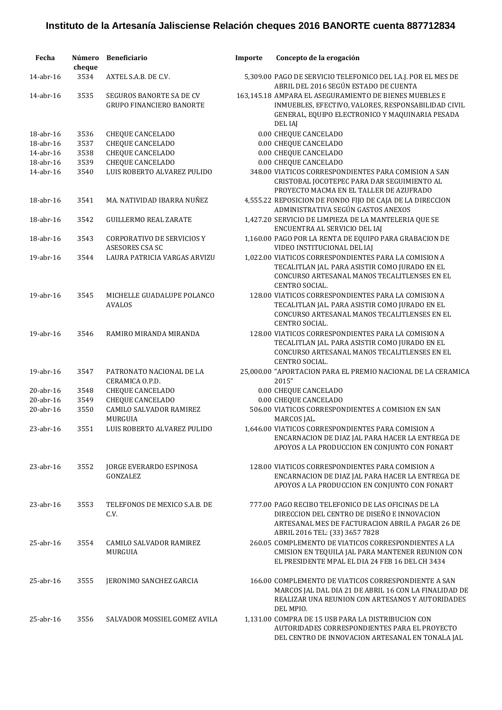| Fecha           | Número<br>cheque | Beneficiario                                                       | Importe | Concepto de la erogación                                                                                                                                                                 |
|-----------------|------------------|--------------------------------------------------------------------|---------|------------------------------------------------------------------------------------------------------------------------------------------------------------------------------------------|
| 14-abr-16       | 3534             | AXTEL S.A.B. DE C.V.                                               |         | 5,309.00 PAGO DE SERVICIO TELEFONICO DEL I.A.J. POR EL MES DE<br>ABRIL DEL 2016 SEGÚN ESTADO DE CUENTA                                                                                   |
| 14-abr-16       | 3535             | <b>SEGUROS BANORTE SA DE CV</b><br><b>GRUPO FINANCIERO BANORTE</b> |         | 163,145.18 AMPARA EL ASEGURAMIENTO DE BIENES MUEBLES E<br>INMUEBLES, EFECTIVO, VALORES, RESPONSABILIDAD CIVIL<br>GENERAL, EQUIPO ELECTRONICO Y MAQUINARIA PESADA<br>DEL IAJ              |
| 18-abr-16       | 3536             | <b>CHEQUE CANCELADO</b>                                            |         | 0.00 CHEQUE CANCELADO                                                                                                                                                                    |
| 18-abr-16       | 3537             | CHEQUE CANCELADO                                                   |         | 0.00 CHEQUE CANCELADO                                                                                                                                                                    |
| 14-abr-16       | 3538             | <b>CHEQUE CANCELADO</b>                                            |         | 0.00 CHEQUE CANCELADO                                                                                                                                                                    |
| 18-abr-16       | 3539             | <b>CHEQUE CANCELADO</b>                                            |         | 0.00 CHEQUE CANCELADO                                                                                                                                                                    |
| 14-abr-16       | 3540             | LUIS ROBERTO ALVAREZ PULIDO                                        |         | 348.00 VIATICOS CORRESPONDIENTES PARA COMISION A SAN<br>CRISTOBAL JOCOTEPEC PARA DAR SEGUIMIENTO AL<br>PROYECTO MACMA EN EL TALLER DE AZUFRADO                                           |
| 18-abr-16       | 3541             | MA. NATIVIDAD IBARRA NUÑEZ                                         |         | 4,555.22 REPOSICION DE FONDO FIJO DE CAJA DE LA DIRECCION<br>ADMINISTRATIVA SEGÚN GASTOS ANEXOS                                                                                          |
| 18-abr-16       | 3542             | <b>GUILLERMO REAL ZARATE</b>                                       |         | 1,427.20 SERVICIO DE LIMPIEZA DE LA MANTELERIA QUE SE<br>ENCUENTRA AL SERVICIO DEL IAJ                                                                                                   |
| 18-abr-16       | 3543             | <b>CORPORATIVO DE SERVICIOS Y</b><br>ASESORES CSA SC               |         | 1,160.00 PAGO POR LA RENTA DE EQUIPO PARA GRABACION DE<br>VIDEO INSTITUCIONAL DEL IAJ                                                                                                    |
| 19-abr-16       | 3544             | LAURA PATRICIA VARGAS ARVIZU                                       |         | 1,022.00 VIATICOS CORRESPONDIENTES PARA LA COMISION A<br>TECALITLAN JAL. PARA ASISTIR COMO JURADO EN EL<br>CONCURSO ARTESANAL MANOS TECALITLENSES EN EL<br>CENTRO SOCIAL.                |
| 19-abr-16       | 3545             | MICHELLE GUADALUPE POLANCO<br><b>AVALOS</b>                        |         | 128.00 VIATICOS CORRESPONDIENTES PARA LA COMISION A<br>TECALITLAN JAL. PARA ASISTIR COMO JURADO EN EL<br>CONCURSO ARTESANAL MANOS TECALITLENSES EN EL<br>CENTRO SOCIAL.                  |
| 19-abr-16       | 3546             | RAMIRO MIRANDA MIRANDA                                             |         | 128.00 VIATICOS CORRESPONDIENTES PARA LA COMISION A<br>TECALITLAN JAL. PARA ASISTIR COMO JURADO EN EL<br>CONCURSO ARTESANAL MANOS TECALITLENSES EN EL<br>CENTRO SOCIAL.                  |
| 19-abr-16       | 3547             | PATRONATO NACIONAL DE LA<br>CERAMICA O.P.D.                        |         | 25,000.00 "APORTACION PARA EL PREMIO NACIONAL DE LA CERAMICA<br>2015"                                                                                                                    |
| $20$ -abr-16    | 3548             | <b>CHEQUE CANCELADO</b>                                            |         | 0.00 CHEQUE CANCELADO                                                                                                                                                                    |
| $20$ -abr-16    | 3549             | CHEQUE CANCELADO                                                   |         | 0.00 CHEQUE CANCELADO                                                                                                                                                                    |
| $20$ -abr-16    | 3550             | CAMILO SALVADOR RAMIREZ<br>MURGUIA                                 |         | 506.00 VIATICOS CORRESPONDIENTES A COMISION EN SAN<br>MARCOS JAL.                                                                                                                        |
| 23-abr-16       | 3551             | LUIS ROBERTO ALVAREZ PULIDO                                        |         | 1,646.00 VIATICOS CORRESPONDIENTES PARA COMISION A<br>ENCARNACION DE DIAZ JAL PARA HACER LA ENTREGA DE<br>APOYOS A LA PRODUCCION EN CONJUNTO CON FONART                                  |
| $23$ -abr-16    | 3552             | <b>JORGE EVERARDO ESPINOSA</b><br>GONZALEZ                         |         | 128.00 VIATICOS CORRESPONDIENTES PARA COMISION A<br>ENCARNACION DE DIAZ JAL PARA HACER LA ENTREGA DE<br>APOYOS A LA PRODUCCION EN CONJUNTO CON FONART                                    |
| $23$ -abr-16    | 3553             | TELEFONOS DE MEXICO S.A.B. DE<br>C.V.                              |         | 777.00 PAGO RECIBO TELEFONICO DE LAS OFICINAS DE LA<br>DIRECCION DEL CENTRO DE DISEÑO E INNOVACION<br>ARTESANAL MES DE FACTURACION ABRIL A PAGAR 26 DE<br>ABRIL 2016 TEL: (33) 3657 7828 |
| $25$ -abr- $16$ | 3554             | <b>CAMILO SALVADOR RAMIREZ</b><br>MURGUIA                          |         | 260.05 COMPLEMENTO DE VIATICOS CORRESPONDIENTES A LA<br>CMISION EN TEQUILA JAL PARA MANTENER REUNION CON<br>EL PRESIDENTE MPAL EL DIA 24 FEB 16 DEL CH 3434                              |
| $25$ -abr-16    | 3555             | JERONIMO SANCHEZ GARCIA                                            |         | 166.00 COMPLEMENTO DE VIATICOS CORRESPONDIENTE A SAN<br>MARCOS JAL DAL DIA 21 DE ABRIL 16 CON LA FINALIDAD DE<br>REALIZAR UNA REUNION CON ARTESANOS Y AUTORIDADES<br>DEL MPIO.           |
| $25$ -abr-16    | 3556             | SALVADOR MOSSIEL GOMEZ AVILA                                       |         | 1,131.00 COMPRA DE 15 USB PARA LA DISTRIBUCION CON<br>AUTORIDADES CORRESPONDIENTES PARA EL PROYECTO<br>DEL CENTRO DE INNOVACION ARTESANAL EN TONALA JAL                                  |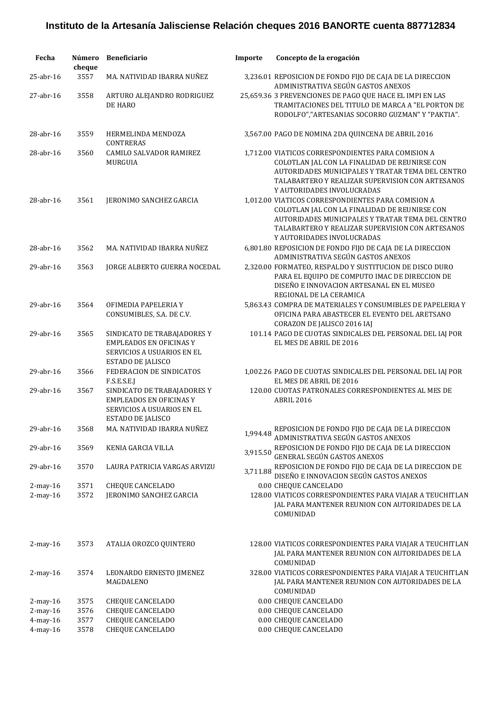| Fecha                            | Número<br>cheque | <b>Beneficiario</b>                                                                                                     | Importe  | Concepto de la erogación                                                                                                                                                                                                                  |
|----------------------------------|------------------|-------------------------------------------------------------------------------------------------------------------------|----------|-------------------------------------------------------------------------------------------------------------------------------------------------------------------------------------------------------------------------------------------|
| 25-abr-16                        | 3557             | MA. NATIVIDAD IBARRA NUÑEZ                                                                                              |          | 3,236.01 REPOSICION DE FONDO FIJO DE CAJA DE LA DIRECCION<br>ADMINISTRATIVA SEGÚN GASTOS ANEXOS                                                                                                                                           |
| $27$ -abr-16                     | 3558             | ARTURO ALEJANDRO RODRIGUEZ<br>DE HARO                                                                                   |          | 25,659.36 3 PREVENCIONES DE PAGO QUE HACE EL IMPI EN LAS<br>TRAMITACIONES DEL TITULO DE MARCA A "EL PORTON DE<br>RODOLFO","ARTESANIAS SOCORRO GUZMAN" Y "PAKTIA".                                                                         |
| 28-abr-16                        | 3559             | HERMELINDA MENDOZA<br><b>CONTRERAS</b>                                                                                  |          | 3,567.00 PAGO DE NOMINA 2DA QUINCENA DE ABRIL 2016                                                                                                                                                                                        |
| 28-abr-16                        | 3560             | <b>CAMILO SALVADOR RAMIREZ</b><br>MURGUIA                                                                               |          | 1,712.00 VIATICOS CORRESPONDIENTES PARA COMISION A<br>COLOTLAN JAL CON LA FINALIDAD DE REUNIRSE CON<br>AUTORIDADES MUNICIPALES Y TRATAR TEMA DEL CENTRO<br>TALABARTERO Y REALIZAR SUPERVISION CON ARTESANOS<br>Y AUTORIDADES INVOLUCRADAS |
| $28$ -abr- $16$                  | 3561             | JERONIMO SANCHEZ GARCIA                                                                                                 |          | 1,012.00 VIATICOS CORRESPONDIENTES PARA COMISION A<br>COLOTLAN JAL CON LA FINALIDAD DE REUNIRSE CON<br>AUTORIDADES MUNICIPALES Y TRATAR TEMA DEL CENTRO<br>TALABARTERO Y REALIZAR SUPERVISION CON ARTESANOS<br>Y AUTORIDADES INVOLUCRADAS |
| $28$ -abr- $16$                  | 3562             | MA. NATIVIDAD IBARRA NUÑEZ                                                                                              |          | 6,801.80 REPOSICION DE FONDO FIJO DE CAJA DE LA DIRECCION<br>ADMINISTRATIVA SEGÚN GASTOS ANEXOS                                                                                                                                           |
| $29$ -abr-16                     | 3563             | JORGE ALBERTO GUERRA NOCEDAL                                                                                            |          | 2,320.00 FORMATEO, RESPALDO Y SUSTITUCION DE DISCO DURO<br>PARA EL EQUIPO DE COMPUTO IMAC DE DIRECCION DE<br>DISEÑO E INNOVACION ARTESANAL EN EL MUSEO<br>REGIONAL DE LA CERAMICA                                                         |
| $29$ -abr- $16$                  | 3564             | OFIMEDIA PAPELERIA Y<br>CONSUMIBLES, S.A. DE C.V.                                                                       |          | 5,863.43 COMPRA DE MATERIALES Y CONSUMIBLES DE PAPELERIA Y<br>OFICINA PARA ABASTECER EL EVENTO DEL ARETSANO<br>CORAZON DE JALISCO 2016 IAJ                                                                                                |
| $29$ -abr- $16$                  | 3565             | SINDICATO DE TRABAJADORES Y<br><b>EMPLEADOS EN OFICINAS Y</b><br>SERVICIOS A USUARIOS EN EL<br>ESTADO DE JALISCO        |          | 101.14 PAGO DE CUOTAS SINDICALES DEL PERSONAL DEL IAJ POR<br>EL MES DE ABRIL DE 2016                                                                                                                                                      |
| 29-abr-16                        | 3566             | FEDERACION DE SINDICATOS<br>F.S.E.S.E.J                                                                                 |          | 1,002.26 PAGO DE CUOTAS SINDICALES DEL PERSONAL DEL IAJ POR<br>EL MES DE ABRIL DE 2016                                                                                                                                                    |
| 29-abr-16                        | 3567             | SINDICATO DE TRABAJADORES Y<br><b>EMPLEADOS EN OFICINAS Y</b><br><b>SERVICIOS A USUARIOS EN EL</b><br>ESTADO DE JALISCO |          | 120.00 CUOTAS PATRONALES CORRESPONDIENTES AL MES DE<br>ABRIL 2016                                                                                                                                                                         |
| 29-abr-16                        | 3568             | MA. NATIVIDAD IBARRA NUÑEZ                                                                                              | 1,994.48 | REPOSICION DE FONDO FIJO DE CAJA DE LA DIRECCION<br>ADMINISTRATIVA SEGÚN GASTOS ANEXOS                                                                                                                                                    |
| 29-abr-16                        | 3569             | KENIA GARCIA VILLA                                                                                                      | 3,915.50 | REPOSICION DE FONDO FIJO DE CAJA DE LA DIRECCION<br>GENERAL SEGÚN GASTOS ANEXOS                                                                                                                                                           |
| 29-abr-16                        | 3570             | LAURA PATRICIA VARGAS ARVIZU                                                                                            | 3,711.88 | REPOSICION DE FONDO FIJO DE CAJA DE LA DIRECCION DE<br>DISEÑO E INNOVACION SEGÚN GASTOS ANEXOS                                                                                                                                            |
| $2$ -may- $16$<br>$2$ -may- $16$ | 3571<br>3572     | <b>CHEQUE CANCELADO</b><br>JERONIMO SANCHEZ GARCIA                                                                      |          | 0.00 CHEQUE CANCELADO<br>128.00 VIATICOS CORRESPONDIENTES PARA VIAJAR A TEUCHITLAN<br>JAL PARA MANTENER REUNION CON AUTORIDADES DE LA<br>COMUNIDAD                                                                                        |
| $2$ -may- $16$                   | 3573             | ATALIA OROZCO QUINTERO                                                                                                  |          | 128.00 VIATICOS CORRESPONDIENTES PARA VIAJAR A TEUCHITLAN<br>JAL PARA MANTENER REUNION CON AUTORIDADES DE LA<br>COMUNIDAD                                                                                                                 |
| $2$ -may- $16$                   | 3574             | LEONARDO ERNESTO JIMENEZ<br>MAGDALENO                                                                                   |          | 328.00 VIATICOS CORRESPONDIENTES PARA VIAJAR A TEUCHITLAN<br>JAL PARA MANTENER REUNION CON AUTORIDADES DE LA<br>COMUNIDAD                                                                                                                 |
| $2$ -may- $16$                   | 3575             | <b>CHEQUE CANCELADO</b>                                                                                                 |          | 0.00 CHEQUE CANCELADO                                                                                                                                                                                                                     |
| $2$ -may- $16$<br>4-may-16       | 3576<br>3577     | <b>CHEQUE CANCELADO</b><br><b>CHEQUE CANCELADO</b>                                                                      |          | 0.00 CHEQUE CANCELADO<br>0.00 CHEQUE CANCELADO                                                                                                                                                                                            |
| 4-may-16                         | 3578             | <b>CHEQUE CANCELADO</b>                                                                                                 |          | 0.00 CHEQUE CANCELADO                                                                                                                                                                                                                     |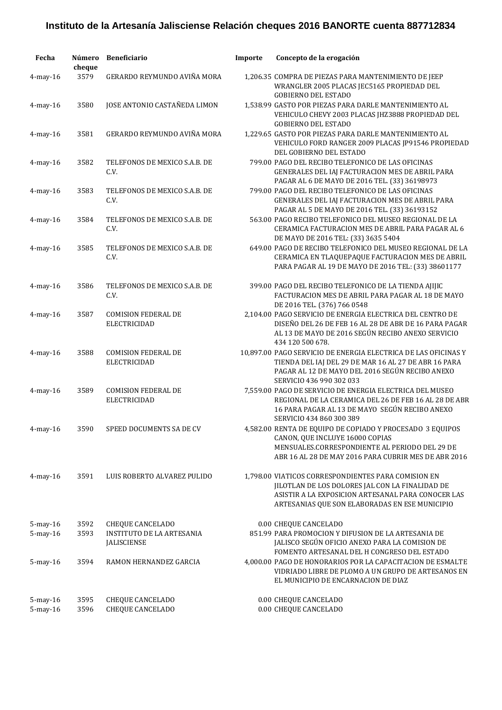| Fecha                      | Número<br>cheque | <b>Beneficiario</b>                                    | Importe | Concepto de la erogación                                                                                                                                                                                       |
|----------------------------|------------------|--------------------------------------------------------|---------|----------------------------------------------------------------------------------------------------------------------------------------------------------------------------------------------------------------|
| $4$ -may- $16$             | 3579             | GERARDO REYMUNDO AVIÑA MORA                            |         | 1,206.35 COMPRA DE PIEZAS PARA MANTENIMIENTO DE JEEP<br>WRANGLER 2005 PLACAS JEC5165 PROPIEDAD DEL<br><b>GOBIERNO DEL ESTADO</b>                                                                               |
| $4$ -may-16                | 3580             | JOSE ANTONIO CASTAÑEDA LIMON                           |         | 1,538.99 GASTO POR PIEZAS PARA DARLE MANTENIMIENTO AL<br>VEHICULO CHEVY 2003 PLACAS JHZ3888 PROPIEDAD DEL<br><b>GOBIERNO DEL ESTADO</b>                                                                        |
| $4$ -may- $16$             | 3581             | GERARDO REYMUNDO AVIÑA MORA                            |         | 1,229.65 GASTO POR PIEZAS PARA DARLE MANTENIMIENTO AL<br>VEHICULO FORD RANGER 2009 PLACAS JP91546 PROPIEDAD<br>DEL GOBIERNO DEL ESTADO                                                                         |
| 4-may-16                   | 3582             | TELEFONOS DE MEXICO S.A.B. DE<br>C.V.                  |         | 799.00 PAGO DEL RECIBO TELEFONICO DE LAS OFICINAS<br>GENERALES DEL IAJ FACTURACION MES DE ABRIL PARA<br>PAGAR AL 6 DE MAYO DE 2016 TEL. (33) 36198973                                                          |
| $4$ -may- $16$             | 3583             | TELEFONOS DE MEXICO S.A.B. DE<br>C.V.                  |         | 799.00 PAGO DEL RECIBO TELEFONICO DE LAS OFICINAS<br>GENERALES DEL IAJ FACTURACION MES DE ABRIL PARA<br>PAGAR AL 5 DE MAYO DE 2016 TEL. (33) 36193152                                                          |
| $4$ -may- $16$             | 3584             | TELEFONOS DE MEXICO S.A.B. DE<br>C.V.                  |         | 563.00 PAGO RECIBO TELEFONICO DEL MUSEO REGIONAL DE LA<br>CERAMICA FACTURACION MES DE ABRIL PARA PAGAR AL 6<br>DE MAYO DE 2016 TEL: (33) 3635 5404                                                             |
| $4$ -may-16                | 3585             | TELEFONOS DE MEXICO S.A.B. DE<br>C.V.                  |         | 649.00 PAGO DE RECIBO TELEFONICO DEL MUSEO REGIONAL DE LA<br>CERAMICA EN TLAQUEPAQUE FACTURACION MES DE ABRIL<br>PARA PAGAR AL 19 DE MAYO DE 2016 TEL: (33) 38601177                                           |
| $4$ -may- $16$             | 3586             | TELEFONOS DE MEXICO S.A.B. DE<br>C.V.                  |         | 399.00 PAGO DEL RECIBO TELEFONICO DE LA TIENDA AJIJIC<br>FACTURACION MES DE ABRIL PARA PAGAR AL 18 DE MAYO<br>DE 2016 TEL. (376) 766 0548                                                                      |
| $4$ -may- $16$             | 3587             | <b>COMISION FEDERAL DE</b><br><b>ELECTRICIDAD</b>      |         | 2,104.00 PAGO SERVICIO DE ENERGIA ELECTRICA DEL CENTRO DE<br>DISEÑO DEL 26 DE FEB 16 AL 28 DE ABR DE 16 PARA PAGAR<br>AL 13 DE MAYO DE 2016 SEGÚN RECIBO ANEXO SERVICIO<br>434 120 500 678.                    |
| $4$ -may- $16$             | 3588             | <b>COMISION FEDERAL DE</b><br><b>ELECTRICIDAD</b>      |         | 10,897.00 PAGO SERVICIO DE ENERGIA ELECTRICA DE LAS OFICINAS Y<br>TIENDA DEL IAJ DEL 29 DE MAR 16 AL 27 DE ABR 16 PARA<br>PAGAR AL 12 DE MAYO DEL 2016 SEGÚN RECIBO ANEXO<br>SERVICIO 436 990 302 033          |
| $4$ -may-16                | 3589             | <b>COMISION FEDERAL DE</b><br><b>ELECTRICIDAD</b>      |         | 7,559.00 PAGO DE SERVICIO DE ENERGIA ELECTRICA DEL MUSEO<br>REGIONAL DE LA CERAMICA DEL 26 DE FEB 16 AL 28 DE ABR<br>16 PARA PAGAR AL 13 DE MAYO SEGÚN RECIBO ANEXO<br>SERVICIO 434 860 300 389                |
| $4$ -may- $16$             | 3590             | SPEED DOCUMENTS SA DE CV                               |         | 4,582.00 RENTA DE EQUIPO DE COPIADO Y PROCESADO 3 EQUIPOS<br>CANON, QUE INCLUYE 16000 COPIAS<br>MENSUALES.CORRESPONDIENTE AL PERIODO DEL 29 DE<br>ABR 16 AL 28 DE MAY 2016 PARA CUBRIR MES DE ABR 2016         |
| $4$ -may- $16$             | 3591             | LUIS ROBERTO ALVAREZ PULIDO                            |         | 1,798.00 VIATICOS CORRESPONDIENTES PARA COMISION EN<br>JILOTLAN DE LOS DOLORES JAL CON LA FINALIDAD DE<br>ASISTIR A LA EXPOSICION ARTESANAL PARA CONOCER LAS<br>ARTESANIAS QUE SON ELABORADAS EN ESE MUNICIPIO |
| 5-may-16                   | 3592             | <b>CHEQUE CANCELADO</b>                                |         | 0.00 CHEQUE CANCELADO                                                                                                                                                                                          |
| 5-may-16                   | 3593             | <b>INSTITUTO DE LA ARTESANIA</b><br><b>JALISCIENSE</b> |         | 851.99 PARA PROMOCION Y DIFUSION DE LA ARTESANIA DE<br>JALISCO SEGÚN OFICIO ANEXO PARA LA COMISION DE<br>FOMENTO ARTESANAL DEL H CONGRESO DEL ESTADO                                                           |
| 5-may-16                   | 3594             | RAMON HERNANDEZ GARCIA                                 |         | 4,000.00 PAGO DE HONORARIOS POR LA CAPACITACION DE ESMALTE<br>VIDRIADO LIBRE DE PLOMO A UN GRUPO DE ARTESANOS EN<br>EL MUNICIPIO DE ENCARNACION DE DIAZ                                                        |
| $5$ -may-16<br>$5$ -may-16 | 3595<br>3596     | <b>CHEQUE CANCELADO</b><br><b>CHEQUE CANCELADO</b>     |         | 0.00 CHEQUE CANCELADO<br>0.00 CHEQUE CANCELADO                                                                                                                                                                 |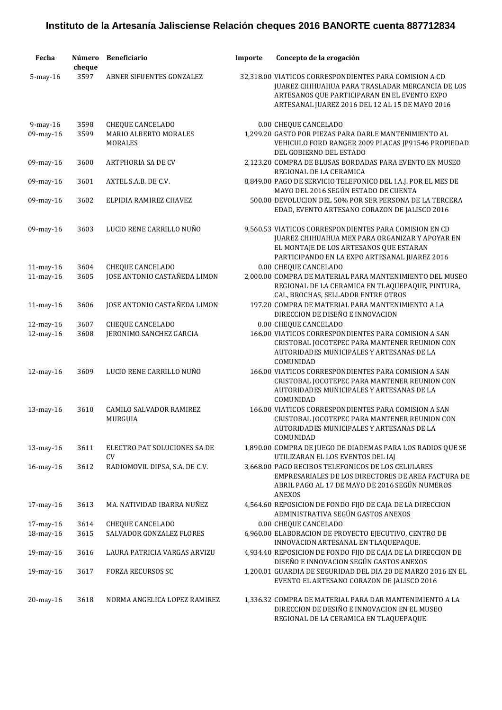| Fecha                  | Número<br>cheque | Beneficiario                                                       | Importe | Concepto de la erogación                                                                                                                                                                                                       |
|------------------------|------------------|--------------------------------------------------------------------|---------|--------------------------------------------------------------------------------------------------------------------------------------------------------------------------------------------------------------------------------|
| $5$ -may- $16$         | 3597             | ABNER SIFUENTES GONZALEZ                                           |         | 32.318.00 VIATICOS CORRESPONDIENTES PARA COMISION A CD<br>JUAREZ CHIHUAHUA PARA TRASLADAR MERCANCIA DE LOS<br>ARTESANOS QUE PARTICIPARAN EN EL EVENTO EXPO<br>ARTESANAL JUAREZ 2016 DEL 12 AL 15 DE MAYO 2016                  |
| 9-may-16<br>09-may-16  | 3598<br>3599     | <b>CHEQUE CANCELADO</b><br>MARIO ALBERTO MORALES<br><b>MORALES</b> |         | 0.00 CHEQUE CANCELADO<br>1,299.20 GASTO POR PIEZAS PARA DARLE MANTENIMIENTO AL<br>VEHICULO FORD RANGER 2009 PLACAS JP91546 PROPIEDAD<br>DEL GOBIERNO DEL ESTADO                                                                |
| 09-may-16              | 3600             | <b>ARTPHORIA SA DE CV</b>                                          |         | 2,123.20 COMPRA DE BLUSAS BORDADAS PARA EVENTO EN MUSEO<br>REGIONAL DE LA CERAMICA                                                                                                                                             |
| 09-may-16              | 3601             | AXTEL S.A.B. DE C.V.                                               |         | 8,849.00 PAGO DE SERVICIO TELEFONICO DEL I.A.J. POR EL MES DE<br>MAYO DEL 2016 SEGÚN ESTADO DE CUENTA                                                                                                                          |
| 09-may-16              | 3602             | ELPIDIA RAMIREZ CHAVEZ                                             |         | 500.00 DEVOLUCION DEL 50% POR SER PERSONA DE LA TERCERA<br>EDAD, EVENTO ARTESANO CORAZON DE JALISCO 2016                                                                                                                       |
| 09-may-16<br>11-may-16 | 3603<br>3604     | LUCIO RENE CARRILLO NUÑO<br><b>CHEQUE CANCELADO</b>                |         | 9,560.53 VIATICOS CORRESPONDIENTES PARA COMISION EN CD<br>JUAREZ CHIHUAHUA MEX PARA ORGANIZAR Y APOYAR EN<br>EL MONTAJE DE LOS ARTESANOS QUE ESTARAN<br>PARTICIPANDO EN LA EXPO ARTESANAL JUAREZ 2016<br>0.00 CHEQUE CANCELADO |
| 11-may-16              | 3605             | JOSE ANTONIO CASTAÑEDA LIMON                                       |         | 2,000.00 COMPRA DE MATERIAL PARA MANTENIMIENTO DEL MUSEO<br>REGIONAL DE LA CERAMICA EN TLAQUEPAQUE, PINTURA,<br>CAL, BROCHAS, SELLADOR ENTRE OTROS                                                                             |
| 11-may-16              | 3606             | JOSE ANTONIO CASTAÑEDA LIMON                                       |         | 197.20 COMPRA DE MATERIAL PARA MANTENIMIENTO A LA<br>DIRECCION DE DISEÑO E INNOVACION                                                                                                                                          |
| 12-may-16              | 3607             | <b>CHEQUE CANCELADO</b>                                            |         | 0.00 CHEQUE CANCELADO                                                                                                                                                                                                          |
| 12-may-16              | 3608             | JERONIMO SANCHEZ GARCIA                                            |         | 166.00 VIATICOS CORRESPONDIENTES PARA COMISION A SAN<br>CRISTOBAL JOCOTEPEC PARA MANTENER REUNION CON<br>AUTORIDADES MUNICIPALES Y ARTESANAS DE LA<br>COMUNIDAD                                                                |
| 12-may-16              | 3609             | LUCIO RENE CARRILLO NUÑO                                           |         | 166.00 VIATICOS CORRESPONDIENTES PARA COMISION A SAN<br>CRISTOBAL JOCOTEPEC PARA MANTENER REUNION CON<br>AUTORIDADES MUNICIPALES Y ARTESANAS DE LA<br>COMUNIDAD                                                                |
| 13-may-16              | 3610             | <b>CAMILO SALVADOR RAMIREZ</b><br>MURGUIA                          |         | 166.00 VIATICOS CORRESPONDIENTES PARA COMISION A SAN<br>CRISTOBAL JOCOTEPEC PARA MANTENER REUNION CON<br>AUTORIDADES MUNICIPALES Y ARTESANAS DE LA<br>COMUNIDAD                                                                |
| 13-may-16              | 3611             | ELECTRO PAT SOLUCIONES SA DE<br>CV                                 |         | 1,890.00 COMPRA DE JUEGO DE DIADEMAS PARA LOS RADIOS QUE SE<br>UTILIZARAN EL LOS EVENTOS DEL IAJ                                                                                                                               |
| $16$ -may- $16$        | 3612             | RADIOMOVIL DIPSA, S.A. DE C.V.                                     |         | 3,668.00 PAGO RECIBOS TELEFONICOS DE LOS CELULARES<br>EMPRESARIALES DE LOS DIRECTORES DE AREA FACTURA DE<br>ABRIL PAGO AL 17 DE MAYO DE 2016 SEGÚN NUMEROS<br><b>ANEXOS</b>                                                    |
| 17-may-16              | 3613             | MA. NATIVIDAD IBARRA NUÑEZ                                         |         | 4,564.60 REPOSICION DE FONDO FIJO DE CAJA DE LA DIRECCION<br>ADMINISTRATIVA SEGÚN GASTOS ANEXOS                                                                                                                                |
| 17-may-16              | 3614             | CHEQUE CANCELADO                                                   |         | 0.00 CHEQUE CANCELADO                                                                                                                                                                                                          |
| 18-may-16              | 3615             | SALVADOR GONZALEZ FLORES                                           |         | 6,960.00 ELABORACION DE PROYECTO EJECUTIVO, CENTRO DE<br>INNOVACION ARTESANAL EN TLAQUEPAQUE.                                                                                                                                  |
| 19-may-16              | 3616             | LAURA PATRICIA VARGAS ARVIZU                                       |         | 4,934.40 REPOSICION DE FONDO FIJO DE CAJA DE LA DIRECCION DE<br>DISEÑO E INNOVACION SEGÚN GASTOS ANEXOS                                                                                                                        |
| 19-may-16              | 3617             | <b>FORZA RECURSOS SC</b>                                           |         | 1,200.01 GUARDIA DE SEGURIDAD DEL DIA 20 DE MARZO 2016 EN EL<br>EVENTO EL ARTESANO CORAZON DE JALISCO 2016                                                                                                                     |
| $20$ -may- $16$        | 3618             | NORMA ANGELICA LOPEZ RAMIREZ                                       |         | 1,336.32 COMPRA DE MATERIAL PARA DAR MANTENIMIENTO A LA<br>DIRECCION DE DESIÑO E INNOVACION EN EL MUSEO<br>REGIONAL DE LA CERAMICA EN TLAQUEPAQUE                                                                              |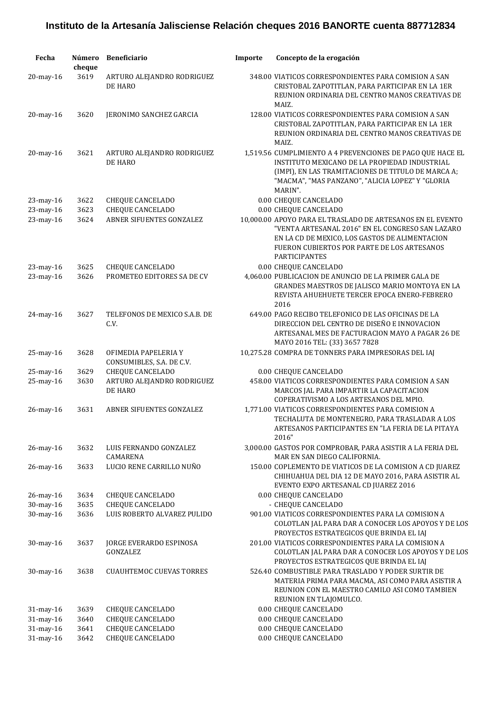| Fecha        | Número<br>cheque | <b>Beneficiario</b>                               | Importe | Concepto de la erogación                                                                                                                                                                                                                |
|--------------|------------------|---------------------------------------------------|---------|-----------------------------------------------------------------------------------------------------------------------------------------------------------------------------------------------------------------------------------------|
| 20-may-16    | 3619             | ARTURO ALEJANDRO RODRIGUEZ<br>DE HARO             |         | 348.00 VIATICOS CORRESPONDIENTES PARA COMISION A SAN<br>CRISTOBAL ZAPOTITLAN, PARA PARTICIPAR EN LA 1ER<br>REUNION ORDINARIA DEL CENTRO MANOS CREATIVAS DE<br>MAIZ.                                                                     |
| 20-may-16    | 3620             | JERONIMO SANCHEZ GARCIA                           |         | 128.00 VIATICOS CORRESPONDIENTES PARA COMISION A SAN<br>CRISTOBAL ZAPOTITLAN, PARA PARTICIPAR EN LA 1ER<br>REUNION ORDINARIA DEL CENTRO MANOS CREATIVAS DE<br>MAIZ.                                                                     |
| 20-may-16    | 3621             | ARTURO ALEJANDRO RODRIGUEZ<br>DE HARO             |         | 1,519.56 CUMPLIMIENTO A 4 PREVENCIONES DE PAGO QUE HACE EL<br>INSTITUTO MEXICANO DE LA PROPIEDAD INDUSTRIAL<br>(IMPI), EN LAS TRAMITACIONES DE TITULO DE MARCA A;<br>"MACMA", "MAS PANZANO", "ALICIA LOPEZ" Y "GLORIA<br>MARIN".        |
| 23-may-16    | 3622             | <b>CHEQUE CANCELADO</b>                           |         | 0.00 CHEQUE CANCELADO                                                                                                                                                                                                                   |
| 23-may-16    | 3623             | <b>CHEQUE CANCELADO</b>                           |         | 0.00 CHEQUE CANCELADO                                                                                                                                                                                                                   |
| 23-may-16    | 3624             | ABNER SIFUENTES GONZALEZ                          |         | 10,000.00 APOYO PARA EL TRASLADO DE ARTESANOS EN EL EVENTO<br>"VENTA ARTESANAL 2016" EN EL CONGRESO SAN LAZARO<br>EN LA CD DE MEXICO, LOS GASTOS DE ALIMENTACION<br>FUERON CUBIERTOS POR PARTE DE LOS ARTESANOS<br><b>PARTICIPANTES</b> |
| 23-may-16    | 3625             | <b>CHEQUE CANCELADO</b>                           |         | 0.00 CHEQUE CANCELADO                                                                                                                                                                                                                   |
| 23-may-16    | 3626             | PROMETEO EDITORES SA DE CV                        |         | 4,060.00 PUBLICACION DE ANUNCIO DE LA PRIMER GALA DE<br>GRANDES MAESTROS DE JALISCO MARIO MONTOYA EN LA<br>REVISTA AHUEHUETE TERCER EPOCA ENERO-FEBRERO<br>2016                                                                         |
| 24-may-16    | 3627             | TELEFONOS DE MEXICO S.A.B. DE<br>C.V.             |         | 649.00 PAGO RECIBO TELEFONICO DE LAS OFICINAS DE LA<br>DIRECCION DEL CENTRO DE DISEÑO E INNOVACION<br>ARTESANAL MES DE FACTURACION MAYO A PAGAR 26 DE<br>MAYO 2016 TEL: (33) 3657 7828                                                  |
| 25-may-16    | 3628             | OFIMEDIA PAPELERIA Y<br>CONSUMIBLES, S.A. DE C.V. |         | 10,275.28 COMPRA DE TONNERS PARA IMPRESORAS DEL IAJ                                                                                                                                                                                     |
| 25-may-16    | 3629             | <b>CHEQUE CANCELADO</b>                           |         | 0.00 CHEQUE CANCELADO                                                                                                                                                                                                                   |
| 25-may-16    | 3630             | ARTURO ALEJANDRO RODRIGUEZ<br>DE HARO             |         | 458.00 VIATICOS CORRESPONDIENTES PARA COMISION A SAN<br>MARCOS JAL PARA IMPARTIR LA CAPACITACION<br>COPERATIVISMO A LOS ARTESANOS DEL MPIO.                                                                                             |
| 26-may-16    | 3631             | ABNER SIFUENTES GONZALEZ                          |         | 1,771.00 VIATICOS CORRESPONDIENTES PARA COMISION A<br>TECHALUTA DE MONTENEGRO, PARA TRASLADAR A LOS<br>ARTESANOS PARTICIPANTES EN "LA FERIA DE LA PITAYA<br>2016"                                                                       |
| 26-may-16    | 3632             | LUIS FERNANDO GONZALEZ<br>CAMARENA                |         | 3,000.00 GASTOS POR COMPROBAR, PARA ASISTIR A LA FERIA DEL<br>MAR EN SAN DIEGO CALIFORNIA.                                                                                                                                              |
| 26-may-16    | 3633             | LUCIO RENE CARRILLO NUÑO                          |         | 150.00 COPLEMENTO DE VIATICOS DE LA COMISION A CD JUAREZ<br>CHIHUAHUA DEL DIA 12 DE MAYO 2016, PARA ASISTIR AL<br>EVENTO EXPO ARTESANAL CD JUAREZ 2016                                                                                  |
| 26-may-16    | 3634             | <b>CHEQUE CANCELADO</b>                           |         | 0.00 CHEQUE CANCELADO                                                                                                                                                                                                                   |
| 30-may-16    | 3635             | <b>CHEQUE CANCELADO</b>                           |         | - CHEQUE CANCELADO                                                                                                                                                                                                                      |
| 30-may-16    | 3636             | LUIS ROBERTO ALVAREZ PULIDO                       |         | 901.00 VIATICOS CORRESPONDIENTES PARA LA COMISION A<br>COLOTLAN JAL PARA DAR A CONOCER LOS APOYOS Y DE LOS<br>PROYECTOS ESTRATEGICOS QUE BRINDA EL IAJ                                                                                  |
| 30-may-16    | 3637             | JORGE EVERARDO ESPINOSA<br>GONZALEZ               |         | 201.00 VIATICOS CORRESPONDIENTES PARA LA COMISION A<br>COLOTLAN JAL PARA DAR A CONOCER LOS APOYOS Y DE LOS                                                                                                                              |
| $30$ -may-16 | 3638             | <b>CUAUHTEMOC CUEVAS TORRES</b>                   |         | PROYECTOS ESTRATEGICOS QUE BRINDA EL IAJ<br>526.40 COMBUSTIBLE PARA TRASLADO Y PODER SURTIR DE<br>MATERIA PRIMA PARA MACMA, ASI COMO PARA ASISTIR A<br>REUNION CON EL MAESTRO CAMILO ASI COMO TAMBIEN<br>REUNION EN TLAJOMULCO.         |
| 31-may-16    | 3639             | <b>CHEQUE CANCELADO</b>                           |         | 0.00 CHEQUE CANCELADO                                                                                                                                                                                                                   |
| 31-may-16    | 3640             | <b>CHEQUE CANCELADO</b>                           |         | 0.00 CHEQUE CANCELADO                                                                                                                                                                                                                   |
| 31-may-16    | 3641             | <b>CHEQUE CANCELADO</b>                           |         | 0.00 CHEQUE CANCELADO                                                                                                                                                                                                                   |
| 31-may-16    | 3642             | <b>CHEQUE CANCELADO</b>                           |         | 0.00 CHEQUE CANCELADO                                                                                                                                                                                                                   |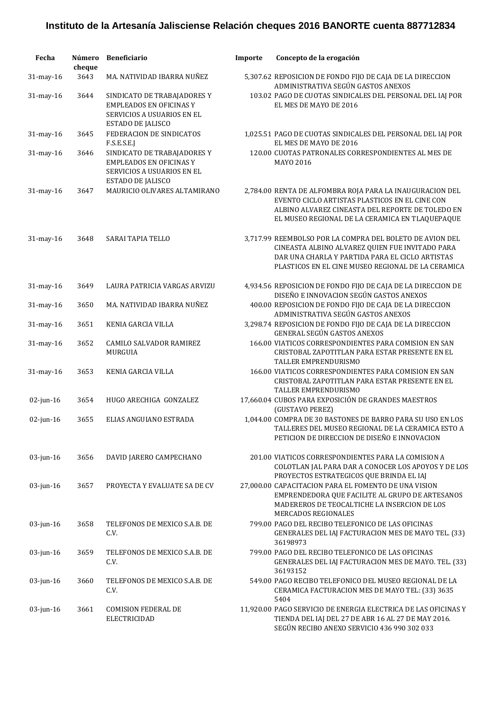| Fecha        | Número<br>cheque | <b>Beneficiario</b>                                                                                              | Importe | Concepto de la erogación                                                                                                                                                                                             |
|--------------|------------------|------------------------------------------------------------------------------------------------------------------|---------|----------------------------------------------------------------------------------------------------------------------------------------------------------------------------------------------------------------------|
| 31-may-16    | 3643             | MA. NATIVIDAD IBARRA NUÑEZ                                                                                       |         | 5,307.62 REPOSICION DE FONDO FIJO DE CAJA DE LA DIRECCION<br>ADMINISTRATIVA SEGÚN GASTOS ANEXOS                                                                                                                      |
| 31-may-16    | 3644             | SINDICATO DE TRABAJADORES Y<br><b>EMPLEADOS EN OFICINAS Y</b><br>SERVICIOS A USUARIOS EN EL<br>ESTADO DE JALISCO |         | 103.02 PAGO DE CUOTAS SINDICALES DEL PERSONAL DEL IAJ POR<br>EL MES DE MAYO DE 2016                                                                                                                                  |
| 31-may-16    | 3645             | FEDERACION DE SINDICATOS<br>F.S.E.S.E.J                                                                          |         | 1,025.51 PAGO DE CUOTAS SINDICALES DEL PERSONAL DEL IAJ POR<br>EL MES DE MAYO DE 2016                                                                                                                                |
| 31-may-16    | 3646             | SINDICATO DE TRABAJADORES Y<br><b>EMPLEADOS EN OFICINAS Y</b><br>SERVICIOS A USUARIOS EN EL<br>ESTADO DE JALISCO |         | 120.00 CUOTAS PATRONALES CORRESPONDIENTES AL MES DE<br>MAYO 2016                                                                                                                                                     |
| 31-may-16    | 3647             | MAURICIO OLIVARES ALTAMIRANO                                                                                     |         | 2,784.00 RENTA DE ALFOMBRA ROJA PARA LA INAUGURACION DEL<br>EVENTO CICLO ARTISTAS PLASTICOS EN EL CINE CON<br>ALBINO ALVAREZ CINEASTA DEL REPORTE DE TOLEDO EN<br>EL MUSEO REGIONAL DE LA CERAMICA EN TLAQUEPAQUE    |
| 31-may-16    | 3648             | SARAI TAPIA TELLO                                                                                                |         | 3,717.99 REEMBOLSO POR LA COMPRA DEL BOLETO DE AVION DEL<br>CINEASTA ALBINO ALVAREZ QUIEN FUE INVITADO PARA<br>DAR UNA CHARLA Y PARTIDA PARA EL CICLO ARTISTAS<br>PLASTICOS EN EL CINE MUSEO REGIONAL DE LA CERAMICA |
| 31-may-16    | 3649             | LAURA PATRICIA VARGAS ARVIZU                                                                                     |         | 4,934.56 REPOSICION DE FONDO FIJO DE CAJA DE LA DIRECCION DE<br>DISEÑO E INNOVACION SEGÚN GASTOS ANEXOS                                                                                                              |
| 31-may-16    | 3650             | MA. NATIVIDAD IBARRA NUÑEZ                                                                                       |         | 400.00 REPOSICION DE FONDO FIJO DE CAJA DE LA DIRECCION<br>ADMINISTRATIVA SEGÚN GASTOS ANEXOS                                                                                                                        |
| 31-may-16    | 3651             | KENIA GARCIA VILLA                                                                                               |         | 3,298.74 REPOSICION DE FONDO FIJO DE CAJA DE LA DIRECCION<br>GENERAL SEGÚN GASTOS ANEXOS                                                                                                                             |
| 31-may-16    | 3652             | CAMILO SALVADOR RAMIREZ<br>MURGUIA                                                                               |         | 166.00 VIATICOS CORRESPONDIENTES PARA COMISION EN SAN<br>CRISTOBAL ZAPOTITLAN PARA ESTAR PRESENTE EN EL<br>TALLER EMPRENDURISMO                                                                                      |
| 31-may-16    | 3653             | <b>KENIA GARCIA VILLA</b>                                                                                        |         | 166.00 VIATICOS CORRESPONDIENTES PARA COMISION EN SAN<br>CRISTOBAL ZAPOTITLAN PARA ESTAR PRESENTE EN EL<br>TALLER EMPRENDURISMO                                                                                      |
| $02$ -jun-16 | 3654             | HUGO ARECHIGA GONZALEZ                                                                                           |         | 17,660.04 CUBOS PARA EXPOSICIÓN DE GRANDES MAESTROS<br>(GUSTAVO PEREZ)                                                                                                                                               |
| $02$ -jun-16 | 3655             | ELIAS ANGUIANO ESTRADA                                                                                           |         | 1,044.00 COMPRA DE 30 BASTONES DE BARRO PARA SU USO EN LOS<br>TALLERES DEL MUSEO REGIONAL DE LA CERAMICA ESTO A<br>PETICION DE DIRECCION DE DISEÑO E INNOVACION                                                      |
| $03$ -jun-16 | 3656             | DAVID JARERO CAMPECHANO                                                                                          |         | 201.00 VIATICOS CORRESPONDIENTES PARA LA COMISION A<br>COLOTLAN JAL PARA DAR A CONOCER LOS APOYOS Y DE LOS<br>PROYECTOS ESTRATEGICOS QUE BRINDA EL IAJ                                                               |
| $03$ -jun-16 | 3657             | PROYECTA Y EVALUATE SA DE CV                                                                                     |         | 27,000.00 CAPACITACION PARA EL FOMENTO DE UNA VISION<br>EMPRENDEDORA QUE FACILITE AL GRUPO DE ARTESANOS<br>MADEREROS DE TEOCALTICHE LA INSERCION DE LOS<br><b>MERCADOS REGIONALES</b>                                |
| 03-jun-16    | 3658             | TELEFONOS DE MEXICO S.A.B. DE<br>C.V.                                                                            |         | 799.00 PAGO DEL RECIBO TELEFONICO DE LAS OFICINAS<br>GENERALES DEL IAJ FACTURACION MES DE MAYO TEL. (33)<br>36198973                                                                                                 |
| 03-jun-16    | 3659             | TELEFONOS DE MEXICO S.A.B. DE<br>C.V.                                                                            |         | 799.00 PAGO DEL RECIBO TELEFONICO DE LAS OFICINAS<br>GENERALES DEL IAJ FACTURACION MES DE MAYO. TEL. (33)<br>36193152                                                                                                |
| $03$ -jun-16 | 3660             | TELEFONOS DE MEXICO S.A.B. DE<br>C.V.                                                                            |         | 549.00 PAGO RECIBO TELEFONICO DEL MUSEO REGIONAL DE LA<br>CERAMICA FACTURACION MES DE MAYO TEL: (33) 3635<br>5404                                                                                                    |
| $03$ -jun-16 | 3661             | <b>COMISION FEDERAL DE</b><br><b>ELECTRICIDAD</b>                                                                |         | 11,920.00 PAGO SERVICIO DE ENERGIA ELECTRICA DE LAS OFICINAS Y<br>TIENDA DEL IAJ DEL 27 DE ABR 16 AL 27 DE MAY 2016.<br>SEGÚN RECIBO ANEXO SERVICIO 436 990 302 033                                                  |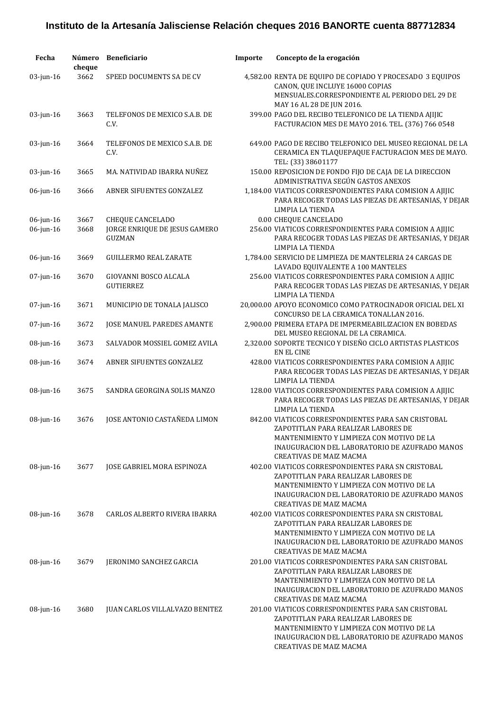| Fecha        | Número<br>cheque | <b>Beneficiario</b>                              | Importe | Concepto de la erogación                                                                                                                                                                                                    |
|--------------|------------------|--------------------------------------------------|---------|-----------------------------------------------------------------------------------------------------------------------------------------------------------------------------------------------------------------------------|
| $03$ -jun-16 | 3662             | SPEED DOCUMENTS SA DE CV                         |         | 4,582.00 RENTA DE EQUIPO DE COPIADO Y PROCESADO 3 EQUIPOS<br>CANON, QUE INCLUYE 16000 COPIAS<br>MENSUALES.CORRESPONDIENTE AL PERIODO DEL 29 DE<br>MAY 16 AL 28 DE JUN 2016.                                                 |
| $03$ -jun-16 | 3663             | TELEFONOS DE MEXICO S.A.B. DE<br>C.V.            |         | 399.00 PAGO DEL RECIBO TELEFONICO DE LA TIENDA AJIJIC<br>FACTURACION MES DE MAYO 2016. TEL. (376) 766 0548                                                                                                                  |
| 03-jun-16    | 3664             | TELEFONOS DE MEXICO S.A.B. DE<br>C.V.            |         | 649.00 PAGO DE RECIBO TELEFONICO DEL MUSEO REGIONAL DE LA<br>CERAMICA EN TLAQUEPAQUE FACTURACION MES DE MAYO.<br>TEL: (33) 38601177                                                                                         |
| 03-jun-16    | 3665             | MA. NATIVIDAD IBARRA NUÑEZ                       |         | 150.00 REPOSICION DE FONDO FIJO DE CAJA DE LA DIRECCION<br>ADMINISTRATIVA SEGÚN GASTOS ANEXOS                                                                                                                               |
| 06-jun-16    | 3666             | ABNER SIFUENTES GONZALEZ                         |         | 1,184.00 VIATICOS CORRESPONDIENTES PARA COMISION A AJIJIC<br>PARA RECOGER TODAS LAS PIEZAS DE ARTESANIAS, Y DEJAR<br>LIMPIA LA TIENDA                                                                                       |
| $06$ -jun-16 | 3667             | <b>CHEQUE CANCELADO</b>                          |         | 0.00 CHEQUE CANCELADO                                                                                                                                                                                                       |
| $06$ -jun-16 | 3668             | JORGE ENRIQUE DE JESUS GAMERO<br><b>GUZMAN</b>   |         | 256.00 VIATICOS CORRESPONDIENTES PARA COMISION A AJIJIC<br>PARA RECOGER TODAS LAS PIEZAS DE ARTESANIAS, Y DEJAR<br>LIMPIA LA TIENDA                                                                                         |
| $06$ -jun-16 | 3669             | <b>GUILLERMO REAL ZARATE</b>                     |         | 1,784.00 SERVICIO DE LIMPIEZA DE MANTELERIA 24 CARGAS DE<br>LAVADO EQUIVALENTE A 100 MANTELES                                                                                                                               |
| $07$ -jun-16 | 3670             | <b>GIOVANNI BOSCO ALCALA</b><br><b>GUTIERREZ</b> |         | 256.00 VIATICOS CORRESPONDIENTES PARA COMISION A AJIJIC<br>PARA RECOGER TODAS LAS PIEZAS DE ARTESANIAS, Y DEJAR<br>LIMPIA LA TIENDA                                                                                         |
| 07-jun-16    | 3671             | MUNICIPIO DE TONALA JALISCO                      |         | 20,000.00 APOYO ECONOMICO COMO PATROCINADOR OFICIAL DEL XI<br>CONCURSO DE LA CERAMICA TONALLAN 2016.                                                                                                                        |
| 07-jun-16    | 3672             | JOSE MANUEL PAREDES AMANTE                       |         | 2,900.00 PRIMERA ETAPA DE IMPERMEABILIZACION EN BOBEDAS<br>DEL MUSEO REGIONAL DE LA CERAMICA.                                                                                                                               |
| 08-jun-16    | 3673             | SALVADOR MOSSIEL GOMEZ AVILA                     |         | 2,320.00 SOPORTE TECNICO Y DISEÑO CICLO ARTISTAS PLASTICOS<br><b>EN EL CINE</b>                                                                                                                                             |
| 08-jun-16    | 3674             | ABNER SIFUENTES GONZALEZ                         |         | 428.00 VIATICOS CORRESPONDIENTES PARA COMISION A AJIJIC<br>PARA RECOGER TODAS LAS PIEZAS DE ARTESANIAS, Y DEJAR<br>LIMPIA LA TIENDA                                                                                         |
| $08$ -jun-16 | 3675             | SANDRA GEORGINA SOLIS MANZO                      |         | 128.00 VIATICOS CORRESPONDIENTES PARA COMISION A AJIJIC<br>PARA RECOGER TODAS LAS PIEZAS DE ARTESANIAS, Y DEJAR<br>LIMPIA LA TIENDA                                                                                         |
| 08-jun-16    | 3676             | JOSE ANTONIO CASTAÑEDA LIMON                     |         | 842.00 VIATICOS CORRESPONDIENTES PARA SAN CRISTOBAL<br>ZAPOTITLAN PARA REALIZAR LABORES DE<br>MANTENIMIENTO Y LIMPIEZA CON MOTIVO DE LA<br>INAUGURACION DEL LABORATORIO DE AZUFRADO MANOS<br><b>CREATIVAS DE MAIZ MACMA</b> |
| $08$ -jun-16 | 3677             | JOSE GABRIEL MORA ESPINOZA                       |         | 402.00 VIATICOS CORRESPONDIENTES PARA SN CRISTOBAL<br>ZAPOTITLAN PARA REALIZAR LABORES DE<br>MANTENIMIENTO Y LIMPIEZA CON MOTIVO DE LA<br>INAUGURACION DEL LABORATORIO DE AZUFRADO MANOS<br><b>CREATIVAS DE MAIZ MACMA</b>  |
| 08-jun-16    | 3678             | <b>CARLOS ALBERTO RIVERA IBARRA</b>              |         | 402.00 VIATICOS CORRESPONDIENTES PARA SN CRISTOBAL<br>ZAPOTITLAN PARA REALIZAR LABORES DE<br>MANTENIMIENTO Y LIMPIEZA CON MOTIVO DE LA<br>INAUGURACION DEL LABORATORIO DE AZUFRADO MANOS<br><b>CREATIVAS DE MAIZ MACMA</b>  |
| 08-jun-16    | 3679             | JERONIMO SANCHEZ GARCIA                          |         | 201.00 VIATICOS CORRESPONDIENTES PARA SAN CRISTOBAL<br>ZAPOTITLAN PARA REALIZAR LABORES DE<br>MANTENIMIENTO Y LIMPIEZA CON MOTIVO DE LA<br>INAUGURACION DEL LABORATORIO DE AZUFRADO MANOS<br><b>CREATIVAS DE MAIZ MACMA</b> |
| 08-jun-16    | 3680             | JUAN CARLOS VILLALVAZO BENITEZ                   |         | 201.00 VIATICOS CORRESPONDIENTES PARA SAN CRISTOBAL<br>ZAPOTITLAN PARA REALIZAR LABORES DE<br>MANTENIMIENTO Y LIMPIEZA CON MOTIVO DE LA<br>INAUGURACION DEL LABORATORIO DE AZUFRADO MANOS<br><b>CREATIVAS DE MAIZ MACMA</b> |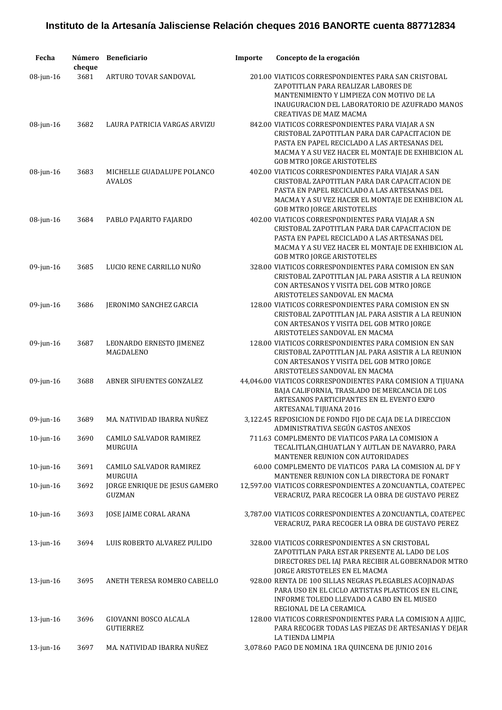| Fecha           | Número<br>cheque | <b>Beneficiario</b>                         | Importe | Concepto de la erogación                                                                                                                                                                                                                       |
|-----------------|------------------|---------------------------------------------|---------|------------------------------------------------------------------------------------------------------------------------------------------------------------------------------------------------------------------------------------------------|
| 08-jun-16       | 3681             | ARTURO TOVAR SANDOVAL                       |         | 201.00 VIATICOS CORRESPONDIENTES PARA SAN CRISTOBAL<br>ZAPOTITLAN PARA REALIZAR LABORES DE<br>MANTENIMIENTO Y LIMPIEZA CON MOTIVO DE LA<br>INAUGURACION DEL LABORATORIO DE AZUFRADO MANOS<br>CREATIVAS DE MAIZ MACMA                           |
| 08-jun-16       | 3682             | LAURA PATRICIA VARGAS ARVIZU                |         | 842.00 VIATICOS CORRESPONDIENTES PARA VIAJAR A SN<br>CRISTOBAL ZAPOTITLAN PARA DAR CAPACITACION DE<br>PASTA EN PAPEL RECICLADO A LAS ARTESANAS DEL<br>MACMA Y A SU VEZ HACER EL MONTAJE DE EXHIBICION AL<br><b>GOB MTRO JORGE ARISTOTELES</b>  |
| 08-jun-16       | 3683             | MICHELLE GUADALUPE POLANCO<br><b>AVALOS</b> |         | 402.00 VIATICOS CORRESPONDIENTES PARA VIAJAR A SAN<br>CRISTOBAL ZAPOTITLAN PARA DAR CAPACITACION DE<br>PASTA EN PAPEL RECICLADO A LAS ARTESANAS DEL<br>MACMA Y A SU VEZ HACER EL MONTAJE DE EXHIBICION AL<br><b>GOB MTRO JORGE ARISTOTELES</b> |
| $08$ -jun-16    | 3684             | PABLO PAJARITO FAJARDO                      |         | 402.00 VIATICOS CORRESPONDIENTES PARA VIAJAR A SN<br>CRISTOBAL ZAPOTITLAN PARA DAR CAPACITACION DE<br>PASTA EN PAPEL RECICLADO A LAS ARTESANAS DEL<br>MACMA Y A SU VEZ HACER EL MONTAJE DE EXHIBICION AL<br><b>GOB MTRO JORGE ARISTOTELES</b>  |
| $09$ -jun-16    | 3685             | LUCIO RENE CARRILLO NUÑO                    |         | 328.00 VIATICOS CORRESPONDIENTES PARA COMISION EN SAN<br>CRISTOBAL ZAPOTITLAN JAL PARA ASISTIR A LA REUNION<br>CON ARTESANOS Y VISITA DEL GOB MTRO JORGE<br>ARISTOTELES SANDOVAL EN MACMA                                                      |
| $09$ -jun-16    | 3686             | JERONIMO SANCHEZ GARCIA                     |         | 128.00 VIATICOS CORRESPONDIENTES PARA COMISION EN SN<br>CRISTOBAL ZAPOTITLAN JAL PARA ASISTIR A LA REUNION<br>CON ARTESANOS Y VISITA DEL GOB MTRO JORGE<br>ARISTOTELES SANDOVAL EN MACMA                                                       |
| $09$ -jun-16    | 3687             | LEONARDO ERNESTO JIMENEZ<br>MAGDALENO       |         | 128.00 VIATICOS CORRESPONDIENTES PARA COMISION EN SAN<br>CRISTOBAL ZAPOTITLAN JAL PARA ASISTIR A LA REUNION<br>CON ARTESANOS Y VISITA DEL GOB MTRO JORGE<br>ARISTOTELES SANDOVAL EN MACMA                                                      |
| $09$ -jun-16    | 3688             | ABNER SIFUENTES GONZALEZ                    |         | 44,046.00 VIATICOS CORRESPONDIENTES PARA COMISION A TIJUANA<br>BAJA CALIFORNIA, TRASLADO DE MERCANCIA DE LOS<br>ARTESANOS PARTICIPANTES EN EL EVENTO EXPO<br>ARTESANAL TIJUANA 2016                                                            |
| $09$ -jun-16    | 3689             | MA. NATIVIDAD IBARRA NUÑEZ                  |         | 3,122.45 REPOSICION DE FONDO FIJO DE CAJA DE LA DIRECCION<br>ADMINISTRATIVA SEGÚN GASTOS ANEXOS                                                                                                                                                |
| $10$ -jun- $16$ | 3690             | CAMILO SALVADOR RAMIREZ<br>MURGUIA          |         | 711.63 COMPLEMENTO DE VIATICOS PARA LA COMISION A<br>TECALITLAN, CIHUATLAN Y AUTLAN DE NAVARRO, PARA<br>MANTENER REUNION CON AUTORIDADES                                                                                                       |
| $10$ -jun- $16$ | 3691             | CAMILO SALVADOR RAMIREZ<br><b>MURGUIA</b>   |         | 60.00 COMPLEMENTO DE VIATICOS PARA LA COMISION AL DF Y<br>MANTENER REUNION CON LA DIRECTORA DE FONART                                                                                                                                          |
| $10$ -jun- $16$ | 3692             | JORGE ENRIQUE DE JESUS GAMERO<br>GUZMAN     |         | 12,597.00 VIATICOS CORRESPONDIENTES A ZONCUANTLA, COATEPEC<br>VERACRUZ, PARA RECOGER LA OBRA DE GUSTAVO PEREZ                                                                                                                                  |
| $10$ -jun- $16$ | 3693             | JOSE JAIME CORAL ARANA                      |         | 3,787.00 VIATICOS CORRESPONDIENTES A ZONCUANTLA, COATEPEC<br>VERACRUZ, PARA RECOGER LA OBRA DE GUSTAVO PEREZ                                                                                                                                   |
| 13-jun-16       | 3694             | LUIS ROBERTO ALVAREZ PULIDO                 |         | 328.00 VIATICOS CORRESPONDIENTES A SN CRISTOBAL<br>ZAPOTITLAN PARA ESTAR PRESENTE AL LADO DE LOS<br>DIRECTORES DEL IAJ PARA RECIBIR AL GOBERNADOR MTRO<br>JORGE ARISTOTELES EN EL MACMA                                                        |
| $13$ -jun-16    | 3695             | ANETH TERESA ROMERO CABELLO                 |         | 928.00 RENTA DE 100 SILLAS NEGRAS PLEGABLES ACOJINADAS<br>PARA USO EN EL CICLO ARTISTAS PLASTICOS EN EL CINE,<br>INFORME TOLEDO LLEVADO A CABO EN EL MUSEO<br>REGIONAL DE LA CERAMICA.                                                         |
| $13$ -jun-16    | 3696             | GIOVANNI BOSCO ALCALA<br><b>GUTIERREZ</b>   |         | 128.00 VIATICOS CORRESPONDIENTES PARA LA COMISION A AJIJIC,<br>PARA RECOGER TODAS LAS PIEZAS DE ARTESANIAS Y DEJAR<br>LA TIENDA LIMPIA                                                                                                         |
| $13$ -jun-16    | 3697             | MA. NATIVIDAD IBARRA NUÑEZ                  |         | 3,078.60 PAGO DE NOMINA 1RA QUINCENA DE JUNIO 2016                                                                                                                                                                                             |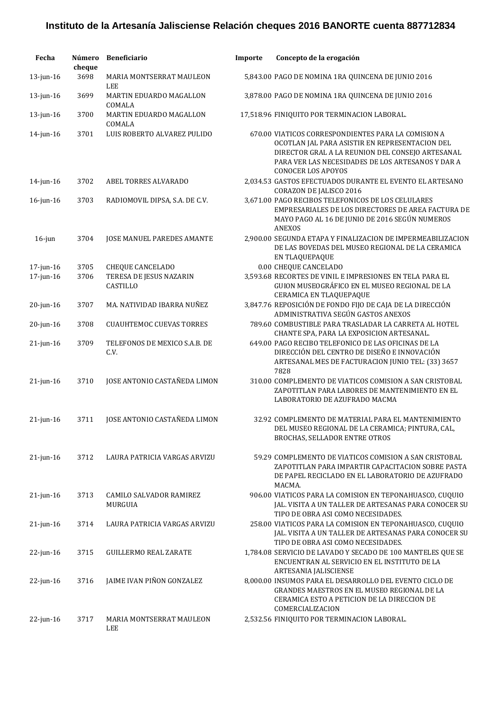| Fecha           | Número<br>cheque | <b>Beneficiario</b>                    | Importe | Concepto de la erogación                                                                                                                                                                                                                    |
|-----------------|------------------|----------------------------------------|---------|---------------------------------------------------------------------------------------------------------------------------------------------------------------------------------------------------------------------------------------------|
| 13-jun-16       | 3698             | MARIA MONTSERRAT MAULEON<br><b>LEE</b> |         | 5,843.00 PAGO DE NOMINA 1RA QUINCENA DE JUNIO 2016                                                                                                                                                                                          |
| 13-jun-16       | 3699             | MARTIN EDUARDO MAGALLON<br>COMALA      |         | 3,878.00 PAGO DE NOMINA 1RA QUINCENA DE JUNIO 2016                                                                                                                                                                                          |
| 13-jun-16       | 3700             | MARTIN EDUARDO MAGALLON<br>COMALA      |         | 17,518.96 FINIQUITO POR TERMINACION LABORAL.                                                                                                                                                                                                |
| 14-jun-16       | 3701             | LUIS ROBERTO ALVAREZ PULIDO            |         | 670.00 VIATICOS CORRESPONDIENTES PARA LA COMISION A<br>OCOTLAN JAL PARA ASISTIR EN REPRESENTACION DEL<br>DIRECTOR GRAL A LA REUNION DEL CONSEJO ARTESANAL<br>PARA VER LAS NECESIDADES DE LOS ARTESANOS Y DAR A<br><b>CONOCER LOS APOYOS</b> |
| $14$ -jun- $16$ | 3702             | ABEL TORRES ALVARADO                   |         | 2,034.53 GASTOS EFECTUADOS DURANTE EL EVENTO EL ARTESANO<br>CORAZON DE JALISCO 2016                                                                                                                                                         |
| $16$ -jun- $16$ | 3703             | RADIOMOVIL DIPSA, S.A. DE C.V.         |         | 3,671.00 PAGO RECIBOS TELEFONICOS DE LOS CELULARES<br>EMPRESARIALES DE LOS DIRECTORES DE AREA FACTURA DE<br>MAYO PAGO AL 16 DE JUNIO DE 2016 SEGÚN NUMEROS<br><b>ANEXOS</b>                                                                 |
| $16$ -jun       | 3704             | JOSE MANUEL PAREDES AMANTE             |         | 2,900.00 SEGUNDA ETAPA Y FINALIZACION DE IMPERMEABILIZACION<br>DE LAS BOVEDAS DEL MUSEO REGIONAL DE LA CERAMICA<br>EN TLAQUEPAQUE                                                                                                           |
| 17-jun-16       | 3705             | <b>CHEQUE CANCELADO</b>                |         | 0.00 CHEQUE CANCELADO                                                                                                                                                                                                                       |
| 17-jun-16       | 3706             | TERESA DE JESUS NAZARIN<br>CASTILLO    |         | 3,593.68 RECORTES DE VINIL E IMPRESIONES EN TELA PARA EL<br>GUION MUSEOGRÁFICO EN EL MUSEO REGIONAL DE LA<br>CERAMICA EN TLAQUEPAQUE                                                                                                        |
| 20-jun-16       | 3707             | MA. NATIVIDAD IBARRA NUÑEZ             |         | 3,847.76 REPOSICIÓN DE FONDO FIJO DE CAJA DE LA DIRECCIÓN<br>ADMINISTRATIVA SEGÚN GASTOS ANEXOS                                                                                                                                             |
| 20-jun-16       | 3708             | <b>CUAUHTEMOC CUEVAS TORRES</b>        |         | 789.60 COMBUSTIBLE PARA TRASLADAR LA CARRETA AL HOTEL<br>CHANTE SPA, PARA LA EXPOSICION ARTESANAL.                                                                                                                                          |
| $21$ -jun- $16$ | 3709             | TELEFONOS DE MEXICO S.A.B. DE<br>C.V.  |         | 649.00 PAGO RECIBO TELEFONICO DE LAS OFICINAS DE LA<br>DIRECCIÓN DEL CENTRO DE DISEÑO E INNOVACIÓN<br>ARTESANAL MES DE FACTURACION JUNIO TEL: (33) 3657<br>7828                                                                             |
| $21$ -jun- $16$ | 3710             | JOSE ANTONIO CASTAÑEDA LIMON           |         | 310.00 COMPLEMENTO DE VIATICOS COMISION A SAN CRISTOBAL<br>ZAPOTITLAN PARA LABORES DE MANTENIMIENTO EN EL<br>LABORATORIO DE AZUFRADO MACMA                                                                                                  |
| $21$ -jun-16    | 3711             | <b>JOSE ANTONIO CASTAÑEDA LIMON</b>    |         | 32.92 COMPLEMENTO DE MATERIAL PARA EL MANTENIMIENTO<br>DEL MUSEO REGIONAL DE LA CERAMICA; PINTURA, CAL,<br>BROCHAS, SELLADOR ENTRE OTROS                                                                                                    |
| $21$ -jun-16    | 3712             | LAURA PATRICIA VARGAS ARVIZU           |         | 59.29 COMPLEMENTO DE VIATICOS COMISION A SAN CRISTOBAL<br>ZAPOTITLAN PARA IMPARTIR CAPACITACION SOBRE PASTA<br>DE PAPEL RECICLADO EN EL LABORATORIO DE AZUFRADO<br>MACMA.                                                                   |
| $21$ -jun- $16$ | 3713             | CAMILO SALVADOR RAMIREZ<br>MURGUIA     |         | 906.00 VIATICOS PARA LA COMISION EN TEPONAHUASCO, CUQUIO<br>JAL. VISITA A UN TALLER DE ARTESANAS PARA CONOCER SU<br>TIPO DE OBRA ASI COMO NECESIDADES.                                                                                      |
| $21$ -jun- $16$ | 3714             | LAURA PATRICIA VARGAS ARVIZU           |         | 258.00 VIATICOS PARA LA COMISION EN TEPONAHUASCO, CUQUIO<br>JAL. VISITA A UN TALLER DE ARTESANAS PARA CONOCER SU<br>TIPO DE OBRA ASI COMO NECESIDADES.                                                                                      |
| 22-jun-16       | 3715             | <b>GUILLERMO REAL ZARATE</b>           |         | 1,784.08 SERVICIO DE LAVADO Y SECADO DE 100 MANTELES QUE SE<br>ENCUENTRAN AL SERVICIO EN EL INSTITUTO DE LA<br>ARTESANIA JALISCIENSE                                                                                                        |
| $22$ -jun-16    | 3716             | JAIME IVAN PIÑON GONZALEZ              |         | 8,000.00 INSUMOS PARA EL DESARROLLO DEL EVENTO CICLO DE<br>GRANDES MAESTROS EN EL MUSEO REGIONAL DE LA<br>CERAMICA ESTO A PETICION DE LA DIRECCION DE<br>COMERCIALIZACION                                                                   |
| 22-jun-16       | 3717             | <b>MARIA MONTSERRAT MAULEON</b><br>LEE |         | 2,532.56 FINIQUITO POR TERMINACION LABORAL.                                                                                                                                                                                                 |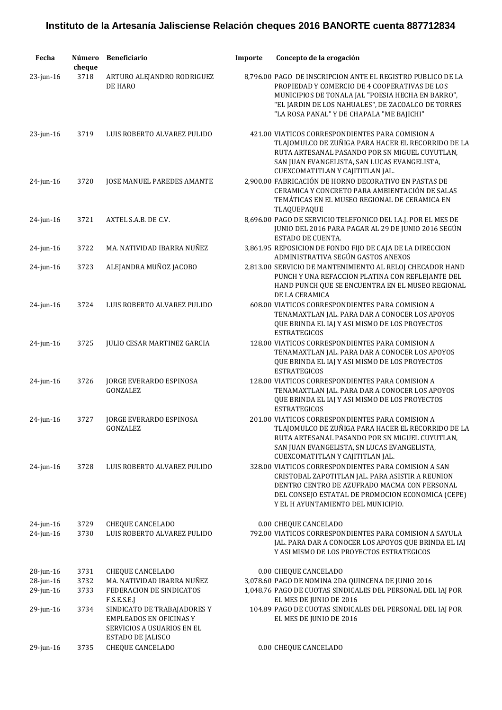| Fecha                        | Número<br>cheque | <b>Beneficiario</b>                                                                                                             | Importe | Concepto de la erogación                                                                                                                                                                                                                                             |
|------------------------------|------------------|---------------------------------------------------------------------------------------------------------------------------------|---------|----------------------------------------------------------------------------------------------------------------------------------------------------------------------------------------------------------------------------------------------------------------------|
| $23$ -jun-16                 | 3718             | ARTURO ALEJANDRO RODRIGUEZ<br>DE HARO                                                                                           |         | 8,796.00 PAGO DE INSCRIPCION ANTE EL REGISTRO PUBLICO DE LA<br>PROPIEDAD Y COMERCIO DE 4 COOPERATIVAS DE LOS<br>MUNICIPIOS DE TONALA JAL "POESIA HECHA EN BARRO",<br>"EL JARDIN DE LOS NAHUALES", DE ZACOALCO DE TORRES<br>"LA ROSA PANAL" Y DE CHAPALA "ME BAJICHI" |
| $23$ -jun-16                 | 3719             | LUIS ROBERTO ALVAREZ PULIDO                                                                                                     |         | 421.00 VIATICOS CORRESPONDIENTES PARA COMISION A<br>TLAJOMULCO DE ZUÑIGA PARA HACER EL RECORRIDO DE LA<br>RUTA ARTESANAL PASANDO POR SN MIGUEL CUYUTLAN,<br>SAN JUAN EVANGELISTA, SAN LUCAS EVANGELISTA,<br>CUEXCOMATITLAN Y CAJITITLAN JAL.                         |
| 24-jun-16                    | 3720             | JOSE MANUEL PAREDES AMANTE                                                                                                      |         | 2,900.00 FABRICACIÓN DE HORNO DECORATIVO EN PASTAS DE<br>CERAMICA Y CONCRETO PARA AMBIENTACIÓN DE SALAS<br>TEMÁTICAS EN EL MUSEO REGIONAL DE CERAMICA EN<br>TLAQUEPAQUE                                                                                              |
| $24$ -jun-16                 | 3721             | AXTEL S.A.B. DE C.V.                                                                                                            |         | 8,696.00 PAGO DE SERVICIO TELEFONICO DEL I.A.J. POR EL MES DE<br>JUNIO DEL 2016 PARA PAGAR AL 29 DE JUNIO 2016 SEGÚN<br>ESTADO DE CUENTA.                                                                                                                            |
| $24$ -jun-16                 | 3722             | MA. NATIVIDAD IBARRA NUÑEZ                                                                                                      |         | 3,861.95 REPOSICION DE FONDO FIJO DE CAJA DE LA DIRECCION<br>ADMINISTRATIVA SEGÚN GASTOS ANEXOS                                                                                                                                                                      |
| $24$ -jun-16                 | 3723             | ALEJANDRA MUÑOZ JACOBO                                                                                                          |         | 2,813.00 SERVICIO DE MANTENIMIENTO AL RELOJ CHECADOR HAND<br>PUNCH Y UNA REFACCION PLATINA CON REFLEJANTE DEL<br>HAND PUNCH QUE SE ENCUENTRA EN EL MUSEO REGIONAL<br>DE LA CERAMICA                                                                                  |
| $24$ -jun-16                 | 3724             | LUIS ROBERTO ALVAREZ PULIDO                                                                                                     |         | 608.00 VIATICOS CORRESPONDIENTES PARA COMISION A<br>TENAMAXTLAN JAL. PARA DAR A CONOCER LOS APOYOS<br>QUE BRINDA EL IAJ Y ASI MISMO DE LOS PROYECTOS<br><b>ESTRATEGICOS</b>                                                                                          |
| $24$ -jun-16                 | 3725             | <b>JULIO CESAR MARTINEZ GARCIA</b>                                                                                              |         | 128.00 VIATICOS CORRESPONDIENTES PARA COMISION A<br>TENAMAXTLAN JAL. PARA DAR A CONOCER LOS APOYOS<br>QUE BRINDA EL IAJ Y ASI MISMO DE LOS PROYECTOS<br><b>ESTRATEGICOS</b>                                                                                          |
| 24-jun-16                    | 3726             | <b>JORGE EVERARDO ESPINOSA</b><br>GONZALEZ                                                                                      |         | 128.00 VIATICOS CORRESPONDIENTES PARA COMISION A<br>TENAMAXTLAN JAL. PARA DAR A CONOCER LOS APOYOS<br>QUE BRINDA EL IAJ Y ASI MISMO DE LOS PROYECTOS<br><b>ESTRATEGICOS</b>                                                                                          |
| $24$ -jun-16                 | 3727             | JORGE EVERARDO ESPINOSA<br>GONZALEZ                                                                                             |         | 201.00 VIATICOS CORRESPONDIENTES PARA COMISION A<br>TLAJOMULCO DE ZUÑIGA PARA HACER EL RECORRIDO DE LA<br>RUTA ARTESANAL PASANDO POR SN MIGUEL CUYUTLAN,<br>SAN JUAN EVANGELISTA, SN LUCAS EVANGELISTA,<br>CUEXCOMATITLAN Y CAJITITLAN JAL.                          |
| $24$ -jun-16                 | 3728             | LUIS ROBERTO ALVAREZ PULIDO                                                                                                     |         | 328.00 VIATICOS CORRESPONDIENTES PARA COMISION A SAN<br>CRISTOBAL ZAPOTITLAN JAL. PARA ASISTIR A REUNION<br>DENTRO CENTRO DE AZUFRADO MACMA CON PERSONAL<br>DEL CONSEJO ESTATAL DE PROMOCION ECONOMICA (CEPE)<br>Y EL H AYUNTAMIENTO DEL MUNICIPIO.                  |
| $24$ -jun-16<br>$24$ -jun-16 | 3729<br>3730     | <b>CHEQUE CANCELADO</b><br>LUIS ROBERTO ALVAREZ PULIDO                                                                          |         | 0.00 CHEQUE CANCELADO<br>792.00 VIATICOS CORRESPONDIENTES PARA COMISION A SAYULA<br>JAL. PARA DAR A CONOCER LOS APOYOS QUE BRINDA EL IAJ<br>Y ASI MISMO DE LOS PROYECTOS ESTRATEGICOS                                                                                |
| $28$ -jun-16                 | 3731             | <b>CHEQUE CANCELADO</b>                                                                                                         |         | 0.00 CHEQUE CANCELADO                                                                                                                                                                                                                                                |
| $28$ -jun-16<br>$29$ -jun-16 | 3732<br>3733     | MA. NATIVIDAD IBARRA NUÑEZ<br>FEDERACION DE SINDICATOS                                                                          |         | 3,078.60 PAGO DE NOMINA 2DA QUINCENA DE JUNIO 2016<br>1,048.76 PAGO DE CUOTAS SINDICALES DEL PERSONAL DEL IAJ POR                                                                                                                                                    |
| 29-jun-16                    | 3734             | F.S.E.S.E.J<br>SINDICATO DE TRABAJADORES Y<br><b>EMPLEADOS EN OFICINAS Y</b><br>SERVICIOS A USUARIOS EN EL<br>ESTADO DE JALISCO |         | EL MES DE JUNIO DE 2016<br>104.89 PAGO DE CUOTAS SINDICALES DEL PERSONAL DEL IAJ POR<br>EL MES DE JUNIO DE 2016                                                                                                                                                      |
| $29$ -jun-16                 | 3735             | <b>CHEQUE CANCELADO</b>                                                                                                         |         | 0.00 CHEQUE CANCELADO                                                                                                                                                                                                                                                |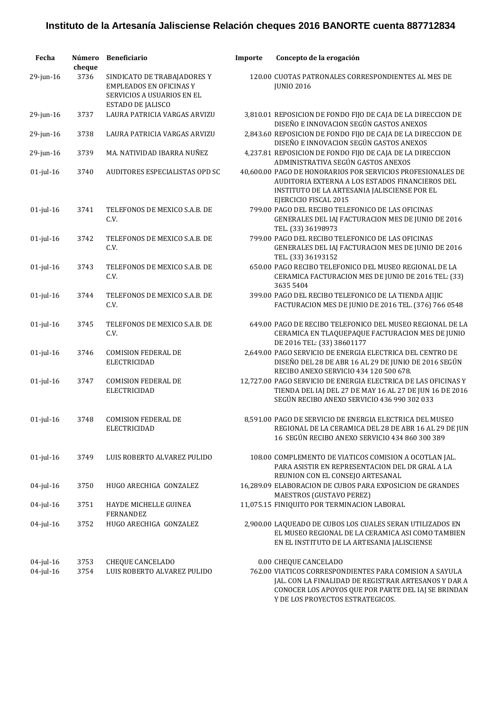| Fecha           | Número<br>cheque | <b>Beneficiario</b>                                                                                              | Importe | Concepto de la erogación                                                                                                                                                                |
|-----------------|------------------|------------------------------------------------------------------------------------------------------------------|---------|-----------------------------------------------------------------------------------------------------------------------------------------------------------------------------------------|
| 29-jun-16       | 3736             | SINDICATO DE TRABAJADORES Y<br><b>EMPLEADOS EN OFICINAS Y</b><br>SERVICIOS A USUARIOS EN EL<br>ESTADO DE JALISCO |         | 120.00 CUOTAS PATRONALES CORRESPONDIENTES AL MES DE<br><b>JUNIO 2016</b>                                                                                                                |
| 29-jun-16       | 3737             | LAURA PATRICIA VARGAS ARVIZU                                                                                     |         | 3,810.01 REPOSICION DE FONDO FIJO DE CAJA DE LA DIRECCION DE<br>DISEÑO E INNOVACION SEGÚN GASTOS ANEXOS                                                                                 |
| 29-jun-16       | 3738             | LAURA PATRICIA VARGAS ARVIZU                                                                                     |         | 2,843.60 REPOSICION DE FONDO FIJO DE CAJA DE LA DIRECCION DE<br>DISEÑO E INNOVACION SEGÚN GASTOS ANEXOS                                                                                 |
| $29$ -jun-16    | 3739             | MA. NATIVIDAD IBARRA NUÑEZ                                                                                       |         | 4,237.81 REPOSICION DE FONDO FIJO DE CAJA DE LA DIRECCION<br>ADMINISTRATIVA SEGÚN GASTOS ANEXOS                                                                                         |
| $01$ -jul- $16$ | 3740             | AUDITORES ESPECIALISTAS OPD SC                                                                                   |         | 40,600.00 PAGO DE HONORARIOS POR SERVICIOS PROFESIONALES DE<br>AUDITORIA EXTERNA A LOS ESTADOS FINANCIEROS DEL<br>INSTITUTO DE LA ARTESANIA JALISCIENSE POR EL<br>EJERCICIO FISCAL 2015 |
| $01$ -jul- $16$ | 3741             | TELEFONOS DE MEXICO S.A.B. DE<br>C.V.                                                                            |         | 799.00 PAGO DEL RECIBO TELEFONICO DE LAS OFICINAS<br>GENERALES DEL IAJ FACTURACION MES DE JUNIO DE 2016<br>TEL. (33) 36198973                                                           |
| $01$ -jul- $16$ | 3742             | TELEFONOS DE MEXICO S.A.B. DE<br>C.V.                                                                            |         | 799.00 PAGO DEL RECIBO TELEFONICO DE LAS OFICINAS<br>GENERALES DEL IAJ FACTURACION MES DE JUNIO DE 2016<br>TEL. (33) 36193152                                                           |
| $01$ -jul- $16$ | 3743             | TELEFONOS DE MEXICO S.A.B. DE<br>C.V.                                                                            |         | 650.00 PAGO RECIBO TELEFONICO DEL MUSEO REGIONAL DE LA<br>CERAMICA FACTURACION MES DE JUNIO DE 2016 TEL: (33)<br>3635 5404                                                              |
| $01$ -jul- $16$ | 3744             | TELEFONOS DE MEXICO S.A.B. DE<br>C.V.                                                                            |         | 399.00 PAGO DEL RECIBO TELEFONICO DE LA TIENDA AJIJIC<br>FACTURACION MES DE JUNIO DE 2016 TEL. (376) 766 0548                                                                           |
| $01$ -jul-16    | 3745             | TELEFONOS DE MEXICO S.A.B. DE<br>C.V.                                                                            |         | 649.00 PAGO DE RECIBO TELEFONICO DEL MUSEO REGIONAL DE LA<br>CERAMICA EN TLAQUEPAQUE FACTURACION MES DE JUNIO<br>DE 2016 TEL: (33) 38601177                                             |
| $01$ -jul- $16$ | 3746             | <b>COMISION FEDERAL DE</b><br><b>ELECTRICIDAD</b>                                                                |         | 2,649.00 PAGO SERVICIO DE ENERGIA ELECTRICA DEL CENTRO DE<br>DISEÑO DEL 28 DE ABR 16 AL 29 DE JUNIO DE 2016 SEGÚN<br>RECIBO ANEXO SERVICIO 434 120 500 678.                             |
| $01$ -jul- $16$ | 3747             | <b>COMISION FEDERAL DE</b><br><b>ELECTRICIDAD</b>                                                                |         | 12,727.00 PAGO SERVICIO DE ENERGIA ELECTRICA DE LAS OFICINAS Y<br>TIENDA DEL IAJ DEL 27 DE MAY 16 AL 27 DE JUN 16 DE 2016<br>SEGÚN RECIBO ANEXO SERVICIO 436 990 302 033                |
| $01$ -jul-16    | 3748             | <b>COMISION FEDERAL DE</b><br>ELECTRICIDAD                                                                       |         | 8,591.00 PAGO DE SERVICIO DE ENERGIA ELECTRICA DEL MUSEO<br>REGIONAL DE LA CERAMICA DEL 28 DE ABR 16 AL 29 DE JUN<br>16 SEGÚN RECIBO ANEXO SERVICIO 434 860 300 389                     |
| $01$ -jul- $16$ | 3749             | LUIS ROBERTO ALVAREZ PULIDO                                                                                      |         | 108.00 COMPLEMENTO DE VIATICOS COMISION A OCOTLAN JAL.<br>PARA ASISTIR EN REPRESENTACION DEL DR GRAL A LA<br>REUNION CON EL CONSEJO ARTESANAL                                           |
| 04-jul-16       | 3750             | HUGO ARECHIGA GONZALEZ                                                                                           |         | 16,289.09 ELABORACION DE CUBOS PARA EXPOSICION DE GRANDES<br>MAESTROS (GUSTAVO PEREZ)                                                                                                   |
| 04-jul-16       | 3751             | HAYDE MICHELLE GUINEA<br><b>FERNANDEZ</b>                                                                        |         | 11,075.15 FINIQUITO POR TERMINACION LABORAL                                                                                                                                             |
| 04-jul-16       | 3752             | HUGO ARECHIGA GONZALEZ                                                                                           |         | 2,900.00 LAQUEADO DE CUBOS LOS CUALES SERAN UTILIZADOS EN<br>EL MUSEO REGIONAL DE LA CERAMICA ASI COMO TAMBIEN<br>EN EL INSTITUTO DE LA ARTESANIA JALISCIENSE                           |
| $04$ -jul-16    | 3753             | CHEQUE CANCELADO                                                                                                 |         | 0.00 CHEQUE CANCELADO                                                                                                                                                                   |
| 04-jul-16       | 3754             | LUIS ROBERTO ALVAREZ PULIDO                                                                                      |         | 762.00 VIATICOS CORRESPONDIENTES PARA COMISION A SAYULA<br>JAL. CON LA FINALIDAD DE REGISTRAR ARTESANOS Y DAR A<br>CONOCER LOS APOYOS QUE POR PARTE DEL IAJ SE BRINDAN                  |

Y DE LOS PROYECTOS ESTRATEGICOS.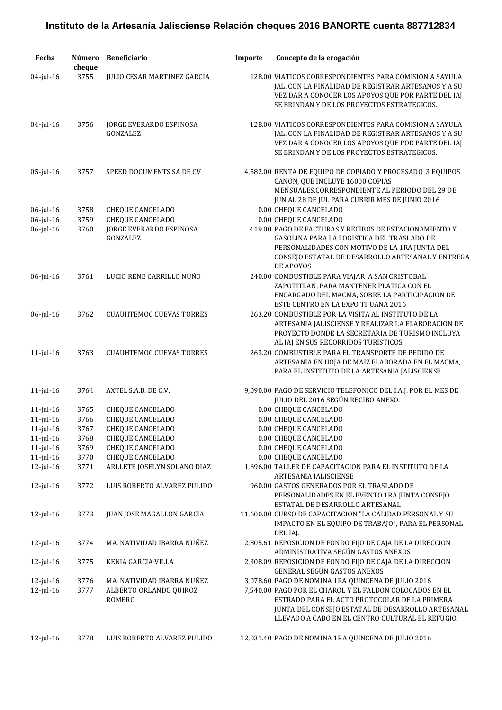| Fecha           | Número<br>cheque | Beneficiario                               | Importe | Concepto de la erogación                                                                                                                                                                                                       |
|-----------------|------------------|--------------------------------------------|---------|--------------------------------------------------------------------------------------------------------------------------------------------------------------------------------------------------------------------------------|
| 04-jul-16       | 3755             | <b>JULIO CESAR MARTINEZ GARCIA</b>         |         | 128.00 VIATICOS CORRESPONDIENTES PARA COMISION A SAYULA<br>JAL. CON LA FINALIDAD DE REGISTRAR ARTESANOS Y A SU<br>VEZ DAR A CONOCER LOS APOYOS QUE POR PARTE DEL IAJ<br>SE BRINDAN Y DE LOS PROYECTOS ESTRATEGICOS.            |
| $04$ -jul-16    | 3756             | JORGE EVERARDO ESPINOSA<br>GONZALEZ        |         | 128.00 VIATICOS CORRESPONDIENTES PARA COMISION A SAYULA<br>JAL. CON LA FINALIDAD DE REGISTRAR ARTESANOS Y A SU<br>VEZ DAR A CONOCER LOS APOYOS QUE POR PARTE DEL IAJ<br>SE BRINDAN Y DE LOS PROYECTOS ESTRATEGICOS.            |
| $05$ -jul-16    | 3757             | SPEED DOCUMENTS SA DE CV                   |         | 4,582.00 RENTA DE EQUIPO DE COPIADO Y PROCESADO 3 EQUIPOS<br>CANON, QUE INCLUYE 16000 COPIAS<br>MENSUALES.CORRESPONDIENTE AL PERIODO DEL 29 DE<br>JUN AL 28 DE JUL PARA CUBRIR MES DE JUNIO 2016                               |
| 06-jul-16       | 3758             | CHEQUE CANCELADO                           |         | 0.00 CHEQUE CANCELADO                                                                                                                                                                                                          |
| $06$ -jul-16    | 3759             | <b>CHEQUE CANCELADO</b>                    |         | 0.00 CHEQUE CANCELADO                                                                                                                                                                                                          |
| $06$ -jul-16    | 3760             | <b>JORGE EVERARDO ESPINOSA</b><br>GONZALEZ |         | 419.00 PAGO DE FACTURAS Y RECIBOS DE ESTACIONAMIENTO Y<br><b>GASOLINA PARA LA LOGISTICA DEL TRASLADO DE</b><br>PERSONALIDADES CON MOTIVO DE LA 1RA JUNTA DEL<br>CONSEJO ESTATAL DE DESARROLLO ARTESANAL Y ENTREGA<br>DE APOYOS |
| 06-jul-16       | 3761             | LUCIO RENE CARRILLO NUÑO                   |         | 240.00 COMBUSTIBLE PARA VIAJAR A SAN CRISTOBAL<br>ZAPOTITLAN, PARA MANTENER PLATICA CON EL<br>ENCARGADO DEL MACMA, SOBRE LA PARTICIPACION DE<br>ESTE CENTRO EN LA EXPO TIJUANA 2016                                            |
| $06$ -jul-16    | 3762             | <b>CUAUHTEMOC CUEVAS TORRES</b>            |         | 263.20 COMBUSTIBLE POR LA VISITA AL INSTITUTO DE LA<br>ARTESANIA JALISCIENSE Y REALIZAR LA ELABORACION DE<br>PROYECTO DONDE LA SECRETARIA DE TURISMO INCLUYA<br>AL IAJ EN SUS RECORRIDOS TURISTICOS.                           |
| $11$ -jul- $16$ | 3763             | <b>CUAUHTEMOC CUEVAS TORRES</b>            |         | 263.20 COMBUSTIBLE PARA EL TRANSPORTE DE PEDIDO DE<br>ARTESANIA EN HOJA DE MAIZ ELABORADA EN EL MACMA,<br>PARA EL INSTITUTO DE LA ARTESANIA JALISCIENSE.                                                                       |
| $11$ -jul- $16$ | 3764             | AXTEL S.A.B. DE C.V.                       |         | 9,090.00 PAGO DE SERVICIO TELEFONICO DEL I.A.J. POR EL MES DE<br>JULIO DEL 2016 SEGÚN RECIBO ANEXO.                                                                                                                            |
| $11$ -jul- $16$ | 3765             | <b>CHEQUE CANCELADO</b>                    |         | 0.00 CHEQUE CANCELADO                                                                                                                                                                                                          |
| $11$ -jul- $16$ | 3766             | <b>CHEQUE CANCELADO</b>                    |         | 0.00 CHEQUE CANCELADO                                                                                                                                                                                                          |
| $11$ -jul- $16$ | 3767             | CHEQUE CANCELADO                           |         | 0.00 CHEQUE CANCELADO                                                                                                                                                                                                          |
| $11$ -jul- $16$ | 3768             | <b>CHEQUE CANCELADO</b>                    |         | 0.00 CHEQUE CANCELADO                                                                                                                                                                                                          |
| 11-jul-16       | 3769             | <b>CHEQUE CANCELADO</b>                    |         | 0.00 CHEQUE CANCELADO                                                                                                                                                                                                          |
| $11$ -jul- $16$ | 3770             | <b>CHEQUE CANCELADO</b>                    |         | 0.00 CHEQUE CANCELADO                                                                                                                                                                                                          |
| 12-jul-16       | 3771             | ARLLETE JOSELYN SOLANO DIAZ                |         | 1,696.00 TALLER DE CAPACITACION PARA EL INSTITUTO DE LA<br>ARTESANIA JALISCIENSE                                                                                                                                               |
| $12$ -jul- $16$ | 3772             | LUIS ROBERTO ALVAREZ PULIDO                |         | 960.00 GASTOS GENERADOS POR EL TRASLADO DE<br>PERSONALIDADES EN EL EVENTO 1RA JUNTA CONSEJO<br>ESTATAL DE DESARROLLO ARTESANAL                                                                                                 |
| 12-jul-16       | 3773             | <b>JUAN JOSE MAGALLON GARCIA</b>           |         | 11,600.00 CURSO DE CAPACITACION "LA CALIDAD PERSONAL Y SU<br>IMPACTO EN EL EQUIPO DE TRABAJO", PARA EL PERSONAL<br>DEL IAJ.                                                                                                    |
| 12-jul-16       | 3774             | MA. NATIVIDAD IBARRA NUÑEZ                 |         | 2,805.61 REPOSICION DE FONDO FIJO DE CAJA DE LA DIRECCION<br>ADMINISTRATIVA SEGÚN GASTOS ANEXOS                                                                                                                                |
| 12-jul-16       | 3775             | KENIA GARCIA VILLA                         |         | 2,308.09 REPOSICION DE FONDO FIJO DE CAJA DE LA DIRECCION<br>GENERAL SEGÚN GASTOS ANEXOS                                                                                                                                       |
| 12-jul-16       | 3776             | MA. NATIVIDAD IBARRA NUÑEZ                 |         | 3,078.60 PAGO DE NOMINA 1RA QUINCENA DE JULIO 2016                                                                                                                                                                             |
| $12$ -jul- $16$ | 3777             | ALBERTO ORLANDO QUIROZ<br>ROMERO           |         | 7,540.00 PAGO POR EL CHAROL Y EL FALDON COLOCADOS EN EL<br>ESTRADO PARA EL ACTO PROTOCOLAR DE LA PRIMERA<br>JUNTA DEL CONSEJO ESTATAL DE DESARROLLO ARTESANAL<br>LLEVADO A CABO EN EL CENTRO CULTURAL EL REFUGIO.              |
| $12$ -jul- $16$ | 3778             | LUIS ROBERTO ALVAREZ PULIDO                |         | 12,031.40 PAGO DE NOMINA 1RA QUINCENA DE JULIO 2016                                                                                                                                                                            |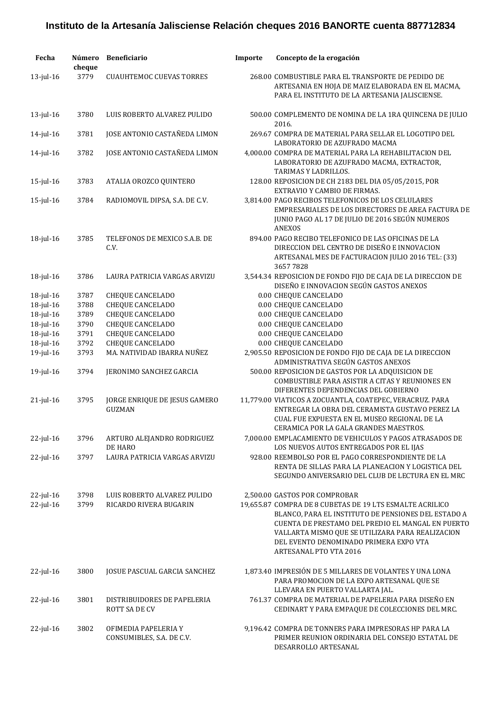| Fecha                     | Número<br>cheque | <b>Beneficiario</b>                                   | Importe | Concepto de la erogación                                                                                                                                                                                                                                                                                                      |
|---------------------------|------------------|-------------------------------------------------------|---------|-------------------------------------------------------------------------------------------------------------------------------------------------------------------------------------------------------------------------------------------------------------------------------------------------------------------------------|
| 13-jul-16                 | 3779             | <b>CUAUHTEMOC CUEVAS TORRES</b>                       |         | 268.00 COMBUSTIBLE PARA EL TRANSPORTE DE PEDIDO DE<br>ARTESANIA EN HOJA DE MAIZ ELABORADA EN EL MACMA,<br>PARA EL INSTITUTO DE LA ARTESANIA JALISCIENSE.                                                                                                                                                                      |
| $13$ -jul- $16$           | 3780             | LUIS ROBERTO ALVAREZ PULIDO                           |         | 500.00 COMPLEMENTO DE NOMINA DE LA 1RA QUINCENA DE JULIO<br>2016.                                                                                                                                                                                                                                                             |
| 14-jul-16                 | 3781             | JOSE ANTONIO CASTAÑEDA LIMON                          |         | 269.67 COMPRA DE MATERIAL PARA SELLAR EL LOGOTIPO DEL<br>LABORATORIO DE AZUFRADO MACMA                                                                                                                                                                                                                                        |
| 14-jul-16                 | 3782             | JOSE ANTONIO CASTAÑEDA LIMON                          |         | 4,000.00 COMPRA DE MATERIAL PARA LA REHABILITACION DEL<br>LABORATORIO DE AZUFRADO MACMA, EXTRACTOR,<br>TARIMAS Y LADRILLOS.                                                                                                                                                                                                   |
| $15$ -jul- $16$           | 3783             | ATALIA OROZCO QUINTERO                                |         | 128.00 REPOSICION DE CH 2183 DEL DIA 05/05/2015, POR<br>EXTRAVIO Y CAMBIO DE FIRMAS.                                                                                                                                                                                                                                          |
| $15$ -jul- $16$           | 3784             | RADIOMOVIL DIPSA, S.A. DE C.V.                        |         | 3,814.00 PAGO RECIBOS TELEFONICOS DE LOS CELULARES<br>EMPRESARIALES DE LOS DIRECTORES DE AREA FACTURA DE<br>JUNIO PAGO AL 17 DE JULIO DE 2016 SEGÚN NUMEROS<br><b>ANEXOS</b>                                                                                                                                                  |
| $18$ -jul- $16$           | 3785             | TELEFONOS DE MEXICO S.A.B. DE<br>C.V.                 |         | 894.00 PAGO RECIBO TELEFONICO DE LAS OFICINAS DE LA<br>DIRECCION DEL CENTRO DE DISEÑO E INNOVACION<br>ARTESANAL MES DE FACTURACION JULIO 2016 TEL: (33)<br>36577828                                                                                                                                                           |
| 18-jul-16                 | 3786             | <b>LAURA PATRICIA VARGAS ARVIZU</b>                   |         | 3,544.34 REPOSICION DE FONDO FIJO DE CAJA DE LA DIRECCION DE<br>DISEÑO E INNOVACION SEGÚN GASTOS ANEXOS                                                                                                                                                                                                                       |
| 18-jul-16                 | 3787             | CHEQUE CANCELADO                                      |         | 0.00 CHEQUE CANCELADO                                                                                                                                                                                                                                                                                                         |
| 18-jul-16                 | 3788             | <b>CHEQUE CANCELADO</b>                               |         | 0.00 CHEQUE CANCELADO                                                                                                                                                                                                                                                                                                         |
| 18-jul-16                 | 3789             | <b>CHEQUE CANCELADO</b>                               |         | 0.00 CHEQUE CANCELADO                                                                                                                                                                                                                                                                                                         |
| 18-jul-16                 | 3790             | <b>CHEQUE CANCELADO</b>                               |         | 0.00 CHEQUE CANCELADO                                                                                                                                                                                                                                                                                                         |
| 18-jul-16                 | 3791             | <b>CHEQUE CANCELADO</b>                               |         | 0.00 CHEQUE CANCELADO                                                                                                                                                                                                                                                                                                         |
| 18-jul-16                 | 3792             | <b>CHEQUE CANCELADO</b>                               |         | 0.00 CHEQUE CANCELADO                                                                                                                                                                                                                                                                                                         |
| 19-jul-16                 | 3793             | MA. NATIVIDAD IBARRA NUÑEZ                            |         | 2,905.50 REPOSICION DE FONDO FIJO DE CAJA DE LA DIRECCION<br>ADMINISTRATIVA SEGÚN GASTOS ANEXOS                                                                                                                                                                                                                               |
| $19$ -jul- $16$           | 3794             | JERONIMO SANCHEZ GARCIA                               |         | 500.00 REPOSICION DE GASTOS POR LA ADQUISICION DE<br>COMBUSTIBLE PARA ASISTIR A CITAS Y REUNIONES EN<br>DIFERENTES DEPENDENCIAS DEL GOBIERNO                                                                                                                                                                                  |
| $21$ -jul- $16$           | 3795             | JORGE ENRIQUE DE JESUS GAMERO<br><b>GUZMAN</b>        |         | 11,779.00 VIATICOS A ZOCUANTLA, COATEPEC, VERACRUZ. PARA<br>ENTREGAR LA OBRA DEL CERAMISTA GUSTAVO PEREZ LA<br>CUAL FUE EXPUESTA EN EL MUSEO REGIONAL DE LA<br>CERAMICA POR LA GALA GRANDES MAESTROS.                                                                                                                         |
| $22$ -jul-16              | 3796             | ARTURO ALEJANDRO RODRIGUEZ<br>DE HARO                 |         | 7,000.00 EMPLACAMIENTO DE VEHICULOS Y PAGOS ATRASADOS DE<br>LOS NUEVOS AUTOS ENTREGADOS POR EL IJAS                                                                                                                                                                                                                           |
| $22$ -jul-16              | 3797             | LAURA PATRICIA VARGAS ARVIZU                          |         | 928.00 REEMBOLSO POR EL PAGO CORRESPONDIENTE DE LA<br>RENTA DE SILLAS PARA LA PLANEACION Y LOGISTICA DEL<br>SEGUNDO ANIVERSARIO DEL CLUB DE LECTURA EN EL MRC                                                                                                                                                                 |
| 22-jul-16<br>$22$ -jul-16 | 3798<br>3799     | LUIS ROBERTO ALVAREZ PULIDO<br>RICARDO RIVERA BUGARIN |         | 2,500.00 GASTOS POR COMPROBAR<br>19,655.87 COMPRA DE 8 CUBETAS DE 19 LTS ESMALTE ACRILICO<br>BLANCO, PARA EL INSTITUTO DE PENSIONES DEL ESTADO A<br>CUENTA DE PRESTAMO DEL PREDIO EL MANGAL EN PUERTO<br>VALLARTA MISMO QUE SE UTILIZARA PARA REALIZACION<br>DEL EVENTO DENOMINADO PRIMERA EXPO VTA<br>ARTESANAL PTO VTA 2016 |
| $22$ -jul-16              | 3800             | JOSUE PASCUAL GARCIA SANCHEZ                          |         | 1,873.40 IMPRESIÓN DE 5 MILLARES DE VOLANTES Y UNA LONA<br>PARA PROMOCION DE LA EXPO ARTESANAL QUE SE<br>LLEVARA EN PUERTO VALLARTA JAL.                                                                                                                                                                                      |
| $22$ -jul-16              | 3801             | DISTRIBUIDORES DE PAPELERIA<br>ROTT SA DE CV          |         | 761.37 COMPRA DE MATERIAL DE PAPELERIA PARA DISEÑO EN<br>CEDINART Y PARA EMPAQUE DE COLECCIONES DEL MRC.                                                                                                                                                                                                                      |
| $22$ -jul-16              | 3802             | OFIMEDIA PAPELERIA Y<br>CONSUMIBLES, S.A. DE C.V.     |         | 9,196.42 COMPRA DE TONNERS PARA IMPRESORAS HP PARA LA<br>PRIMER REUNION ORDINARIA DEL CONSEJO ESTATAL DE<br>DESARROLLO ARTESANAL                                                                                                                                                                                              |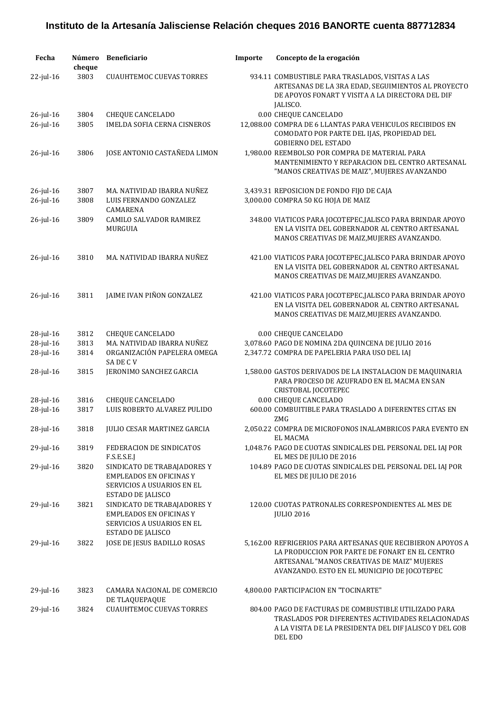| Fecha                  | Número<br>cheque | <b>Beneficiario</b>                                                                                              | Importe | Concepto de la erogación                                                                                                                                                                                     |
|------------------------|------------------|------------------------------------------------------------------------------------------------------------------|---------|--------------------------------------------------------------------------------------------------------------------------------------------------------------------------------------------------------------|
| 22-jul-16              | 3803             | <b>CUAUHTEMOC CUEVAS TORRES</b>                                                                                  |         | 934.11 COMBUSTIBLE PARA TRASLADOS, VISITAS A LAS<br>ARTESANAS DE LA 3RA EDAD, SEGUIMIENTOS AL PROYECTO<br>DE APOYOS FONART Y VISITA A LA DIRECTORA DEL DIF<br>JALISCO.                                       |
| 26-jul-16<br>26-jul-16 | 3804<br>3805     | <b>CHEQUE CANCELADO</b><br><b>IMELDA SOFIA CERNA CISNEROS</b>                                                    |         | 0.00 CHEQUE CANCELADO<br>12,088.00 COMPRA DE 6 LLANTAS PARA VEHICULOS RECIBIDOS EN<br>COMODATO POR PARTE DEL IJAS, PROPIEDAD DEL<br><b>GOBIERNO DEL ESTADO</b>                                               |
| 26-jul-16              | 3806             | JOSE ANTONIO CASTAÑEDA LIMON                                                                                     |         | 1,980.00 REEMBOLSO POR COMPRA DE MATERIAL PARA<br>MANTENIMIENTO Y REPARACION DEL CENTRO ARTESANAL<br>"MANOS CREATIVAS DE MAIZ", MUJERES AVANZANDO                                                            |
| 26-jul-16<br>26-jul-16 | 3807<br>3808     | MA. NATIVIDAD IBARRA NUÑEZ<br>LUIS FERNANDO GONZALEZ<br>CAMARENA                                                 |         | 3,439.31 REPOSICION DE FONDO FIJO DE CAJA<br>3,000.00 COMPRA 50 KG HOJA DE MAIZ                                                                                                                              |
| 26-jul-16              | 3809             | <b>CAMILO SALVADOR RAMIREZ</b><br>MURGUIA                                                                        |         | 348.00 VIATICOS PARA JOCOTEPEC, JALISCO PARA BRINDAR APOYO<br>EN LA VISITA DEL GOBERNADOR AL CENTRO ARTESANAL<br>MANOS CREATIVAS DE MAIZ, MUJERES AVANZANDO.                                                 |
| 26-jul-16              | 3810             | MA. NATIVIDAD IBARRA NUÑEZ                                                                                       |         | 421.00 VIATICOS PARA JOCOTEPEC, JALISCO PARA BRINDAR APOYO<br>EN LA VISITA DEL GOBERNADOR AL CENTRO ARTESANAL<br>MANOS CREATIVAS DE MAIZ, MUJERES AVANZANDO.                                                 |
| 26-jul-16              | 3811             | JAIME IVAN PIÑON GONZALEZ                                                                                        |         | 421.00 VIATICOS PARA JOCOTEPEC, JALISCO PARA BRINDAR APOYO<br>EN LA VISITA DEL GOBERNADOR AL CENTRO ARTESANAL<br>MANOS CREATIVAS DE MAIZ, MUJERES AVANZANDO.                                                 |
| 28-jul-16              | 3812             | <b>CHEQUE CANCELADO</b>                                                                                          |         | 0.00 CHEQUE CANCELADO                                                                                                                                                                                        |
| 28-jul-16              | 3813             | MA. NATIVIDAD IBARRA NUÑEZ                                                                                       |         | 3,078.60 PAGO DE NOMINA 2DA QUINCENA DE JULIO 2016                                                                                                                                                           |
| $28$ -jul-16           | 3814             | ORGANIZACIÓN PAPELERA OMEGA<br>SA DE C V                                                                         |         | 2,347.72 COMPRA DE PAPELERIA PARA USO DEL IAJ                                                                                                                                                                |
| 28-jul-16              | 3815             | JERONIMO SANCHEZ GARCIA                                                                                          |         | 1,580.00 GASTOS DERIVADOS DE LA INSTALACION DE MAQUINARIA<br>PARA PROCESO DE AZUFRADO EN EL MACMA EN SAN<br>CRISTOBAL JOCOTEPEC                                                                              |
| 28-jul-16              | 3816             | <b>CHEQUE CANCELADO</b>                                                                                          |         | 0.00 CHEQUE CANCELADO                                                                                                                                                                                        |
| 28-jul-16              | 3817             | LUIS ROBERTO ALVAREZ PULIDO                                                                                      |         | 600.00 COMBUITIBLE PARA TRASLADO A DIFERENTES CITAS EN<br>ZMG                                                                                                                                                |
| 28-jul-16              | 3818             | JULIO CESAR MARTINEZ GARCIA                                                                                      |         | 2,050.22 COMPRA DE MICROFONOS INALAMBRICOS PARA EVENTO EN<br>EL MACMA                                                                                                                                        |
| $29$ -jul- $16$        | 3819             | FEDERACION DE SINDICATOS<br>F.S.E.S.E.J                                                                          |         | 1,048.76 PAGO DE CUOTAS SINDICALES DEL PERSONAL DEL IAJ POR<br>EL MES DE JULIO DE 2016                                                                                                                       |
| 29-jul-16              | 3820             | SINDICATO DE TRABAJADORES Y<br><b>EMPLEADOS EN OFICINAS Y</b><br>SERVICIOS A USUARIOS EN EL<br>ESTADO DE JALISCO |         | 104.89 PAGO DE CUOTAS SINDICALES DEL PERSONAL DEL IAJ POR<br>EL MES DE JULIO DE 2016                                                                                                                         |
| $29$ -jul- $16$        | 3821             | SINDICATO DE TRABAJADORES Y<br><b>EMPLEADOS EN OFICINAS Y</b><br>SERVICIOS A USUARIOS EN EL<br>ESTADO DE JALISCO |         | 120.00 CUOTAS PATRONALES CORRESPONDIENTES AL MES DE<br><b>JULIO 2016</b>                                                                                                                                     |
| 29-jul-16              | 3822             | JOSE DE JESUS BADILLO ROSAS                                                                                      |         | 5,162.00 REFRIGERIOS PARA ARTESANAS QUE RECIBIERON APOYOS A<br>LA PRODUCCION POR PARTE DE FONART EN EL CENTRO<br>ARTESANAL "MANOS CREATIVAS DE MAIZ" MUJERES<br>AVANZANDO. ESTO EN EL MUNICIPIO DE JOCOTEPEC |
| 29-jul-16              | 3823             | CAMARA NACIONAL DE COMERCIO<br>DE TLAQUEPAQUE                                                                    |         | 4,800.00 PARTICIPACION EN "TOCINARTE"                                                                                                                                                                        |
| $29$ -jul-16           | 3824             | <b>CUAUHTEMOC CUEVAS TORRES</b>                                                                                  |         | 804.00 PAGO DE FACTURAS DE COMBUSTIBLE UTILIZADO PARA<br>TRASLADOS POR DIFERENTES ACTIVIDADES RELACIONADAS<br>A LA VISITA DE LA PRESIDENTA DEL DIF JALISCO Y DEL GOB<br>DEL EDO                              |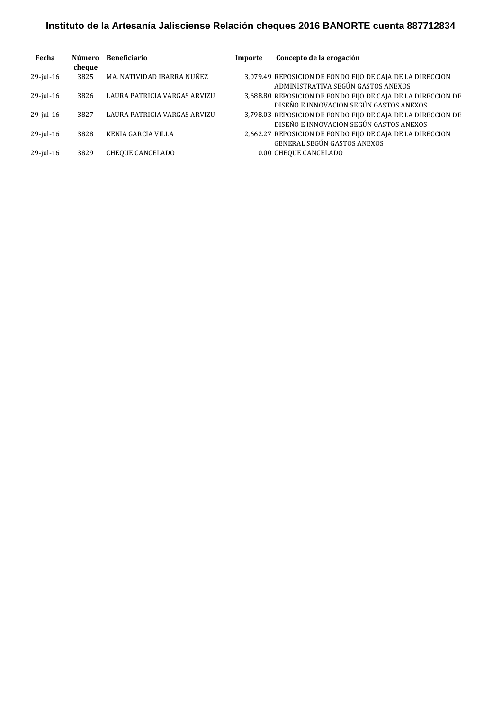| Fecha        | Número<br>cheque | <b>Beneficiario</b>          | Importe | Concepto de la erogación                                                                                |
|--------------|------------------|------------------------------|---------|---------------------------------------------------------------------------------------------------------|
| $29$ -jul-16 | 3825             | MA. NATIVIDAD IBARRA NUÑEZ   |         | 3,079.49 REPOSICION DE FONDO FIJO DE CAJA DE LA DIRECCION<br>ADMINISTRATIVA SEGÚN GASTOS ANEXOS         |
| $29$ -jul-16 | 3826             | LAURA PATRICIA VARGAS ARVIZU |         | 3,688.80 REPOSICION DE FONDO FIJO DE CAJA DE LA DIRECCION DE<br>DISEÑO E INNOVACION SEGÚN GASTOS ANEXOS |
| $29$ -jul-16 | 3827             | LAURA PATRICIA VARGAS ARVIZU |         | 3,798.03 REPOSICION DE FONDO FIJO DE CAJA DE LA DIRECCION DE<br>DISEÑO E INNOVACION SEGÚN GASTOS ANEXOS |
| $29$ -jul-16 | 3828             | KENIA GARCIA VILLA           |         | 2,662.27 REPOSICION DE FONDO FIJO DE CAJA DE LA DIRECCION<br>GENERAL SEGÚN GASTOS ANEXOS                |
| $29$ -jul-16 | 3829             | CHEOUE CANCELADO             |         | 0.00 CHEQUE CANCELADO                                                                                   |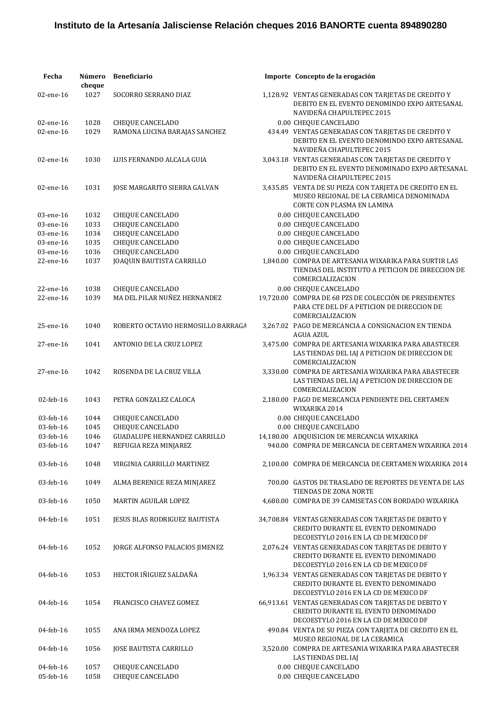| Fecha                  | Número<br>cheque | <b>Beneficiario</b>                                | Importe Concepto de la erogación                                                                                                         |
|------------------------|------------------|----------------------------------------------------|------------------------------------------------------------------------------------------------------------------------------------------|
| 02-ene-16              | 1027             | SOCORRO SERRANO DIAZ                               | 1,128.92 VENTAS GENERADAS CON TARJETAS DE CREDITO Y<br>DEBITO EN EL EVENTO DENOMINDO EXPO ARTESANAL                                      |
|                        |                  |                                                    | NAVIDEÑA CHAPULTEPEC 2015                                                                                                                |
| 02-ene-16              | 1028             | CHEQUE CANCELADO                                   | 0.00 CHEQUE CANCELADO                                                                                                                    |
| 02-ene-16              | 1029             | RAMONA LUCINA BARAJAS SANCHEZ                      | 434.49 VENTAS GENERADAS CON TARJETAS DE CREDITO Y<br>DEBITO EN EL EVENTO DENOMINDO EXPO ARTESANAL<br>NAVIDEÑA CHAPULTEPEC 2015           |
| 02-ene-16              | 1030             | LUIS FERNANDO ALCALA GUIA                          | 3,043.18 VENTAS GENERADAS CON TARJETAS DE CREDITO Y<br>DEBITO EN EL EVENTO DENOMINADO EXPO ARTESANAL<br>NAVIDEÑA CHAPULTEPEC 2015        |
| 02-ene-16              | 1031             | JOSE MARGARITO SIERRA GALVAN                       | 3,435.85 VENTA DE SU PIEZA CON TARJETA DE CREDITO EN EL<br>MUSEO REGIONAL DE LA CERAMICA DENOMINADA<br><b>CORTE CON PLASMA EN LAMINA</b> |
| 03-ene-16              | 1032             | CHEQUE CANCELADO                                   | 0.00 CHEQUE CANCELADO                                                                                                                    |
| 03-ene-16              | 1033             | CHEQUE CANCELADO                                   | 0.00 CHEQUE CANCELADO                                                                                                                    |
|                        |                  |                                                    |                                                                                                                                          |
| 03-ene-16              | 1034             | CHEQUE CANCELADO                                   | 0.00 CHEQUE CANCELADO                                                                                                                    |
| 03-ene-16              | 1035             | CHEQUE CANCELADO                                   | 0.00 CHEQUE CANCELADO                                                                                                                    |
| 03-ene-16              | 1036             | CHEQUE CANCELADO                                   | 0.00 CHEQUE CANCELADO                                                                                                                    |
| 22-ene-16              | 1037             | JOAQUIN BAUTISTA CARRILLO                          | 1,840.00 COMPRA DE ARTESANIA WIXARIKA PARA SURTIR LAS<br>TIENDAS DEL INSTITUTO A PETICION DE DIRECCION DE<br>COMERCIALIZACION            |
| 22-ene-16              | 1038             | CHEQUE CANCELADO                                   | 0.00 CHEQUE CANCELADO                                                                                                                    |
| 22-ene-16              | 1039             | MA DEL PILAR NUÑEZ HERNANDEZ                       | 19,720.00 COMPRA DE 68 PZS DE COLECCIÓN DE PRESIDENTES<br>PARA CTE DEL DF A PETICION DE DIRECCION DE<br>COMERCIALIZACION                 |
| 25-ene-16              | 1040             | ROBERTO OCTAVIO HERMOSILLO BARRAGA                 | 3,267.02 PAGO DE MERCANCIA A CONSIGNACION EN TIENDA<br><b>AGUA AZUL</b>                                                                  |
| 27-ene-16              | 1041             | ANTONIO DE LA CRUZ LOPEZ                           | 3,475.00 COMPRA DE ARTESANIA WIXARIKA PARA ABASTECER<br>LAS TIENDAS DEL IAJ A PETICION DE DIRECCION DE<br>COMERCIALIZACION               |
| 27-ene-16              | 1042             | ROSENDA DE LA CRUZ VILLA                           | 3,330.00 COMPRA DE ARTESANIA WIXARIKA PARA ABASTECER<br>LAS TIENDAS DEL IAJ A PETICION DE DIRECCION DE<br>COMERCIALIZACION               |
| 02-feb-16              | 1043             | PETRA GONZALEZ CALOCA                              | 2,180.00 PAGO DE MERCANCIA PENDIENTE DEL CERTAMEN<br>WIXARIKA 2014                                                                       |
| 03-feb-16              | 1044             | CHEQUE CANCELADO                                   | 0.00 CHEQUE CANCELADO                                                                                                                    |
| 03-feb-16              | 1045             | CHEQUE CANCELADO                                   | 0.00 CHEQUE CANCELADO                                                                                                                    |
| 03-feb-16              | 1046             | <b>GUADALUPE HERNANDEZ CARRILLO</b>                | 14,180.00 ADQUISICION DE MERCANCIA WIXARIKA                                                                                              |
| 03-feb-16              | 1047             | REFUGIA REZA MINJAREZ                              | 940.00 COMPRA DE MERCANCIA DE CERTAMEN WIXARIKA 2014                                                                                     |
| 03-feb-16              | 1048             | VIRGINIA CARRILLO MARTINEZ                         | 2,100.00 COMPRA DE MERCANCIA DE CERTAMEN WIXARIKA 2014                                                                                   |
| 03-feb-16              | 1049             | ALMA BERENICE REZA MINJAREZ                        | 700.00 GASTOS DE TRASLADO DE REPORTES DE VENTA DE LAS<br>TIENDAS DE ZONA NORTE                                                           |
| 03-feb-16              | 1050             | MARTIN AGUILAR LOPEZ                               | 4.680.00 COMPRA DE 39 CAMISETAS CON BORDADO WIXARIKA                                                                                     |
| 04-feb-16              | 1051             | JESUS BLAS RODRIGUEZ BAUTISTA                      | 34,708.84 VENTAS GENERADAS CON TARJETAS DE DEBITO Y<br>CREDITO DURANTE EL EVENTO DENOMINADO<br>DECOESTYLO 2016 EN LA CD DE MEXICO DF     |
| 04-feb-16              | 1052             | JORGE ALFONSO PALACIOS JIMENEZ                     | 2,076.24 VENTAS GENERADAS CON TARJETAS DE DEBITO Y<br>CREDITO DURANTE EL EVENTO DENOMINADO<br>DECOESTYLO 2016 EN LA CD DE MEXICO DF      |
| 04-feb-16              | 1053             | HECTOR IÑIGUEZ SALDAÑA                             | 1,963.34 VENTAS GENERADAS CON TARJETAS DE DEBITO Y<br>CREDITO DURANTE EL EVENTO DENOMINADO<br>DECOESTYLO 2016 EN LA CD DE MEXICO DF      |
| 04-feb-16              | 1054             | FRANCISCO CHAVEZ GOMEZ                             | 66,913.61 VENTAS GENERADAS CON TARJETAS DE DEBITO Y<br>CREDITO DURANTE EL EVENTO DENOMINADO<br>DECOESTYLO 2016 EN LA CD DE MEXICO DF     |
| 04-feb-16              | 1055             | ANA IRMA MENDOZA LOPEZ                             | 490.84 VENTA DE SU PIEZA CON TARJETA DE CREDITO EN EL<br>MUSEO REGIONAL DE LA CERAMICA                                                   |
| 04-feb-16              | 1056             | JOSE BAUTISTA CARRILLO                             | 3,520.00 COMPRA DE ARTESANIA WIXARIKA PARA ABASTECER<br>LAS TIENDAS DEL IAJ                                                              |
| 04-feb-16<br>05-feb-16 | 1057<br>1058     | <b>CHEQUE CANCELADO</b><br><b>CHEQUE CANCELADO</b> | 0.00 CHEQUE CANCELADO<br>0.00 CHEQUE CANCELADO                                                                                           |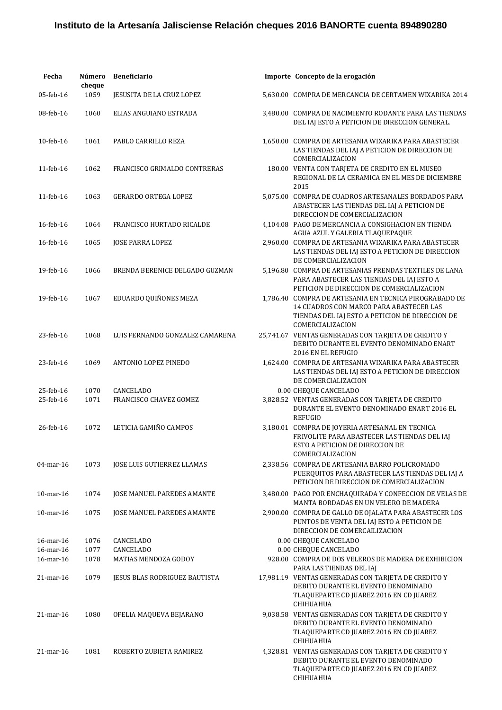| Fecha           | Número<br>cheque | <b>Beneficiario</b>               | Importe Concepto de la erogación                                                                                                                                         |
|-----------------|------------------|-----------------------------------|--------------------------------------------------------------------------------------------------------------------------------------------------------------------------|
| 05-feb-16       | 1059             | <b>JESUSITA DE LA CRUZ LOPEZ</b>  | 5,630.00 COMPRA DE MERCANCIA DE CERTAMEN WIXARIKA 2014                                                                                                                   |
| 08-feb-16       | 1060             | ELIAS ANGUIANO ESTRADA            | 3,480.00 COMPRA DE NACIMIENTO RODANTE PARA LAS TIENDAS<br>DEL IAJ ESTO A PETICION DE DIRECCION GENERAL.                                                                  |
| 10-feb-16       | 1061             | PABLO CARRILLO REZA               | 1,650.00 COMPRA DE ARTESANIA WIXARIKA PARA ABASTECER<br>LAS TIENDAS DEL IAJ A PETICION DE DIRECCION DE<br>COMERCIALIZACION                                               |
| 11-feb-16       | 1062             | FRANCISCO GRIMALDO CONTRERAS      | 180.00 VENTA CON TARJETA DE CREDITO EN EL MUSEO<br>REGIONAL DE LA CERAMICA EN EL MES DE DICIEMBRE<br>2015                                                                |
| 11-feb-16       | 1063             | <b>GERARDO ORTEGA LOPEZ</b>       | 5,075.00 COMPRA DE CUADROS ARTESANALES BORDADOS PARA<br>ABASTECER LAS TIENDAS DEL IAJ A PETICION DE<br>DIRECCION DE COMERCIALIZACION                                     |
| 16-feb-16       | 1064             | FRANCISCO HURTADO RICALDE         | 4,104.08 PAGO DE MERCANCIA A CONSIGHACION EN TIENDA<br>AGUA AZUL Y GALERIA TLAQUEPAQUE                                                                                   |
| 16-feb-16       | 1065             | <b>JOSE PARRA LOPEZ</b>           | 2,960.00 COMPRA DE ARTESANIA WIXARIKA PARA ABASTECER<br>LAS TIENDAS DEL IAJ ESTO A PETICION DE DIRECCION<br>DE COMERCIALIZACION                                          |
| 19-feb-16       | 1066             | BRENDA BERENICE DELGADO GUZMAN    | 5,196.80 COMPRA DE ARTESANIAS PRENDAS TEXTILES DE LANA<br>PARA ABASTECER LAS TIENDAS DEL IAJ ESTO A<br>PETICION DE DIRECCION DE COMERCIALIZACION                         |
| 19-feb-16       | 1067             | EDUARDO QUIÑONES MEZA             | 1.786.40 COMPRA DE ARTESANIA EN TECNICA PIROGRABADO DE<br>14 CUADROS CON MARCO PARA ABASTECER LAS<br>TIENDAS DEL IAJ ESTO A PETICION DE DIRECCION DE<br>COMERCIALIZACION |
| 23-feb-16       | 1068             | LUIS FERNANDO GONZALEZ CAMARENA   | 25,741.67 VENTAS GENERADAS CON TARJETA DE CREDITO Y<br>DEBITO DURANTE EL EVENTO DENOMINADO ENART<br>2016 EN EL REFUGIO                                                   |
| 23-feb-16       | 1069             | ANTONIO LOPEZ PINEDO              | 1,624.00 COMPRA DE ARTESANIA WIXARIKA PARA ABASTECER<br>LAS TIENDAS DEL IAJ ESTO A PETICION DE DIRECCION<br>DE COMERCIALIZACION                                          |
| 25-feb-16       | 1070             | CANCELADO                         | 0.00 CHEQUE CANCELADO                                                                                                                                                    |
| 25-feb-16       | 1071             | FRANCISCO CHAVEZ GOMEZ            | 3,828.52 VENTAS GENERADAS CON TARJETA DE CREDITO<br>DURANTE EL EVENTO DENOMINADO ENART 2016 EL<br><b>REFUGIO</b>                                                         |
| 26-feb-16       | 1072             | LETICIA GAMIÑO CAMPOS             | 3,180.01 COMPRA DE JOYERIA ARTESANAL EN TECNICA<br>FRIVOLITE PARA ABASTECER LAS TIENDAS DEL IAJ<br>ESTO A PETICION DE DIRECCION DE<br>COMERCIALIZACION                   |
| 04-mar-16       | 1073             | <b>JOSE LUIS GUTIERREZ LLAMAS</b> | 2,338.56 COMPRA DE ARTESANIA BARRO POLICROMADO<br>PUERQUITOS PARA ABASTECER LAS TIENDAS DEL IAJ A<br>PETICION DE DIRECCION DE COMERCIALIZACION                           |
| 10-mar-16       | 1074             | JOSE MANUEL PAREDES AMANTE        | 3,480.00 PAGO POR ENCHAQUIRADA Y CONFECCION DE VELAS DE<br>MANTA BORDADAS EN UN VELERO DE MADERA                                                                         |
| $10$ -mar- $16$ | 1075             | JOSE MANUEL PAREDES AMANTE        | 2,900.00 COMPRA DE GALLO DE OJALATA PARA ABASTECER LOS<br>PUNTOS DE VENTA DEL IAJ ESTO A PETICION DE<br>DIRECCION DE COMERCAILIZACION                                    |
| 16-mar-16       | 1076             | <b>CANCELADO</b>                  | 0.00 CHEQUE CANCELADO                                                                                                                                                    |
| 16-mar-16       | 1077             | CANCELADO                         | 0.00 CHEQUE CANCELADO                                                                                                                                                    |
| 16-mar-16       | 1078             | MATIAS MENDOZA GODOY              | 928.00 COMPRA DE DOS VELEROS DE MADERA DE EXHIBICION<br>PARA LAS TIENDAS DEL IAJ                                                                                         |
| $21$ -mar-16    | 1079             | JESUS BLAS RODRIGUEZ BAUTISTA     | 17,981.19 VENTAS GENERADAS CON TARJETA DE CREDITO Y<br>DEBITO DURANTE EL EVENTO DENOMINADO<br>TLAQUEPARTE CD JUAREZ 2016 EN CD JUAREZ<br>CHIHUAHUA                       |
| $21$ -mar-16    | 1080             | OFELIA MAQUEVA BEJARANO           | 9,038.58 VENTAS GENERADAS CON TARJETA DE CREDITO Y<br>DEBITO DURANTE EL EVENTO DENOMINADO<br>TLAQUEPARTE CD JUAREZ 2016 EN CD JUAREZ<br>CHIHUAHUA                        |
| $21$ -mar-16    | 1081             | ROBERTO ZUBIETA RAMIREZ           | 4,328.81 VENTAS GENERADAS CON TARJETA DE CREDITO Y<br>DEBITO DURANTE EL EVENTO DENOMINADO<br>TLAQUEPARTE CD JUAREZ 2016 EN CD JUAREZ<br>CHIHUAHUA                        |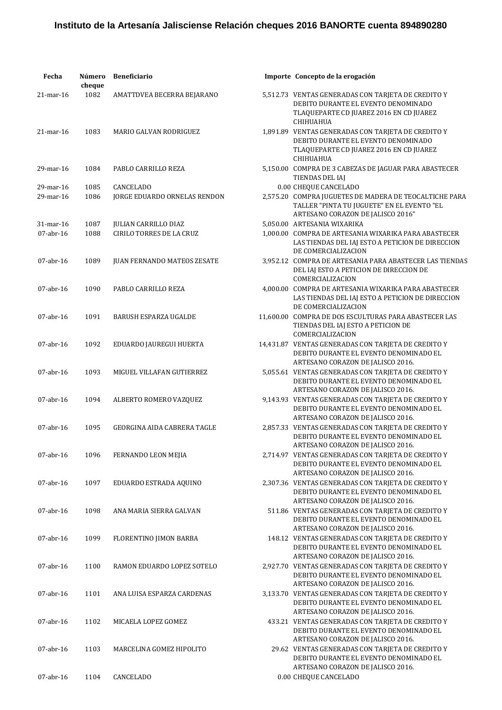| Fecha                  | Número<br>cheque | <b>Beneficiario</b>                              | Importe Concepto de la erogación                                                                                                                                   |
|------------------------|------------------|--------------------------------------------------|--------------------------------------------------------------------------------------------------------------------------------------------------------------------|
| $21$ -mar-16           | 1082             | AMATTDVEA BECERRA BEJARANO                       | 5,512.73 VENTAS GENERADAS CON TARJETA DE CREDITO Y<br>DEBITO DURANTE EL EVENTO DENOMINADO<br>TLAQUEPARTE CD JUAREZ 2016 EN CD JUAREZ<br>CHIHUAHUA                  |
| $21$ -mar-16           | 1083             | MARIO GALVAN RODRIGUEZ                           | 1,891.89 VENTAS GENERADAS CON TARJETA DE CREDITO Y<br>DEBITO DURANTE EL EVENTO DENOMINADO<br>TLAQUEPARTE CD JUAREZ 2016 EN CD JUAREZ<br>CHIHUAHUA                  |
| 29-mar-16              | 1084             | PABLO CARRILLO REZA                              | 5,150.00 COMPRA DE 3 CABEZAS DE JAGUAR PARA ABASTECER<br>TIENDAS DEL IAJ                                                                                           |
| 29-mar-16<br>29-mar-16 | 1085<br>1086     | <b>CANCELADO</b><br>JORGE EDUARDO ORNELAS RENDON | 0.00 CHEQUE CANCELADO<br>2,575.20 COMPRA JUGUETES DE MADERA DE TEOCALTICHE PARA<br>TALLER "PINTA TU JUGUETE" EN EL EVENTO "EL<br>ARTESANO CORAZON DE JALISCO 2016" |
| 31-mar-16              | 1087             | <b>JULIAN CARRILLO DIAZ</b>                      | 5,050.00 ARTESANIA WIXARIKA                                                                                                                                        |
| $07$ -abr-16           | 1088             | <b>CIRILO TORRES DE LA CRUZ</b>                  | 1,000.00 COMPRA DE ARTESANIA WIXARIKA PARA ABASTECER<br>LAS TIENDAS DEL IAJ ESTO A PETICION DE DIRECCION<br>DE COMERCIALIZACION                                    |
| $07$ -abr-16           | 1089             | <b>JUAN FERNANDO MATEOS ZESATE</b>               | 3,952.12 COMPRA DE ARTESANIA PARA ABASTECER LAS TIENDAS<br>DEL IAJ ESTO A PETICION DE DIRECCION DE<br>COMERCIALIZACION                                             |
| $07$ -abr-16           | 1090             | PABLO CARRILLO REZA                              | 4,000.00 COMPRA DE ARTESANIA WIXARIKA PARA ABASTECER<br>LAS TIENDAS DEL IAJ ESTO A PETICION DE DIRECCION<br>DE COMERCIALIZACION                                    |
| $07$ -abr-16           | 1091             | <b>BARUSH ESPARZA UGALDE</b>                     | 11,600.00 COMPRA DE DOS ESCULTURAS PARA ABASTECER LAS<br>TIENDAS DEL IAJ ESTO A PETICION DE<br>COMERCIALIZACION                                                    |
| $07$ -abr-16           | 1092             | EDUARDO JAUREGUI HUERTA                          | 14,431.87 VENTAS GENERADAS CON TARJETA DE CREDITO Y<br>DEBITO DURANTE EL EVENTO DENOMINADO EL<br>ARTESANO CORAZON DE JALISCO 2016.                                 |
| $07$ -abr-16           | 1093             | MIGUEL VILLAFAN GUTIERREZ                        | 5,055.61 VENTAS GENERADAS CON TARJETA DE CREDITO Y<br>DEBITO DURANTE EL EVENTO DENOMINADO EL<br>ARTESANO CORAZON DE JALISCO 2016.                                  |
| $07$ -abr-16           | 1094             | ALBERTO ROMERO VAZQUEZ                           | 9,143.93 VENTAS GENERADAS CON TARJETA DE CREDITO Y<br>DEBITO DURANTE EL EVENTO DENOMINADO EL<br>ARTESANO CORAZON DE JALISCO 2016.                                  |
| $07$ -abr-16           | 1095             | <b>GEORGINA AIDA CABRERA TAGLE</b>               | 2,857.33 VENTAS GENERADAS CON TARJETA DE CREDITO Y<br>DEBITO DURANTE EL EVENTO DENOMINADO EL<br>ARTESANO CORAZON DE JALISCO 2016.                                  |
| $07$ -abr-16           | 1096             | FERNANDO LEON MEJIA                              | 2,714.97 VENTAS GENERADAS CON TARJETA DE CREDITO Y<br>DEBITO DURANTE EL EVENTO DENOMINADO EL<br>ARTESANO CORAZON DE JALISCO 2016.                                  |
| $07$ -abr-16           | 1097             | EDUARDO ESTRADA AQUINO                           | 2,307.36 VENTAS GENERADAS CON TARIETA DE CREDITO Y<br>DEBITO DURANTE EL EVENTO DENOMINADO EL<br>ARTESANO CORAZON DE JALISCO 2016.                                  |
| $07$ -abr-16           | 1098             | ANA MARIA SIERRA GALVAN                          | 511.86 VENTAS GENERADAS CON TARJETA DE CREDITO Y<br>DEBITO DURANTE EL EVENTO DENOMINADO EL<br>ARTESANO CORAZON DE JALISCO 2016.                                    |
| $07$ -abr-16           | 1099             | FLORENTINO JIMON BARBA                           | 148.12 VENTAS GENERADAS CON TARIETA DE CREDITO Y<br>DEBITO DURANTE EL EVENTO DENOMINADO EL<br>ARTESANO CORAZON DE JALISCO 2016.                                    |
| $07$ -abr-16           | 1100             | RAMON EDUARDO LOPEZ SOTELO                       | 2,927.70 VENTAS GENERADAS CON TARJETA DE CREDITO Y<br>DEBITO DURANTE EL EVENTO DENOMINADO EL<br>ARTESANO CORAZON DE JALISCO 2016.                                  |
| $07$ -abr-16           | 1101             | ANA LUISA ESPARZA CARDENAS                       | 3,133.70 VENTAS GENERADAS CON TARJETA DE CREDITO Y<br>DEBITO DURANTE EL EVENTO DENOMINADO EL<br>ARTESANO CORAZON DE JALISCO 2016.                                  |
| $07$ -abr-16           | 1102             | MICAELA LOPEZ GOMEZ                              | 433.21 VENTAS GENERADAS CON TARJETA DE CREDITO Y<br>DEBITO DURANTE EL EVENTO DENOMINADO EL<br>ARTESANO CORAZON DE JALISCO 2016.                                    |
| $07$ -abr-16           | 1103             | MARCELINA GOMEZ HIPOLITO                         | 29.62 VENTAS GENERADAS CON TARJETA DE CREDITO Y<br>DEBITO DURANTE EL EVENTO DENOMINADO EL<br>ARTESANO CORAZON DE JALISCO 2016.                                     |
| $07$ -abr-16           | 1104             | CANCELADO                                        | 0.00 CHEQUE CANCELADO                                                                                                                                              |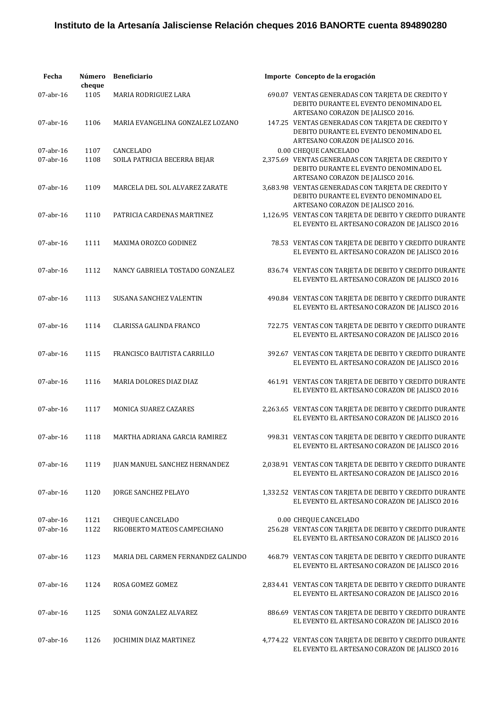| Fecha                     | Número<br>cheque | <b>Beneficiario</b>                             | Importe Concepto de la erogación                                                                                                                                     |
|---------------------------|------------------|-------------------------------------------------|----------------------------------------------------------------------------------------------------------------------------------------------------------------------|
| 07-abr-16                 | 1105             | MARIA RODRIGUEZ LARA                            | 690.07 VENTAS GENERADAS CON TARJETA DE CREDITO Y<br>DEBITO DURANTE EL EVENTO DENOMINADO EL                                                                           |
| $07$ -abr-16              | 1106             | MARIA EVANGELINA GONZALEZ LOZANO                | ARTESANO CORAZON DE JALISCO 2016.<br>147.25 VENTAS GENERADAS CON TARJETA DE CREDITO Y<br>DEBITO DURANTE EL EVENTO DENOMINADO EL<br>ARTESANO CORAZON DE JALISCO 2016. |
| $07$ -abr-16<br>07-abr-16 | 1107<br>1108     | CANCELADO<br>SOILA PATRICIA BECERRA BEJAR       | 0.00 CHEQUE CANCELADO<br>2,375.69 VENTAS GENERADAS CON TARJETA DE CREDITO Y<br>DEBITO DURANTE EL EVENTO DENOMINADO EL<br>ARTESANO CORAZON DE JALISCO 2016.           |
| 07-abr-16                 | 1109             | MARCELA DEL SOL ALVAREZ ZARATE                  | 3,683.98 VENTAS GENERADAS CON TARJETA DE CREDITO Y<br>DEBITO DURANTE EL EVENTO DENOMINADO EL<br>ARTESANO CORAZON DE JALISCO 2016.                                    |
| 07-abr-16                 | 1110             | PATRICIA CARDENAS MARTINEZ                      | 1,126.95 VENTAS CON TARJETA DE DEBITO Y CREDITO DURANTE<br>EL EVENTO EL ARTESANO CORAZON DE JALISCO 2016                                                             |
| $07$ -abr-16              | 1111             | MAXIMA OROZCO GODINEZ                           | 78.53 VENTAS CON TARJETA DE DEBITO Y CREDITO DURANTE<br>EL EVENTO EL ARTESANO CORAZON DE JALISCO 2016                                                                |
| $07$ -abr-16              | 1112             | NANCY GABRIELA TOSTADO GONZALEZ                 | 836.74 VENTAS CON TARJETA DE DEBITO Y CREDITO DURANTE<br>EL EVENTO EL ARTESANO CORAZON DE JALISCO 2016                                                               |
| $07$ -abr-16              | 1113             | <b>SUSANA SANCHEZ VALENTIN</b>                  | 490.84 VENTAS CON TARJETA DE DEBITO Y CREDITO DURANTE<br>EL EVENTO EL ARTESANO CORAZON DE JALISCO 2016                                                               |
| $07$ -abr-16              | 1114             | <b>CLARISSA GALINDA FRANCO</b>                  | 722.75 VENTAS CON TARJETA DE DEBITO Y CREDITO DURANTE<br>EL EVENTO EL ARTESANO CORAZON DE JALISCO 2016                                                               |
| $07$ -abr-16              | 1115             | FRANCISCO BAUTISTA CARRILLO                     | 392.67 VENTAS CON TARJETA DE DEBITO Y CREDITO DURANTE<br>EL EVENTO EL ARTESANO CORAZON DE JALISCO 2016                                                               |
| $07$ -abr-16              | 1116             | MARIA DOLORES DIAZ DIAZ                         | 461.91 VENTAS CON TARJETA DE DEBITO Y CREDITO DURANTE<br>EL EVENTO EL ARTESANO CORAZON DE JALISCO 2016                                                               |
| $07$ -abr-16              | 1117             | <b>MONICA SUAREZ CAZARES</b>                    | 2,263.65 VENTAS CON TARJETA DE DEBITO Y CREDITO DURANTE<br>EL EVENTO EL ARTESANO CORAZON DE JALISCO 2016                                                             |
| 07-abr-16                 | 1118             | MARTHA ADRIANA GARCIA RAMIREZ                   | 998.31 VENTAS CON TARJETA DE DEBITO Y CREDITO DURANTE<br>EL EVENTO EL ARTESANO CORAZON DE JALISCO 2016                                                               |
| 07-abr-16                 | 1119             | JUAN MANUEL SANCHEZ HERNANDEZ                   | 2,038.91 VENTAS CON TARJETA DE DEBITO Y CREDITO DURANTE<br>EL EVENTO EL ARTESANO CORAZON DE JALISCO 2016                                                             |
| 07-abr-16                 | 1120             | <b>JORGE SANCHEZ PELAYO</b>                     | 1,332.52 VENTAS CON TARJETA DE DEBITO Y CREDITO DURANTE<br>EL EVENTO EL ARTESANO CORAZON DE JALISCO 2016                                                             |
| $07$ -abr-16<br>07-abr-16 | 1121<br>1122     | CHEQUE CANCELADO<br>RIGOBERTO MATEOS CAMPECHANO | 0.00 CHEQUE CANCELADO<br>256.28 VENTAS CON TARJETA DE DEBITO Y CREDITO DURANTE<br>EL EVENTO EL ARTESANO CORAZON DE JALISCO 2016                                      |
| 07-abr-16                 | 1123             | MARIA DEL CARMEN FERNANDEZ GALINDO              | 468.79 VENTAS CON TARJETA DE DEBITO Y CREDITO DURANTE<br>EL EVENTO EL ARTESANO CORAZON DE JALISCO 2016                                                               |
| 07-abr-16                 | 1124             | ROSA GOMEZ GOMEZ                                | 2,834.41 VENTAS CON TARJETA DE DEBITO Y CREDITO DURANTE<br>EL EVENTO EL ARTESANO CORAZON DE JALISCO 2016                                                             |
| 07-abr-16                 | 1125             | SONIA GONZALEZ ALVAREZ                          | 886.69 VENTAS CON TARJETA DE DEBITO Y CREDITO DURANTE<br>EL EVENTO EL ARTESANO CORAZON DE JALISCO 2016                                                               |
| 07-abr-16                 | 1126             | JOCHIMIN DIAZ MARTINEZ                          | 4,774.22 VENTAS CON TARJETA DE DEBITO Y CREDITO DURANTE<br>EL EVENTO EL ARTESANO CORAZON DE JALISCO 2016                                                             |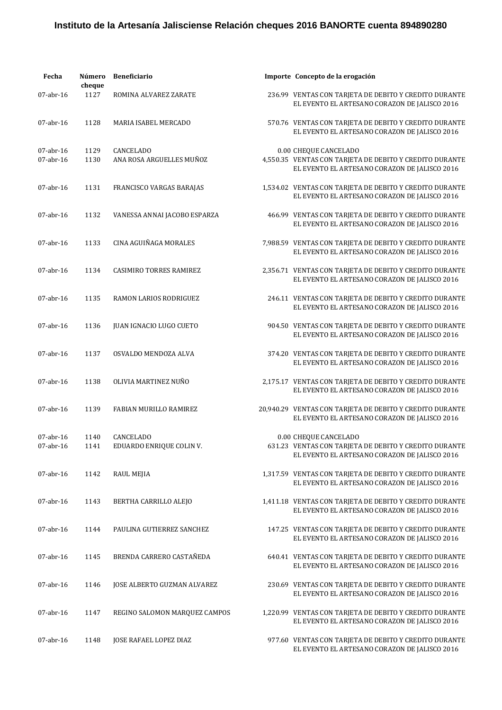| Fecha                     | Número<br>cheque | <b>Beneficiario</b>                   | Importe Concepto de la erogación                                                                                                  |
|---------------------------|------------------|---------------------------------------|-----------------------------------------------------------------------------------------------------------------------------------|
| 07-abr-16                 | 1127             | ROMINA ALVAREZ ZARATE                 | 236.99 VENTAS CON TARJETA DE DEBITO Y CREDITO DURANTE<br>EL EVENTO EL ARTESANO CORAZON DE JALISCO 2016                            |
| $07$ -abr-16              | 1128             | MARIA ISABEL MERCADO                  | 570.76 VENTAS CON TARJETA DE DEBITO Y CREDITO DURANTE<br>EL EVENTO EL ARTESANO CORAZON DE JALISCO 2016                            |
| $07$ -abr-16<br>07-abr-16 | 1129<br>1130     | CANCELADO<br>ANA ROSA ARGUELLES MUÑOZ | 0.00 CHEQUE CANCELADO<br>4,550.35 VENTAS CON TARJETA DE DEBITO Y CREDITO DURANTE<br>EL EVENTO EL ARTESANO CORAZON DE JALISCO 2016 |
| 07-abr-16                 | 1131             | FRANCISCO VARGAS BARAJAS              | 1,534.02 VENTAS CON TARJETA DE DEBITO Y CREDITO DURANTE<br>EL EVENTO EL ARTESANO CORAZON DE JALISCO 2016                          |
| 07-abr-16                 | 1132             | VANESSA ANNAI JACOBO ESPARZA          | 466.99 VENTAS CON TARJETA DE DEBITO Y CREDITO DURANTE<br>EL EVENTO EL ARTESANO CORAZON DE JALISCO 2016                            |
| $07$ -abr-16              | 1133             | CINA AGUIÑAGA MORALES                 | 7,988.59 VENTAS CON TARJETA DE DEBITO Y CREDITO DURANTE<br>EL EVENTO EL ARTESANO CORAZON DE JALISCO 2016                          |
| $07$ -abr-16              | 1134             | <b>CASIMIRO TORRES RAMIREZ</b>        | 2,356.71 VENTAS CON TARJETA DE DEBITO Y CREDITO DURANTE<br>EL EVENTO EL ARTESANO CORAZON DE JALISCO 2016                          |
| $07$ -abr-16              | 1135             | RAMON LARIOS RODRIGUEZ                | 246.11 VENTAS CON TARJETA DE DEBITO Y CREDITO DURANTE<br>EL EVENTO EL ARTESANO CORAZON DE JALISCO 2016                            |
| 07-abr-16                 | 1136             | <b>JUAN IGNACIO LUGO CUETO</b>        | 904.50 VENTAS CON TARJETA DE DEBITO Y CREDITO DURANTE<br>EL EVENTO EL ARTESANO CORAZON DE JALISCO 2016                            |
| 07-abr-16                 | 1137             | OSVALDO MENDOZA ALVA                  | 374.20 VENTAS CON TARJETA DE DEBITO Y CREDITO DURANTE<br>EL EVENTO EL ARTESANO CORAZON DE JALISCO 2016                            |
| $07$ -abr-16              | 1138             | OLIVIA MARTINEZ NUÑO                  | 2,175.17 VENTAS CON TARJETA DE DEBITO Y CREDITO DURANTE<br>EL EVENTO EL ARTESANO CORAZON DE JALISCO 2016                          |
| $07$ -abr-16              | 1139             | FABIAN MURILLO RAMIREZ                | 20,940.29 VENTAS CON TARJETA DE DEBITO Y CREDITO DURANTE<br>EL EVENTO EL ARTESANO CORAZON DE JALISCO 2016                         |
| 07-abr-16<br>07-abr-16    | 1140<br>1141     | CANCELADO<br>EDUARDO ENRIQUE COLIN V. | 0.00 CHEQUE CANCELADO<br>631.23 VENTAS CON TARJETA DE DEBITO Y CREDITO DURANTE<br>EL EVENTO EL ARTESANO CORAZON DE JALISCO 2016   |
| 07-abr-16                 | 1142             | RAUL MEJIA                            | 1,317.59 VENTAS CON TARJETA DE DEBITO Y CREDITO DURANTE<br>EL EVENTO EL ARTESANO CORAZON DE JALISCO 2016                          |
| $07$ -abr-16              | 1143             | BERTHA CARRILLO ALEJO                 | 1,411.18 VENTAS CON TARJETA DE DEBITO Y CREDITO DURANTE<br>EL EVENTO EL ARTESANO CORAZON DE JALISCO 2016                          |
| $07$ -abr-16              | 1144             | PAULINA GUTIERREZ SANCHEZ             | 147.25 VENTAS CON TARJETA DE DEBITO Y CREDITO DURANTE<br>EL EVENTO EL ARTESANO CORAZON DE JALISCO 2016                            |
| $07$ -abr-16              | 1145             | BRENDA CARRERO CASTAÑEDA              | 640.41 VENTAS CON TARJETA DE DEBITO Y CREDITO DURANTE<br>EL EVENTO EL ARTESANO CORAZON DE JALISCO 2016                            |
| $07$ -abr-16              | 1146             | JOSE ALBERTO GUZMAN ALVAREZ           | 230.69 VENTAS CON TARJETA DE DEBITO Y CREDITO DURANTE<br>EL EVENTO EL ARTESANO CORAZON DE JALISCO 2016                            |
| $07$ -abr-16              | 1147             | REGINO SALOMON MARQUEZ CAMPOS         | 1,220.99 VENTAS CON TARJETA DE DEBITO Y CREDITO DURANTE<br>EL EVENTO EL ARTESANO CORAZON DE JALISCO 2016                          |
| $07$ -abr-16              | 1148             | JOSE RAFAEL LOPEZ DIAZ                | 977.60 VENTAS CON TARJETA DE DEBITO Y CREDITO DURANTE<br>EL EVENTO EL ARTESANO CORAZON DE JALISCO 2016                            |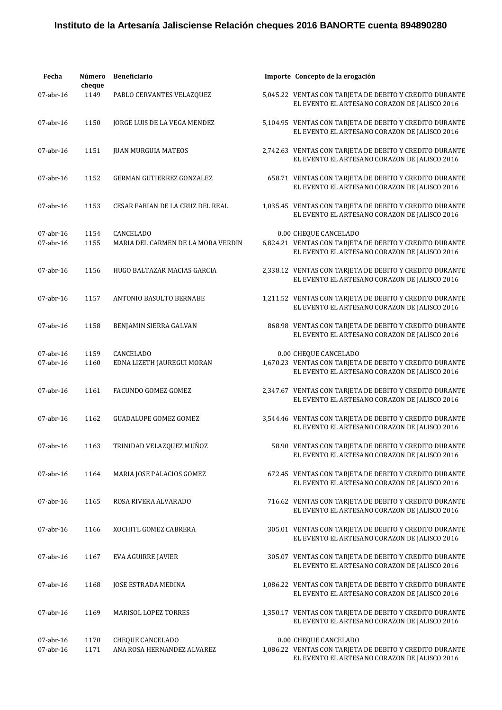| Fecha                     | Número<br>cheque | Beneficiario                                           | Importe Concepto de la erogación                                                                                                  |
|---------------------------|------------------|--------------------------------------------------------|-----------------------------------------------------------------------------------------------------------------------------------|
| $07$ -abr-16              | 1149             | PABLO CERVANTES VELAZQUEZ                              | 5,045.22 VENTAS CON TARJETA DE DEBITO Y CREDITO DURANTE<br>EL EVENTO EL ARTESANO CORAZON DE JALISCO 2016                          |
| 07-abr-16                 | 1150             | JORGE LUIS DE LA VEGA MENDEZ                           | 5,104.95 VENTAS CON TARJETA DE DEBITO Y CREDITO DURANTE<br>EL EVENTO EL ARTESANO CORAZON DE JALISCO 2016                          |
| $07$ -abr-16              | 1151             | <b>JUAN MURGUIA MATEOS</b>                             | 2,742.63 VENTAS CON TARJETA DE DEBITO Y CREDITO DURANTE<br>EL EVENTO EL ARTESANO CORAZON DE JALISCO 2016                          |
| 07-abr-16                 | 1152             | GERMAN GUTIERREZ GONZALEZ                              | 658.71 VENTAS CON TARJETA DE DEBITO Y CREDITO DURANTE<br>EL EVENTO EL ARTESANO CORAZON DE JALISCO 2016                            |
| 07-abr-16                 | 1153             | CESAR FABIAN DE LA CRUZ DEL REAL                       | 1,035.45 VENTAS CON TARJETA DE DEBITO Y CREDITO DURANTE<br>EL EVENTO EL ARTESANO CORAZON DE JALISCO 2016                          |
| 07-abr-16<br>$07$ -abr-16 | 1154<br>1155     | <b>CANCELADO</b><br>MARIA DEL CARMEN DE LA MORA VERDIN | 0.00 CHEQUE CANCELADO<br>6,824.21 VENTAS CON TARJETA DE DEBITO Y CREDITO DURANTE<br>EL EVENTO EL ARTESANO CORAZON DE JALISCO 2016 |
| $07$ -abr-16              | 1156             | HUGO BALTAZAR MACIAS GARCIA                            | 2,338.12 VENTAS CON TARJETA DE DEBITO Y CREDITO DURANTE<br>EL EVENTO EL ARTESANO CORAZON DE JALISCO 2016                          |
| 07-abr-16                 | 1157             | ANTONIO BASULTO BERNABE                                | 1,211.52 VENTAS CON TARJETA DE DEBITO Y CREDITO DURANTE<br>EL EVENTO EL ARTESANO CORAZON DE JALISCO 2016                          |
| 07-abr-16                 | 1158             | BENJAMIN SIERRA GALVAN                                 | 868.98 VENTAS CON TARJETA DE DEBITO Y CREDITO DURANTE<br>EL EVENTO EL ARTESANO CORAZON DE JALISCO 2016                            |
| 07-abr-16                 | 1159             | <b>CANCELADO</b>                                       | 0.00 CHEQUE CANCELADO                                                                                                             |
| 07-abr-16                 | 1160             | EDNA LIZETH JAUREGUI MORAN                             | 1,670.23 VENTAS CON TARJETA DE DEBITO Y CREDITO DURANTE<br>EL EVENTO EL ARTESANO CORAZON DE JALISCO 2016                          |
| $07$ -abr-16              | 1161             | FACUNDO GOMEZ GOMEZ                                    | 2,347.67 VENTAS CON TARJETA DE DEBITO Y CREDITO DURANTE<br>EL EVENTO EL ARTESANO CORAZON DE JALISCO 2016                          |
| 07-abr-16                 | 1162             | <b>GUADALUPE GOMEZ GOMEZ</b>                           | 3,544.46 VENTAS CON TARJETA DE DEBITO Y CREDITO DURANTE<br>EL EVENTO EL ARTESANO CORAZON DE JALISCO 2016                          |
| 07-abr-16                 | 1163             | TRINIDAD VELAZQUEZ MUÑOZ                               | 58.90 VENTAS CON TARJETA DE DEBITO Y CREDITO DURANTE<br>EL EVENTO EL ARTESANO CORAZON DE JALISCO 2016                             |
| $07$ -abr-16              | 1164             | MARIA JOSE PALACIOS GOMEZ                              | 672.45 VENTAS CON TARJETA DE DEBITO Y CREDITO DURANTE<br>EL EVENTO EL ARTESANO CORAZON DE JALISCO 2016                            |
| $07$ -abr-16              | 1165             | ROSA RIVERA ALVARADO                                   | 716.62 VENTAS CON TARJETA DE DEBITO Y CREDITO DURANTE<br>EL EVENTO EL ARTESANO CORAZON DE JALISCO 2016                            |
| 07-abr-16                 | 1166             | XOCHITL GOMEZ CABRERA                                  | 305.01 VENTAS CON TARJETA DE DEBITO Y CREDITO DURANTE<br>EL EVENTO EL ARTESANO CORAZON DE JALISCO 2016                            |
| $07$ -abr-16              | 1167             | EVA AGUIRRE JAVIER                                     | 305.07 VENTAS CON TARJETA DE DEBITO Y CREDITO DURANTE<br>EL EVENTO EL ARTESANO CORAZON DE JALISCO 2016                            |
| 07-abr-16                 | 1168             | <b>JOSE ESTRADA MEDINA</b>                             | 1,086.22 VENTAS CON TARJETA DE DEBITO Y CREDITO DURANTE<br>EL EVENTO EL ARTESANO CORAZON DE JALISCO 2016                          |
| 07-abr-16                 | 1169             | MARISOL LOPEZ TORRES                                   | 1,350.17 VENTAS CON TARJETA DE DEBITO Y CREDITO DURANTE<br>EL EVENTO EL ARTESANO CORAZON DE JALISCO 2016                          |
| 07-abr-16<br>07-abr-16    | 1170<br>1171     | CHEQUE CANCELADO<br>ANA ROSA HERNANDEZ ALVAREZ         | 0.00 CHEQUE CANCELADO<br>1,086.22 VENTAS CON TARJETA DE DEBITO Y CREDITO DURANTE<br>EL EVENTO EL ARTESANO CORAZON DE JALISCO 2016 |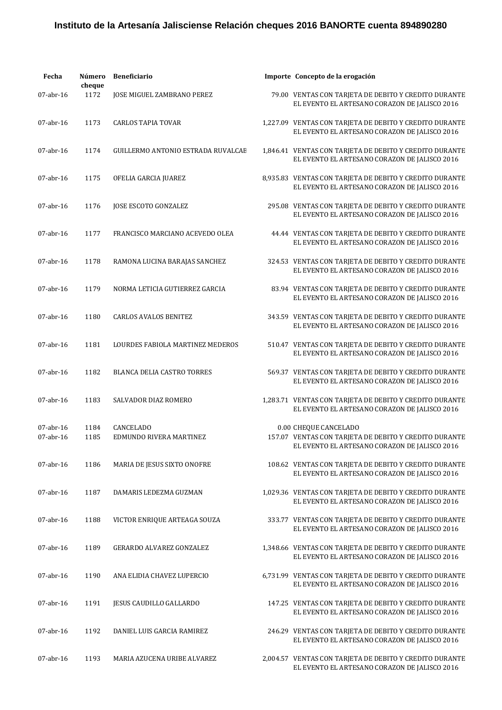| Fecha                  | Número<br>cheque | <b>Beneficiario</b>                         | Importe Concepto de la erogación                                                                                                |
|------------------------|------------------|---------------------------------------------|---------------------------------------------------------------------------------------------------------------------------------|
| 07-abr-16              | 1172             | JOSE MIGUEL ZAMBRANO PEREZ                  | 79.00 VENTAS CON TARJETA DE DEBITO Y CREDITO DURANTE<br>EL EVENTO EL ARTESANO CORAZON DE JALISCO 2016                           |
| $07$ -abr-16           | 1173             | <b>CARLOS TAPIA TOVAR</b>                   | 1,227.09 VENTAS CON TARJETA DE DEBITO Y CREDITO DURANTE<br>EL EVENTO EL ARTESANO CORAZON DE JALISCO 2016                        |
| $07$ -abr-16           | 1174             | GUILLERMO ANTONIO ESTRADA RUVALCAE          | 1,846.41 VENTAS CON TARJETA DE DEBITO Y CREDITO DURANTE<br>EL EVENTO EL ARTESANO CORAZON DE JALISCO 2016                        |
| 07-abr-16              | 1175             | OFELIA GARCIA JUAREZ                        | 8,935.83 VENTAS CON TARJETA DE DEBITO Y CREDITO DURANTE<br>EL EVENTO EL ARTESANO CORAZON DE JALISCO 2016                        |
| 07-abr-16              | 1176             | JOSE ESCOTO GONZALEZ                        | 295.08 VENTAS CON TARJETA DE DEBITO Y CREDITO DURANTE<br>EL EVENTO EL ARTESANO CORAZON DE JALISCO 2016                          |
| 07-abr-16              | 1177             | FRANCISCO MARCIANO ACEVEDO OLEA             | 44.44 VENTAS CON TARJETA DE DEBITO Y CREDITO DURANTE<br>EL EVENTO EL ARTESANO CORAZON DE JALISCO 2016                           |
| $07$ -abr-16           | 1178             | RAMONA LUCINA BARAJAS SANCHEZ               | 324.53 VENTAS CON TARJETA DE DEBITO Y CREDITO DURANTE<br>EL EVENTO EL ARTESANO CORAZON DE JALISCO 2016                          |
| $07$ -abr-16           | 1179             | NORMA LETICIA GUTIERREZ GARCIA              | 83.94 VENTAS CON TARJETA DE DEBITO Y CREDITO DURANTE<br>EL EVENTO EL ARTESANO CORAZON DE JALISCO 2016                           |
| 07-abr-16              | 1180             | <b>CARLOS AVALOS BENITEZ</b>                | 343.59 VENTAS CON TARJETA DE DEBITO Y CREDITO DURANTE<br>EL EVENTO EL ARTESANO CORAZON DE JALISCO 2016                          |
| 07-abr-16              | 1181             | LOURDES FABIOLA MARTINEZ MEDEROS            | 510.47 VENTAS CON TARJETA DE DEBITO Y CREDITO DURANTE<br>EL EVENTO EL ARTESANO CORAZON DE JALISCO 2016                          |
| $07$ -abr-16           | 1182             | <b>BLANCA DELIA CASTRO TORRES</b>           | 569.37 VENTAS CON TARJETA DE DEBITO Y CREDITO DURANTE<br>EL EVENTO EL ARTESANO CORAZON DE JALISCO 2016                          |
| $07$ -abr-16           | 1183             | SALVADOR DIAZ ROMERO                        | 1,283.71 VENTAS CON TARJETA DE DEBITO Y CREDITO DURANTE<br>EL EVENTO EL ARTESANO CORAZON DE JALISCO 2016                        |
| 07-abr-16<br>07-abr-16 | 1184<br>1185     | <b>CANCELADO</b><br>EDMUNDO RIVERA MARTINEZ | 0.00 CHEQUE CANCELADO<br>157.07 VENTAS CON TARJETA DE DEBITO Y CREDITO DURANTE<br>EL EVENTO EL ARTESANO CORAZON DE JALISCO 2016 |
| $07$ -abr-16           | 1186             | MARIA DE JESUS SIXTO ONOFRE                 | 108.62 VENTAS CON TARJETA DE DEBITO Y CREDITO DURANTE<br>EL EVENTO EL ARTESANO CORAZON DE JALISCO 2016                          |
| $07$ -abr-16           | 1187             | DAMARIS LEDEZMA GUZMAN                      | 1,029.36 VENTAS CON TARJETA DE DEBITO Y CREDITO DURANTE<br>EL EVENTO EL ARTESANO CORAZON DE JALISCO 2016                        |
| $07$ -abr-16           | 1188             | VICTOR ENRIQUE ARTEAGA SOUZA                | 333.77 VENTAS CON TARJETA DE DEBITO Y CREDITO DURANTE<br>EL EVENTO EL ARTESANO CORAZON DE JALISCO 2016                          |
| $07$ -abr-16           | 1189             | <b>GERARDO ALVAREZ GONZALEZ</b>             | 1,348.66 VENTAS CON TARJETA DE DEBITO Y CREDITO DURANTE<br>EL EVENTO EL ARTESANO CORAZON DE JALISCO 2016                        |
| $07$ -abr-16           | 1190             | ANA ELIDIA CHAVEZ LUPERCIO                  | 6,731.99 VENTAS CON TARJETA DE DEBITO Y CREDITO DURANTE<br>EL EVENTO EL ARTESANO CORAZON DE JALISCO 2016                        |
| $07$ -abr-16           | 1191             | JESUS CAUDILLO GALLARDO                     | 147.25 VENTAS CON TARJETA DE DEBITO Y CREDITO DURANTE<br>EL EVENTO EL ARTESANO CORAZON DE JALISCO 2016                          |
| $07$ -abr-16           | 1192             | DANIEL LUIS GARCIA RAMIREZ                  | 246.29 VENTAS CON TARJETA DE DEBITO Y CREDITO DURANTE<br>EL EVENTO EL ARTESANO CORAZON DE JALISCO 2016                          |
| $07$ -abr-16           | 1193             | MARIA AZUCENA URIBE ALVAREZ                 | 2,004.57 VENTAS CON TARJETA DE DEBITO Y CREDITO DURANTE<br>EL EVENTO EL ARTESANO CORAZON DE JALISCO 2016                        |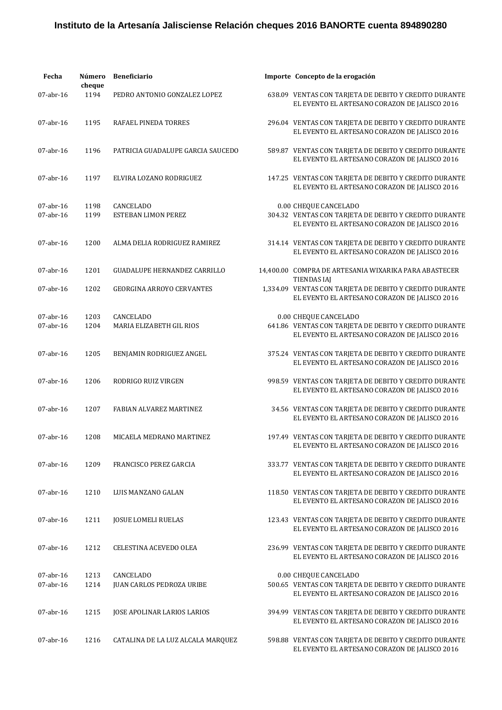| Fecha                     | Número<br>cheque | <b>Beneficiario</b>                     | Importe Concepto de la erogación                                                                                                |
|---------------------------|------------------|-----------------------------------------|---------------------------------------------------------------------------------------------------------------------------------|
| 07-abr-16                 | 1194             | PEDRO ANTONIO GONZALEZ LOPEZ            | 638.09 VENTAS CON TARJETA DE DEBITO Y CREDITO DURANTE<br>EL EVENTO EL ARTESANO CORAZON DE JALISCO 2016                          |
| 07-abr-16                 | 1195             | RAFAEL PINEDA TORRES                    | 296.04 VENTAS CON TARJETA DE DEBITO Y CREDITO DURANTE<br>EL EVENTO EL ARTESANO CORAZON DE JALISCO 2016                          |
| $07$ -abr-16              | 1196             | PATRICIA GUADALUPE GARCIA SAUCEDO       | 589.87 VENTAS CON TARJETA DE DEBITO Y CREDITO DURANTE<br>EL EVENTO EL ARTESANO CORAZON DE JALISCO 2016                          |
| 07-abr-16                 | 1197             | ELVIRA LOZANO RODRIGUEZ                 | 147.25 VENTAS CON TARJETA DE DEBITO Y CREDITO DURANTE<br>EL EVENTO EL ARTESANO CORAZON DE JALISCO 2016                          |
| 07-abr-16<br>$07$ -abr-16 | 1198<br>1199     | CANCELADO<br><b>ESTEBAN LIMON PEREZ</b> | 0.00 CHEQUE CANCELADO<br>304.32 VENTAS CON TARJETA DE DEBITO Y CREDITO DURANTE<br>EL EVENTO EL ARTESANO CORAZON DE JALISCO 2016 |
| $07$ -abr-16              | 1200             | ALMA DELIA RODRIGUEZ RAMIREZ            | 314.14 VENTAS CON TARJETA DE DEBITO Y CREDITO DURANTE<br>EL EVENTO EL ARTESANO CORAZON DE JALISCO 2016                          |
| $07$ -abr-16              | 1201             | <b>GUADALUPE HERNANDEZ CARRILLO</b>     | 14,400.00 COMPRA DE ARTESANIA WIXARIKA PARA ABASTECER<br><b>TIENDAS IAJ</b>                                                     |
| 07-abr-16                 | 1202             | <b>GEORGINA ARROYO CERVANTES</b>        | 1,334.09 VENTAS CON TARJETA DE DEBITO Y CREDITO DURANTE<br>EL EVENTO EL ARTESANO CORAZON DE JALISCO 2016                        |
| 07-abr-16                 | 1203             | CANCELADO                               | 0.00 CHEQUE CANCELADO                                                                                                           |
| 07-abr-16                 | 1204             | MARIA ELIZABETH GIL RIOS                | 641.86 VENTAS CON TARJETA DE DEBITO Y CREDITO DURANTE<br>EL EVENTO EL ARTESANO CORAZON DE JALISCO 2016                          |
| 07-abr-16                 | 1205             | BENJAMIN RODRIGUEZ ANGEL                | 375.24 VENTAS CON TARJETA DE DEBITO Y CREDITO DURANTE<br>EL EVENTO EL ARTESANO CORAZON DE JALISCO 2016                          |
| 07-abr-16                 | 1206             | RODRIGO RUIZ VIRGEN                     | 998.59 VENTAS CON TARJETA DE DEBITO Y CREDITO DURANTE<br>EL EVENTO EL ARTESANO CORAZON DE JALISCO 2016                          |
| 07-abr-16                 | 1207             | <b>FABIAN ALVAREZ MARTINEZ</b>          | 34.56 VENTAS CON TARJETA DE DEBITO Y CREDITO DURANTE<br>EL EVENTO EL ARTESANO CORAZON DE JALISCO 2016                           |
| 07-abr-16                 | 1208             | MICAELA MEDRANO MARTINEZ                | 197.49 VENTAS CON TARJETA DE DEBITO Y CREDITO DURANTE<br>EL EVENTO EL ARTESANO CORAZON DE JALISCO 2016                          |
| $07$ -abr-16              | 1209             | FRANCISCO PEREZ GARCIA                  | 333.77 VENTAS CON TARIETA DE DEBITO Y CREDITO DURANTE<br>EL EVENTO EL ARTESANO CORAZON DE JALISCO 2016                          |
| 07-abr-16                 | 1210             | LUIS MANZANO GALAN                      | 118.50 VENTAS CON TARJETA DE DEBITO Y CREDITO DURANTE<br>EL EVENTO EL ARTESANO CORAZON DE JALISCO 2016                          |
| $07$ -abr-16              | 1211             | <b>JOSUE LOMELI RUELAS</b>              | 123.43 VENTAS CON TARJETA DE DEBITO Y CREDITO DURANTE<br>EL EVENTO EL ARTESANO CORAZON DE JALISCO 2016                          |
| $07$ -abr-16              | 1212             | <b>CELESTINA ACEVEDO OLEA</b>           | 236.99 VENTAS CON TARJETA DE DEBITO Y CREDITO DURANTE<br>EL EVENTO EL ARTESANO CORAZON DE JALISCO 2016                          |
| $07$ -abr-16<br>07-abr-16 | 1213<br>1214     | CANCELADO<br>JUAN CARLOS PEDROZA URIBE  | 0.00 CHEQUE CANCELADO<br>500.65 VENTAS CON TARJETA DE DEBITO Y CREDITO DURANTE<br>EL EVENTO EL ARTESANO CORAZON DE JALISCO 2016 |
| $07$ -abr-16              | 1215             | JOSE APOLINAR LARIOS LARIOS             | 394.99 VENTAS CON TARJETA DE DEBITO Y CREDITO DURANTE<br>EL EVENTO EL ARTESANO CORAZON DE JALISCO 2016                          |
| $07$ -abr-16              | 1216             | CATALINA DE LA LUZ ALCALA MARQUEZ       | 598.88 VENTAS CON TARJETA DE DEBITO Y CREDITO DURANTE<br>EL EVENTO EL ARTESANO CORAZON DE JALISCO 2016                          |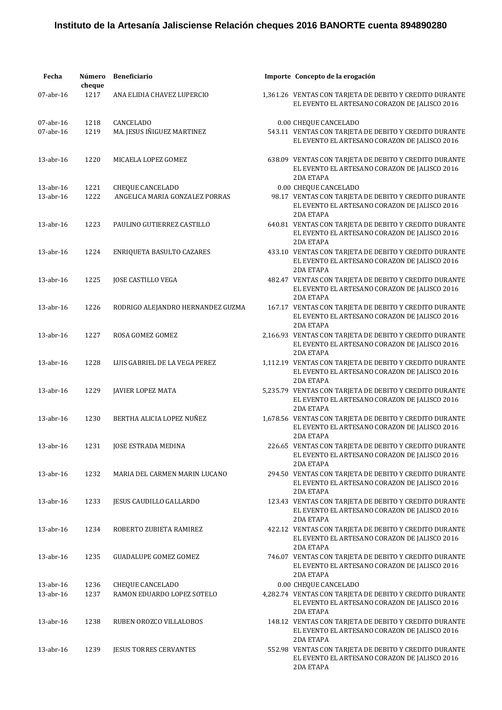| Fecha                     | Número<br>cheque | <b>Beneficiario</b>                                       | Importe Concepto de la erogación                                                                                                                   |
|---------------------------|------------------|-----------------------------------------------------------|----------------------------------------------------------------------------------------------------------------------------------------------------|
| 07-abr-16                 | 1217             | ANA ELIDIA CHAVEZ LUPERCIO                                | 1,361.26 VENTAS CON TARJETA DE DEBITO Y CREDITO DURANTE<br>EL EVENTO EL ARTESANO CORAZON DE JALISCO 2016                                           |
| 07-abr-16<br>$07$ -abr-16 | 1218<br>1219     | CANCELADO<br>MA. JESUS IÑIGUEZ MARTINEZ                   | 0.00 CHEQUE CANCELADO<br>543.11 VENTAS CON TARJETA DE DEBITO Y CREDITO DURANTE<br>EL EVENTO EL ARTESANO CORAZON DE JALISCO 2016                    |
| $13$ -abr- $16$           | 1220             | MICAELA LOPEZ GOMEZ                                       | 638.09 VENTAS CON TARJETA DE DEBITO Y CREDITO DURANTE<br>EL EVENTO EL ARTESANO CORAZON DE JALISCO 2016<br><b>2DA ETAPA</b>                         |
| 13-abr-16<br>13-abr-16    | 1221<br>1222     | <b>CHEQUE CANCELADO</b><br>ANGELICA MARIA GONZALEZ PORRAS | 0.00 CHEQUE CANCELADO<br>98.17 VENTAS CON TARJETA DE DEBITO Y CREDITO DURANTE<br>EL EVENTO EL ARTESANO CORAZON DE JALISCO 2016<br><b>2DA ETAPA</b> |
| 13-abr-16                 | 1223             | PAULINO GUTIERREZ CASTILLO                                | 640.81 VENTAS CON TARJETA DE DEBITO Y CREDITO DURANTE<br>EL EVENTO EL ARTESANO CORAZON DE JALISCO 2016<br><b>2DA ETAPA</b>                         |
| $13$ -abr- $16$           | 1224             | ENRIQUETA BASULTO CAZARES                                 | 433.10 VENTAS CON TARJETA DE DEBITO Y CREDITO DURANTE<br>EL EVENTO EL ARTESANO CORAZON DE JALISCO 2016<br><b>2DA ETAPA</b>                         |
| $13$ -abr- $16$           | 1225             | JOSE CASTILLO VEGA                                        | 482.47 VENTAS CON TARJETA DE DEBITO Y CREDITO DURANTE<br>EL EVENTO EL ARTESANO CORAZON DE JALISCO 2016<br><b>2DA ETAPA</b>                         |
| 13-abr-16                 | 1226             | RODRIGO ALEJANDRO HERNANDEZ GUZMA                         | 167.17 VENTAS CON TARJETA DE DEBITO Y CREDITO DURANTE<br>EL EVENTO EL ARTESANO CORAZON DE JALISCO 2016<br>2DA ETAPA                                |
| 13-abr-16                 | 1227             | ROSA GOMEZ GOMEZ                                          | 2,166.93 VENTAS CON TARJETA DE DEBITO Y CREDITO DURANTE<br>EL EVENTO EL ARTESANO CORAZON DE JALISCO 2016<br><b>2DA ETAPA</b>                       |
| 13-abr-16                 | 1228             | LUIS GABRIEL DE LA VEGA PEREZ                             | 1,112.19 VENTAS CON TARJETA DE DEBITO Y CREDITO DURANTE<br>EL EVENTO EL ARTESANO CORAZON DE JALISCO 2016<br><b>2DA ETAPA</b>                       |
| 13-abr-16                 | 1229             | <b>JAVIER LOPEZ MATA</b>                                  | 5,235.79 VENTAS CON TARJETA DE DEBITO Y CREDITO DURANTE<br>EL EVENTO EL ARTESANO CORAZON DE JALISCO 2016<br><b>2DA ETAPA</b>                       |
| 13-abr-16                 | 1230             | BERTHA ALICIA LOPEZ NUÑEZ                                 | 1,678.56 VENTAS CON TARJETA DE DEBITO Y CREDITO DURANTE<br>EL EVENTO EL ARTESANO CORAZON DE JALISCO 2016<br><b>2DA ETAPA</b>                       |
| 13-abr-16                 |                  | 1231 JOSE ESTRADA MEDINA                                  | 226.65 VENTAS CON TARJETA DE DEBITO Y CREDITO DURANTE<br>EL EVENTO EL ARTESANO CORAZON DE JALISCO 2016<br><b>2DA ETAPA</b>                         |
| 13-abr-16                 | 1232             | MARIA DEL CARMEN MARIN LUCANO                             | 294.50 VENTAS CON TARJETA DE DEBITO Y CREDITO DURANTE<br>EL EVENTO EL ARTESANO CORAZON DE JALISCO 2016<br>2DA ETAPA                                |
| 13-abr-16                 | 1233             | <b>JESUS CAUDILLO GALLARDO</b>                            | 123.43 VENTAS CON TARJETA DE DEBITO Y CREDITO DURANTE<br>EL EVENTO EL ARTESANO CORAZON DE JALISCO 2016<br>2DA ETAPA                                |
| $13$ -abr- $16$           | 1234             | ROBERTO ZUBIETA RAMIREZ                                   | 422.12 VENTAS CON TARJETA DE DEBITO Y CREDITO DURANTE<br>EL EVENTO EL ARTESANO CORAZON DE JALISCO 2016<br><b>2DA ETAPA</b>                         |
| 13-abr-16                 | 1235             | <b>GUADALUPE GOMEZ GOMEZ</b>                              | 746.07 VENTAS CON TARJETA DE DEBITO Y CREDITO DURANTE<br>EL EVENTO EL ARTESANO CORAZON DE JALISCO 2016<br>2DA ETAPA                                |
| 13-abr-16<br>13-abr-16    | 1236<br>1237     | CHEQUE CANCELADO<br>RAMON EDUARDO LOPEZ SOTELO            | 0.00 CHEQUE CANCELADO<br>4,282.74 VENTAS CON TARJETA DE DEBITO Y CREDITO DURANTE<br>EL EVENTO EL ARTESANO CORAZON DE JALISCO 2016<br>2DA ETAPA     |
| $13$ -abr- $16$           | 1238             | RUBEN OROZCO VILLALOBOS                                   | 148.12 VENTAS CON TARJETA DE DEBITO Y CREDITO DURANTE<br>EL EVENTO EL ARTESANO CORAZON DE JALISCO 2016<br>2DA ETAPA                                |
| $13$ -abr- $16$           | 1239             | <b>JESUS TORRES CERVANTES</b>                             | 552.98 VENTAS CON TARJETA DE DEBITO Y CREDITO DURANTE<br>EL EVENTO EL ARTESANO CORAZON DE JALISCO 2016<br>2DA ETAPA                                |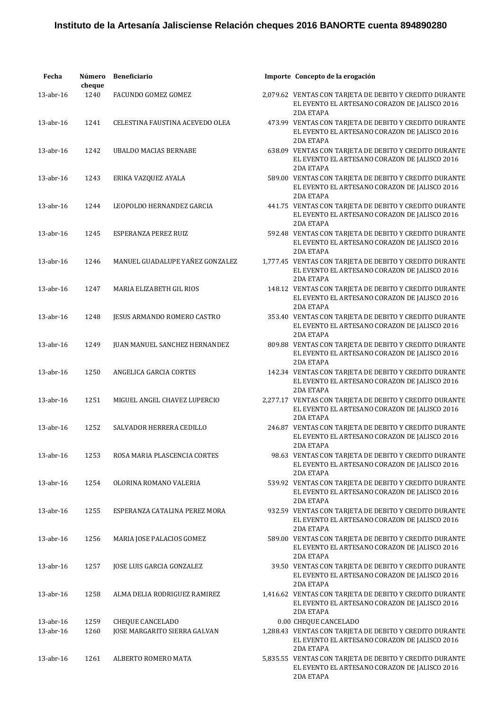| Fecha                  | Número<br>cheque | <b>Beneficiario</b>                                     | Importe Concepto de la erogación                                                                                                               |
|------------------------|------------------|---------------------------------------------------------|------------------------------------------------------------------------------------------------------------------------------------------------|
| 13-abr-16              | 1240             | FACUNDO GOMEZ GOMEZ                                     | 2,079.62 VENTAS CON TARJETA DE DEBITO Y CREDITO DURANTE<br>EL EVENTO EL ARTESANO CORAZON DE JALISCO 2016<br>2DA ETAPA                          |
| 13-abr-16              | 1241             | CELESTINA FAUSTINA ACEVEDO OLEA                         | 473.99 VENTAS CON TARJETA DE DEBITO Y CREDITO DURANTE<br>EL EVENTO EL ARTESANO CORAZON DE JALISCO 2016<br><b>2DA ETAPA</b>                     |
| $13$ -abr- $16$        | 1242             | <b>UBALDO MACIAS BERNABE</b>                            | 638.09 VENTAS CON TARJETA DE DEBITO Y CREDITO DURANTE<br>EL EVENTO EL ARTESANO CORAZON DE JALISCO 2016<br>2DA ETAPA                            |
| 13-abr-16              | 1243             | ERIKA VAZQUEZ AYALA                                     | 589.00 VENTAS CON TARJETA DE DEBITO Y CREDITO DURANTE<br>EL EVENTO EL ARTESANO CORAZON DE JALISCO 2016<br><b>2DA ETAPA</b>                     |
| 13-abr-16              | 1244             | LEOPOLDO HERNANDEZ GARCIA                               | 441.75 VENTAS CON TARJETA DE DEBITO Y CREDITO DURANTE<br>EL EVENTO EL ARTESANO CORAZON DE JALISCO 2016<br>2DA ETAPA                            |
| $13$ -abr- $16$        | 1245             | ESPERANZA PEREZ RUIZ                                    | 592.48 VENTAS CON TARJETA DE DEBITO Y CREDITO DURANTE<br>EL EVENTO EL ARTESANO CORAZON DE JALISCO 2016<br>2DA ETAPA                            |
| $13$ -abr- $16$        | 1246             | MANUEL GUADALUPE YAÑEZ GONZALEZ                         | 1,777.45 VENTAS CON TARJETA DE DEBITO Y CREDITO DURANTE<br>EL EVENTO EL ARTESANO CORAZON DE JALISCO 2016<br>2DA ETAPA                          |
| $13$ -abr- $16$        | 1247             | MARIA ELIZABETH GIL RIOS                                | 148.12 VENTAS CON TARJETA DE DEBITO Y CREDITO DURANTE<br>EL EVENTO EL ARTESANO CORAZON DE JALISCO 2016<br><b>2DA ETAPA</b>                     |
| 13-abr-16              | 1248             | JESUS ARMANDO ROMERO CASTRO                             | 353.40 VENTAS CON TARJETA DE DEBITO Y CREDITO DURANTE<br>EL EVENTO EL ARTESANO CORAZON DE JALISCO 2016<br>2DA ETAPA                            |
| 13-abr-16              | 1249             | <b>JUAN MANUEL SANCHEZ HERNANDEZ</b>                    | 809.88 VENTAS CON TARJETA DE DEBITO Y CREDITO DURANTE<br>EL EVENTO EL ARTESANO CORAZON DE JALISCO 2016<br>2DA ETAPA                            |
| 13-abr-16              | 1250             | ANGELICA GARCIA CORTES                                  | 142.34 VENTAS CON TARJETA DE DEBITO Y CREDITO DURANTE<br>EL EVENTO EL ARTESANO CORAZON DE JALISCO 2016<br>2DA ETAPA                            |
| $13$ -abr- $16$        | 1251             | MIGUEL ANGEL CHAVEZ LUPERCIO                            | 2,277.17 VENTAS CON TARJETA DE DEBITO Y CREDITO DURANTE<br>EL EVENTO EL ARTESANO CORAZON DE JALISCO 2016<br>2DA ETAPA                          |
| 13-abr-16              | 1252             | SALVADOR HERRERA CEDILLO                                | 246.87 VENTAS CON TARJETA DE DEBITO Y CREDITO DURANTE<br>EL EVENTO EL ARTESANO CORAZON DE JALISCO 2016<br>2DA ETAPA                            |
| 13-abr-16              | 1253             | ROSA MARIA PLASCENCIA CORTES                            | 98.63 VENTAS CON TARJETA DE DEBITO Y CREDITO DURANTE<br>EL EVENTO EL ARTESANO CORAZON DE JALISCO 2016<br>2DA ETAPA                             |
| $13$ -abr- $16$        | 1254             | OLORINA ROMANO VALERIA                                  | 539.92 VENTAS CON TARJETA DE DEBITO Y CREDITO DURANTE<br>EL EVENTO EL ARTESANO CORAZON DE JALISCO 2016<br>2DA ETAPA                            |
| $13$ -abr- $16$        | 1255             | ESPERANZA CATALINA PEREZ MORA                           | 932.59 VENTAS CON TARJETA DE DEBITO Y CREDITO DURANTE<br>EL EVENTO EL ARTESANO CORAZON DE JALISCO 2016<br>2DA ETAPA                            |
| $13$ -abr- $16$        | 1256             | MARIA JOSE PALACIOS GOMEZ                               | 589.00 VENTAS CON TARJETA DE DEBITO Y CREDITO DURANTE<br>EL EVENTO EL ARTESANO CORAZON DE JALISCO 2016<br>2DA ETAPA                            |
| 13-abr-16              | 1257             | JOSE LUIS GARCIA GONZALEZ                               | 39.50 VENTAS CON TARJETA DE DEBITO Y CREDITO DURANTE<br>EL EVENTO EL ARTESANO CORAZON DE JALISCO 2016<br>2DA ETAPA                             |
| 13-abr-16              | 1258             | ALMA DELIA RODRIGUEZ RAMIREZ                            | 1,416.62 VENTAS CON TARJETA DE DEBITO Y CREDITO DURANTE<br>EL EVENTO EL ARTESANO CORAZON DE JALISCO 2016<br>2DA ETAPA                          |
| 13-abr-16<br>13-abr-16 | 1259<br>1260     | <b>CHEQUE CANCELADO</b><br>JOSE MARGARITO SIERRA GALVAN | 0.00 CHEQUE CANCELADO<br>1,288.43 VENTAS CON TARJETA DE DEBITO Y CREDITO DURANTE<br>EL EVENTO EL ARTESANO CORAZON DE JALISCO 2016<br>2DA ETAPA |
| $13$ -abr- $16$        | 1261             | ALBERTO ROMERO MATA                                     | 5,835.55 VENTAS CON TARJETA DE DEBITO Y CREDITO DURANTE<br>EL EVENTO EL ARTESANO CORAZON DE JALISCO 2016<br>2DA ETAPA                          |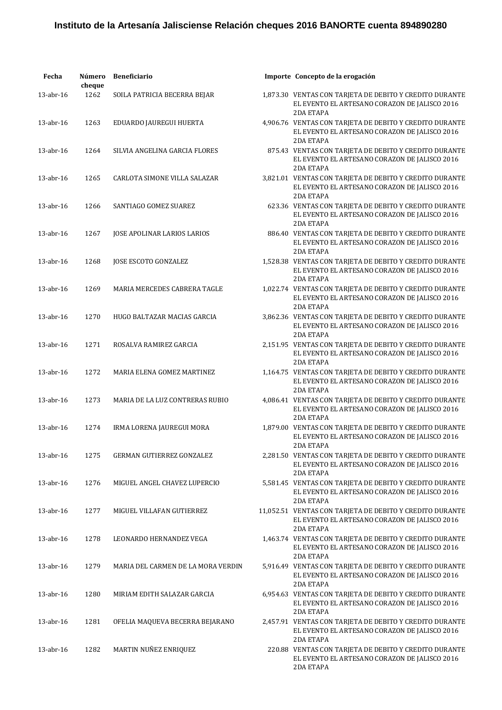| Fecha           | Número<br>cheque | <b>Beneficiario</b>                | Importe Concepto de la erogación                                                                                             |
|-----------------|------------------|------------------------------------|------------------------------------------------------------------------------------------------------------------------------|
| 13-abr-16       | 1262             | SOILA PATRICIA BECERRA BEJAR       | 1,873.30 VENTAS CON TARJETA DE DEBITO Y CREDITO DURANTE<br>EL EVENTO EL ARTESANO CORAZON DE JALISCO 2016<br>2DA ETAPA        |
| $13$ -abr- $16$ | 1263             | EDUARDO JAUREGUI HUERTA            | 4,906.76 VENTAS CON TARJETA DE DEBITO Y CREDITO DURANTE<br>EL EVENTO EL ARTESANO CORAZON DE JALISCO 2016<br><b>2DA ETAPA</b> |
| $13$ -abr- $16$ | 1264             | SILVIA ANGELINA GARCIA FLORES      | 875.43 VENTAS CON TARJETA DE DEBITO Y CREDITO DURANTE<br>EL EVENTO EL ARTESANO CORAZON DE JALISCO 2016<br><b>2DA ETAPA</b>   |
| 13-abr-16       | 1265             | CARLOTA SIMONE VILLA SALAZAR       | 3,821.01 VENTAS CON TARJETA DE DEBITO Y CREDITO DURANTE<br>EL EVENTO EL ARTESANO CORAZON DE JALISCO 2016<br>2DA ETAPA        |
| 13-abr-16       | 1266             | SANTIAGO GOMEZ SUAREZ              | 623.36 VENTAS CON TARJETA DE DEBITO Y CREDITO DURANTE<br>EL EVENTO EL ARTESANO CORAZON DE JALISCO 2016<br>2DA ETAPA          |
| $13$ -abr- $16$ | 1267             | JOSE APOLINAR LARIOS LARIOS        | 886.40 VENTAS CON TARJETA DE DEBITO Y CREDITO DURANTE<br>EL EVENTO EL ARTESANO CORAZON DE JALISCO 2016<br>2DA ETAPA          |
| $13$ -abr- $16$ | 1268             | JOSE ESCOTO GONZALEZ               | 1,528.38 VENTAS CON TARJETA DE DEBITO Y CREDITO DURANTE<br>EL EVENTO EL ARTESANO CORAZON DE JALISCO 2016<br>2DA ETAPA        |
| $13$ -abr- $16$ | 1269             | MARIA MERCEDES CABRERA TAGLE       | 1,022.74 VENTAS CON TARJETA DE DEBITO Y CREDITO DURANTE<br>EL EVENTO EL ARTESANO CORAZON DE JALISCO 2016<br>2DA ETAPA        |
| 13-abr-16       | 1270             | HUGO BALTAZAR MACIAS GARCIA        | 3,862.36 VENTAS CON TARJETA DE DEBITO Y CREDITO DURANTE<br>EL EVENTO EL ARTESANO CORAZON DE JALISCO 2016<br>2DA ETAPA        |
| 13-abr-16       | 1271             | ROSALVA RAMIREZ GARCIA             | 2,151.95 VENTAS CON TARJETA DE DEBITO Y CREDITO DURANTE<br>EL EVENTO EL ARTESANO CORAZON DE JALISCO 2016<br>2DA ETAPA        |
| $13$ -abr- $16$ | 1272             | MARIA ELENA GOMEZ MARTINEZ         | 1,164.75 VENTAS CON TARJETA DE DEBITO Y CREDITO DURANTE<br>EL EVENTO EL ARTESANO CORAZON DE JALISCO 2016<br><b>2DA ETAPA</b> |
| $13$ -abr- $16$ | 1273             | MARIA DE LA LUZ CONTRERAS RUBIO    | 4,086.41 VENTAS CON TARJETA DE DEBITO Y CREDITO DURANTE<br>EL EVENTO EL ARTESANO CORAZON DE JALISCO 2016<br><b>2DA ETAPA</b> |
| 13-abr-16       | 1274             | IRMA LORENA JAUREGUI MORA          | 1,879.00 VENTAS CON TARJETA DE DEBITO Y CREDITO DURANTE<br>EL EVENTO EL ARTESANO CORAZON DE JALISCO 2016<br>2DA ETAPA        |
| 13-abr-16       | 1275             | GERMAN GUTIERREZ GONZALEZ          | 2,281.50 VENTAS CON TARJETA DE DEBITO Y CREDITO DURANTE<br>EL EVENTO EL ARTESANO CORAZON DE JALISCO 2016<br>2DA ETAPA        |
| 13-abr-16       | 1276             | MIGUEL ANGEL CHAVEZ LUPERCIO       | 5,581.45 VENTAS CON TARJETA DE DEBITO Y CREDITO DURANTE<br>EL EVENTO EL ARTESANO CORAZON DE JALISCO 2016<br>2DA ETAPA        |
| 13-abr-16       | 1277             | MIGUEL VILLAFAN GUTIERREZ          | 11,052.51 VENTAS CON TARJETA DE DEBITO Y CREDITO DURANTE<br>EL EVENTO EL ARTESANO CORAZON DE JALISCO 2016<br>2DA ETAPA       |
| 13-abr-16       | 1278             | LEONARDO HERNANDEZ VEGA            | 1,463.74 VENTAS CON TARJETA DE DEBITO Y CREDITO DURANTE<br>EL EVENTO EL ARTESANO CORAZON DE JALISCO 2016<br>2DA ETAPA        |
| 13-abr-16       | 1279             | MARIA DEL CARMEN DE LA MORA VERDIN | 5,916.49 VENTAS CON TARJETA DE DEBITO Y CREDITO DURANTE<br>EL EVENTO EL ARTESANO CORAZON DE JALISCO 2016<br>2DA ETAPA        |
| 13-abr-16       | 1280             | MIRIAM EDITH SALAZAR GARCIA        | 6,954.63 VENTAS CON TARJETA DE DEBITO Y CREDITO DURANTE<br>EL EVENTO EL ARTESANO CORAZON DE JALISCO 2016<br>2DA ETAPA        |
| 13-abr-16       | 1281             | OFELIA MAQUEVA BECERRA BEJARANO    | 2,457.91 VENTAS CON TARJETA DE DEBITO Y CREDITO DURANTE<br>EL EVENTO EL ARTESANO CORAZON DE JALISCO 2016<br>2DA ETAPA        |
| 13-abr-16       | 1282             | MARTIN NUÑEZ ENRIQUEZ              | 220.88 VENTAS CON TARJETA DE DEBITO Y CREDITO DURANTE<br>EL EVENTO EL ARTESANO CORAZON DE JALISCO 2016<br>2DA ETAPA          |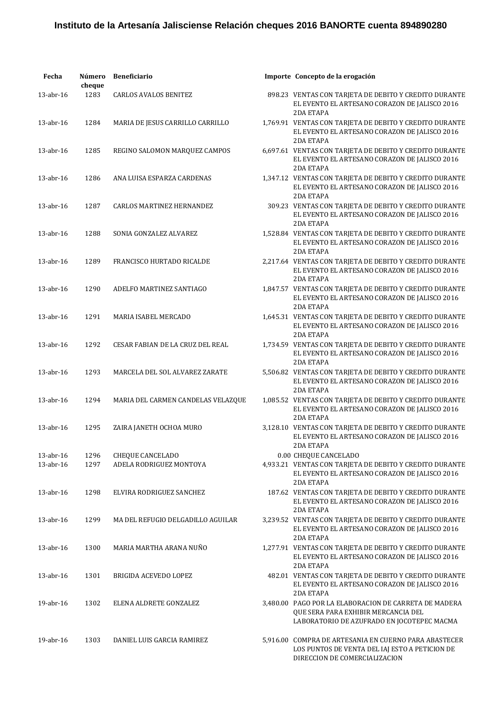| Fecha           | Número<br>cheque | <b>Beneficiario</b>                | Importe Concepto de la erogación                                                                                                           |
|-----------------|------------------|------------------------------------|--------------------------------------------------------------------------------------------------------------------------------------------|
| 13-abr-16       | 1283             | <b>CARLOS AVALOS BENITEZ</b>       | 898.23 VENTAS CON TARJETA DE DEBITO Y CREDITO DURANTE<br>EL EVENTO EL ARTESANO CORAZON DE JALISCO 2016<br>2DA ETAPA                        |
| 13-abr-16       | 1284             | MARIA DE JESUS CARRILLO CARRILLO   | 1,769.91 VENTAS CON TARJETA DE DEBITO Y CREDITO DURANTE<br>EL EVENTO EL ARTESANO CORAZON DE JALISCO 2016<br>2DA ETAPA                      |
| $13$ -abr- $16$ | 1285             | REGINO SALOMON MARQUEZ CAMPOS      | 6,697.61 VENTAS CON TARJETA DE DEBITO Y CREDITO DURANTE<br>EL EVENTO EL ARTESANO CORAZON DE JALISCO 2016<br>2DA ETAPA                      |
| 13-abr-16       | 1286             | ANA LUISA ESPARZA CARDENAS         | 1,347.12 VENTAS CON TARJETA DE DEBITO Y CREDITO DURANTE<br>EL EVENTO EL ARTESANO CORAZON DE JALISCO 2016<br>2DA ETAPA                      |
| 13-abr-16       | 1287             | <b>CARLOS MARTINEZ HERNANDEZ</b>   | 309.23 VENTAS CON TARJETA DE DEBITO Y CREDITO DURANTE<br>EL EVENTO EL ARTESANO CORAZON DE JALISCO 2016<br>2DA ETAPA                        |
| 13-abr-16       | 1288             | SONIA GONZALEZ ALVAREZ             | 1,528.84 VENTAS CON TARJETA DE DEBITO Y CREDITO DURANTE<br>EL EVENTO EL ARTESANO CORAZON DE JALISCO 2016<br>2DA ETAPA                      |
| $13$ -abr- $16$ | 1289             | FRANCISCO HURTADO RICALDE          | 2,217.64 VENTAS CON TARJETA DE DEBITO Y CREDITO DURANTE<br>EL EVENTO EL ARTESANO CORAZON DE JALISCO 2016<br>2DA ETAPA                      |
| $13$ -abr- $16$ | 1290             | ADELFO MARTINEZ SANTIAGO           | 1,847.57 VENTAS CON TARJETA DE DEBITO Y CREDITO DURANTE<br>EL EVENTO EL ARTESANO CORAZON DE JALISCO 2016<br>2DA ETAPA                      |
| $13$ -abr- $16$ | 1291             | MARIA ISABEL MERCADO               | 1,645.31 VENTAS CON TARJETA DE DEBITO Y CREDITO DURANTE<br>EL EVENTO EL ARTESANO CORAZON DE JALISCO 2016<br>2DA ETAPA                      |
| 13-abr-16       | 1292             | CESAR FABIAN DE LA CRUZ DEL REAL   | 1,734.59 VENTAS CON TARJETA DE DEBITO Y CREDITO DURANTE<br>EL EVENTO EL ARTESANO CORAZON DE JALISCO 2016<br>2DA ETAPA                      |
| $13$ -abr- $16$ | 1293             | MARCELA DEL SOL ALVAREZ ZARATE     | 5,506.82 VENTAS CON TARJETA DE DEBITO Y CREDITO DURANTE<br>EL EVENTO EL ARTESANO CORAZON DE JALISCO 2016<br><b>2DA ETAPA</b>               |
| $13$ -abr- $16$ | 1294             | MARIA DEL CARMEN CANDELAS VELAZQUE | 1,085.52 VENTAS CON TARJETA DE DEBITO Y CREDITO DURANTE<br>EL EVENTO EL ARTESANO CORAZON DE JALISCO 2016<br><b>2DA ETAPA</b>               |
| 13-abr-16       | 1295             | ZAIRA JANETH OCHOA MURO            | 3,128.10 VENTAS CON TARJETA DE DEBITO Y CREDITO DURANTE<br>EL EVENTO EL ARTESANO CORAZON DE JALISCO 2016<br>2DA ETAPA                      |
| 13-abr-16       | 1296             | <b>CHEQUE CANCELADO</b>            | 0.00 CHEQUE CANCELADO                                                                                                                      |
| 13-abr-16       | 1297             | ADELA RODRIGUEZ MONTOYA            | 4,933.21 VENTAS CON TARJETA DE DEBITO Y CREDITO DURANTE                                                                                    |
|                 |                  |                                    | EL EVENTO EL ARTESANO CORAZON DE JALISCO 2016<br>2DA ETAPA                                                                                 |
| 13-abr-16       | 1298             | ELVIRA RODRIGUEZ SANCHEZ           | 187.62 VENTAS CON TARJETA DE DEBITO Y CREDITO DURANTE<br>EL EVENTO EL ARTESANO CORAZON DE JALISCO 2016<br>2DA ETAPA                        |
| 13-abr-16       | 1299             | MA DEL REFUGIO DELGADILLO AGUILAR  | 3,239.52 VENTAS CON TARJETA DE DEBITO Y CREDITO DURANTE<br>EL EVENTO EL ARTESANO CORAZON DE JALISCO 2016<br>2DA ETAPA                      |
| 13-abr-16       | 1300             | MARIA MARTHA ARANA NUÑO            | 1,277.91 VENTAS CON TARJETA DE DEBITO Y CREDITO DURANTE<br>EL EVENTO EL ARTESANO CORAZON DE JALISCO 2016<br>2DA ETAPA                      |
| 13-abr-16       | 1301             | BRIGIDA ACEVEDO LOPEZ              | 482.01 VENTAS CON TARJETA DE DEBITO Y CREDITO DURANTE<br>EL EVENTO EL ARTESANO CORAZON DE JALISCO 2016<br>2DA ETAPA                        |
| 19-abr-16       | 1302             | ELENA ALDRETE GONZALEZ             | 3,480.00 PAGO POR LA ELABORACION DE CARRETA DE MADERA<br>QUE SERA PARA EXHIBIR MERCANCIA DEL<br>LABORATORIO DE AZUFRADO EN JOCOTEPEC MACMA |
| 19-abr-16       | 1303             | DANIEL LUIS GARCIA RAMIREZ         | 5,916.00 COMPRA DE ARTESANIA EN CUERNO PARA ABASTECER<br>LOS PUNTOS DE VENTA DEL IAJ ESTO A PETICION DE<br>DIRECCION DE COMERCIALIZACION   |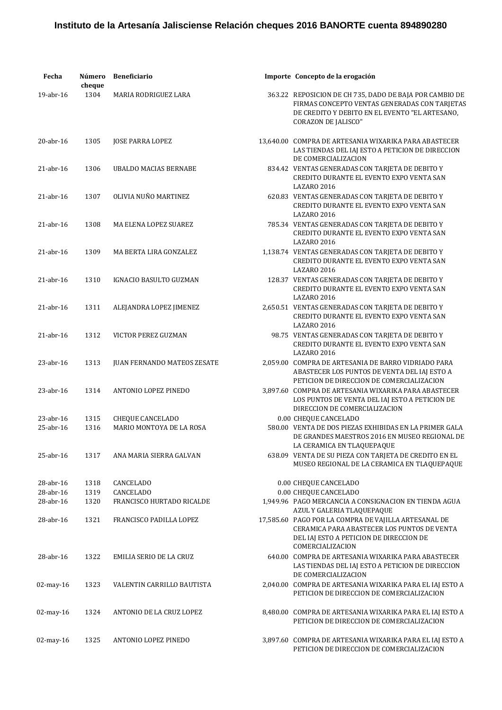| Fecha           | Número<br>cheque | <b>Beneficiario</b>                | Importe Concepto de la erogación                                                                                                                                                         |
|-----------------|------------------|------------------------------------|------------------------------------------------------------------------------------------------------------------------------------------------------------------------------------------|
| 19-abr-16       | 1304             | MARIA RODRIGUEZ LARA               | 363.22 REPOSICION DE CH 735, DADO DE BAJA POR CAMBIO DE<br>FIRMAS CONCEPTO VENTAS GENERADAS CON TARJETAS<br>DE CREDITO Y DEBITO EN EL EVENTO "EL ARTESANO,<br><b>CORAZON DE JALISCO"</b> |
| $20$ -abr- $16$ | 1305             | <b>JOSE PARRA LOPEZ</b>            | 13,640.00 COMPRA DE ARTESANIA WIXARIKA PARA ABASTECER<br>LAS TIENDAS DEL IAJ ESTO A PETICION DE DIRECCION<br>DE COMERCIALIZACION                                                         |
| $21$ -abr- $16$ | 1306             | <b>UBALDO MACIAS BERNABE</b>       | 834.42 VENTAS GENERADAS CON TARJETA DE DEBITO Y<br>CREDITO DURANTE EL EVENTO EXPO VENTA SAN<br>LAZARO 2016                                                                               |
| $21$ -abr- $16$ | 1307             | OLIVIA NUÑO MARTINEZ               | 620.83 VENTAS GENERADAS CON TARJETA DE DEBITO Y<br>CREDITO DURANTE EL EVENTO EXPO VENTA SAN<br><b>LAZARO 2016</b>                                                                        |
| $21$ -abr- $16$ | 1308             | MA ELENA LOPEZ SUAREZ              | 785.34 VENTAS GENERADAS CON TARJETA DE DEBITO Y<br>CREDITO DURANTE EL EVENTO EXPO VENTA SAN<br><b>LAZARO 2016</b>                                                                        |
| $21$ -abr- $16$ | 1309             | MA BERTA LIRA GONZALEZ             | 1,138.74 VENTAS GENERADAS CON TARJETA DE DEBITO Y<br>CREDITO DURANTE EL EVENTO EXPO VENTA SAN<br><b>LAZARO 2016</b>                                                                      |
| $21$ -abr- $16$ | 1310             | IGNACIO BASULTO GUZMAN             | 128.37 VENTAS GENERADAS CON TARJETA DE DEBITO Y<br>CREDITO DURANTE EL EVENTO EXPO VENTA SAN<br><b>LAZARO 2016</b>                                                                        |
| $21$ -abr- $16$ | 1311             | ALEJANDRA LOPEZ JIMENEZ            | 2,650.51 VENTAS GENERADAS CON TARJETA DE DEBITO Y<br>CREDITO DURANTE EL EVENTO EXPO VENTA SAN<br><b>LAZARO 2016</b>                                                                      |
| $21$ -abr- $16$ | 1312             | VICTOR PEREZ GUZMAN                | 98.75 VENTAS GENERADAS CON TARJETA DE DEBITO Y<br>CREDITO DURANTE EL EVENTO EXPO VENTA SAN<br><b>LAZARO 2016</b>                                                                         |
| $23$ -abr-16    | 1313             | <b>JUAN FERNANDO MATEOS ZESATE</b> | 2,059.00 COMPRA DE ARTESANIA DE BARRO VIDRIADO PARA<br>ABASTECER LOS PUNTOS DE VENTA DEL IAJ ESTO A<br>PETICION DE DIRECCION DE COMERCIALIZACION                                         |
| $23$ -abr-16    | 1314             | ANTONIO LOPEZ PINEDO               | 3,897.60 COMPRA DE ARTESANIA WIXARIKA PARA ABASTECER<br>LOS PUNTOS DE VENTA DEL IAJ ESTO A PETICION DE<br>DIRECCION DE COMERCIALIZACION                                                  |
| $23$ -abr-16    | 1315             | CHEQUE CANCELADO                   | 0.00 CHEQUE CANCELADO                                                                                                                                                                    |
| 25-abr-16       | 1316             | MARIO MONTOYA DE LA ROSA           | 580.00 VENTA DE DOS PIEZAS EXHIBIDAS EN LA PRIMER GALA<br>DE GRANDES MAESTROS 2016 EN MUSEO REGIONAL DE<br>LA CERAMICA EN TLAQUEPAQUE                                                    |
| 25-abr-16       | 1317             | ANA MARIA SIERRA GALVAN            | 638.09 VENTA DE SU PIEZA CON TARJETA DE CREDITO EN EL<br>MUSEO REGIONAL DE LA CERAMICA EN TLAQUEPAQUE                                                                                    |
| 28-abr-16       | 1318             | CANCELADO                          | 0.00 CHEQUE CANCELADO                                                                                                                                                                    |
| 28-abr-16       | 1319             | CANCELADO                          | 0.00 CHEQUE CANCELADO                                                                                                                                                                    |
| 28-abr-16       | 1320             | FRANCISCO HURTADO RICALDE          | 1,949.96 PAGO MERCANCIA A CONSIGNACION EN TIENDA AGUA<br>AZUL Y GALERIA TLAQUEPAQUE                                                                                                      |
| 28-abr-16       | 1321             | FRANCISCO PADILLA LOPEZ            | 17,585.60 PAGO POR LA COMPRA DE VAJILLA ARTESANAL DE<br>CERAMICA PARA ABASTECER LOS PUNTOS DE VENTA<br>DEL IAJ ESTO A PETICION DE DIRECCION DE<br>COMERCIALIZACION                       |
| 28-abr-16       | 1322             | EMILIA SERIO DE LA CRUZ            | 640.00 COMPRA DE ARTESANIA WIXARIKA PARA ABASTECER<br>LAS TIENDAS DEL IAJ ESTO A PETICION DE DIRECCION<br>DE COMERCIALIZACION                                                            |
| $02$ -may-16    | 1323             | VALENTIN CARRILLO BAUTISTA         | 2,040.00 COMPRA DE ARTESANIA WIXARIKA PARA EL IAJ ESTO A<br>PETICION DE DIRECCION DE COMERCIALIZACION                                                                                    |
| 02-may-16       | 1324             | ANTONIO DE LA CRUZ LOPEZ           | 8,480.00 COMPRA DE ARTESANIA WIXARIKA PARA EL IAJ ESTO A<br>PETICION DE DIRECCION DE COMERCIALIZACION                                                                                    |
| 02-may-16       | 1325             | ANTONIO LOPEZ PINEDO               | 3,897.60 COMPRA DE ARTESANIA WIXARIKA PARA EL IAJ ESTO A<br>PETICION DE DIRECCION DE COMERCIALIZACION                                                                                    |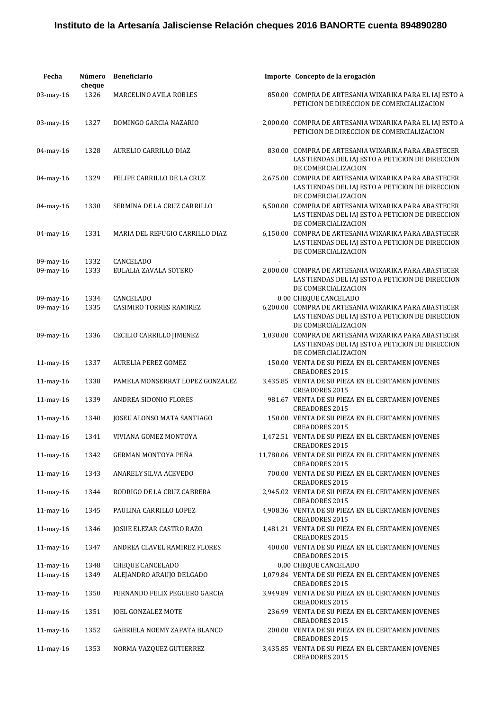| Fecha           | Número<br>cheque | <b>Beneficiario</b>             | Importe Concepto de la erogación                                                                                                                       |
|-----------------|------------------|---------------------------------|--------------------------------------------------------------------------------------------------------------------------------------------------------|
| 03-may-16       | 1326             | <b>MARCELINO AVILA ROBLES</b>   | 850.00 COMPRA DE ARTESANIA WIXARIKA PARA EL IAJ ESTO A<br>PETICION DE DIRECCION DE COMERCIALIZACION                                                    |
| 03-may-16       | 1327             | DOMINGO GARCIA NAZARIO          | 2,000.00 COMPRA DE ARTESANIA WIXARIKA PARA EL IAJ ESTO A<br>PETICION DE DIRECCION DE COMERCIALIZACION                                                  |
| 04-may-16       | 1328             | AURELIO CARRILLO DIAZ           | 830.00 COMPRA DE ARTESANIA WIXARIKA PARA ABASTECER<br>LAS TIENDAS DEL IAJ ESTO A PETICION DE DIRECCION<br>DE COMERCIALIZACION                          |
| 04-may-16       | 1329             | FELIPE CARRILLO DE LA CRUZ      | 2.675.00 COMPRA DE ARTESANIA WIXARIKA PARA ABASTECER<br>LAS TIENDAS DEL IAJ ESTO A PETICION DE DIRECCION                                               |
| 04-may-16       | 1330             | SERMINA DE LA CRUZ CARRILLO     | DE COMERCIALIZACION<br>6,500.00 COMPRA DE ARTESANIA WIXARIKA PARA ABASTECER<br>LAS TIENDAS DEL IAJ ESTO A PETICION DE DIRECCION<br>DE COMERCIALIZACION |
| 04-may-16       | 1331             | MARIA DEL REFUGIO CARRILLO DIAZ | 6,150.00 COMPRA DE ARTESANIA WIXARIKA PARA ABASTECER<br>LAS TIENDAS DEL IAJ ESTO A PETICION DE DIRECCION<br>DE COMERCIALIZACION                        |
| 09-may-16       | 1332             | CANCELADO                       |                                                                                                                                                        |
| 09-may-16       | 1333             | EULALIA ZAVALA SOTERO           | 2.000.00 COMPRA DE ARTESANIA WIXARIKA PARA ABASTECER<br>LAS TIENDAS DEL IAJ ESTO A PETICION DE DIRECCION<br>DE COMERCIALIZACION                        |
| 09-may-16       | 1334             | CANCELADO                       | 0.00 CHEQUE CANCELADO                                                                                                                                  |
| 09-may-16       | 1335             | <b>CASIMIRO TORRES RAMIREZ</b>  | 6,200.00 COMPRA DE ARTESANIA WIXARIKA PARA ABASTECER<br>LAS TIENDAS DEL IAJ ESTO A PETICION DE DIRECCION<br>DE COMERCIALIZACION                        |
| 09-may-16       | 1336             | CECILIO CARRILLO JIMENEZ        | 1,030.00 COMPRA DE ARTESANIA WIXARIKA PARA ABASTECER<br>LAS TIENDAS DEL IAJ ESTO A PETICION DE DIRECCION<br>DE COMERCIALIZACION                        |
| 11-may-16       | 1337             | <b>AURELIA PEREZ GOMEZ</b>      | 150.00 VENTA DE SU PIEZA EN EL CERTAMEN JOVENES<br><b>CREADORES 2015</b>                                                                               |
| 11-may-16       | 1338             | PAMELA MONSERRAT LOPEZ GONZALEZ | 3,435.85 VENTA DE SU PIEZA EN EL CERTAMEN JOVENES<br><b>CREADORES 2015</b>                                                                             |
| 11-may-16       | 1339             | ANDREA SIDONIO FLORES           | 981.67 VENTA DE SU PIEZA EN EL CERTAMEN JOVENES<br><b>CREADORES 2015</b>                                                                               |
| 11-may-16       | 1340             | JOSEU ALONSO MATA SANTIAGO      | 150.00 VENTA DE SU PIEZA EN EL CERTAMEN JOVENES<br><b>CREADORES 2015</b>                                                                               |
| 11-may-16       | 1341             | VIVIANA GOMEZ MONTOYA           | 1,472.51 VENTA DE SU PIEZA EN EL CERTAMEN JOVENES<br>CREADORES 2015                                                                                    |
| 11-may-16       | 1342             | GERMAN MONTOYA PEÑA             | 11,780.06 VENTA DE SU PIEZA EN EL CERTAMEN JOVENES<br><b>CREADORES 2015</b>                                                                            |
| 11-may-16       | 1343             | ANARELY SILVA ACEVEDO           | 700.00 VENTA DE SU PIEZA EN EL CERTAMEN JOVENES<br><b>CREADORES 2015</b>                                                                               |
| 11-may-16       | 1344             | RODRIGO DE LA CRUZ CABRERA      | 2,945.02 VENTA DE SU PIEZA EN EL CERTAMEN JOVENES<br><b>CREADORES 2015</b>                                                                             |
| 11-may-16       | 1345             | PAULINA CARRILLO LOPEZ          | 4,908.36 VENTA DE SU PIEZA EN EL CERTAMEN JOVENES<br><b>CREADORES 2015</b>                                                                             |
| 11-may-16       | 1346             | JOSUE ELEZAR CASTRO RAZO        | 1,481.21 VENTA DE SU PIEZA EN EL CERTAMEN JOVENES<br><b>CREADORES 2015</b>                                                                             |
| $11$ -may- $16$ | 1347             | ANDREA CLAVEL RAMIREZ FLORES    | 400.00 VENTA DE SU PIEZA EN EL CERTAMEN JOVENES<br><b>CREADORES 2015</b>                                                                               |
| $11$ -may- $16$ | 1348             | <b>CHEQUE CANCELADO</b>         | 0.00 CHEQUE CANCELADO                                                                                                                                  |
| 11-may-16       | 1349             | ALEJANDRO ARAUJO DELGADO        | 1,079.84 VENTA DE SU PIEZA EN EL CERTAMEN JOVENES<br><b>CREADORES 2015</b>                                                                             |
| 11-may-16       | 1350             | FERNANDO FELIX PEGUERO GARCIA   | 3,949.89 VENTA DE SU PIEZA EN EL CERTAMEN JOVENES<br><b>CREADORES 2015</b>                                                                             |
| $11$ -may- $16$ | 1351             | JOEL GONZALEZ MOTE              | 236.99 VENTA DE SU PIEZA EN EL CERTAMEN JOVENES<br><b>CREADORES 2015</b>                                                                               |
| 11-may-16       | 1352             | GABRIELA NOEMY ZAPATA BLANCO    | 200.00 VENTA DE SU PIEZA EN EL CERTAMEN JOVENES<br><b>CREADORES 2015</b>                                                                               |
| 11-may-16       | 1353             | NORMA VAZQUEZ GUTIERREZ         | 3,435.85 VENTA DE SU PIEZA EN EL CERTAMEN JOVENES<br><b>CREADORES 2015</b>                                                                             |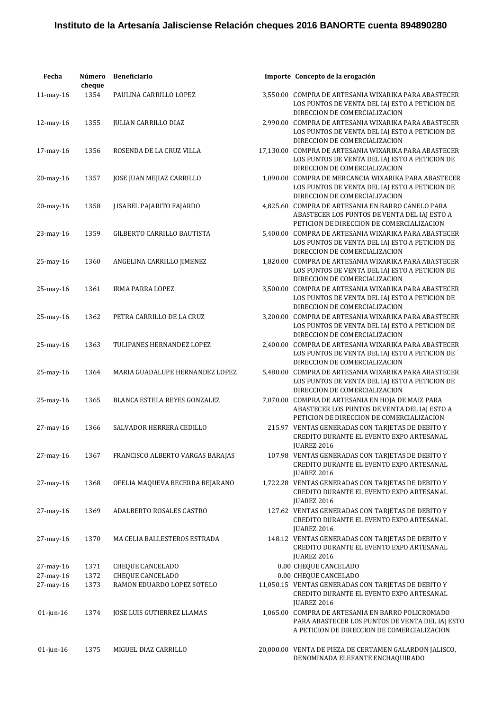| Fecha           | Número<br>cheque | <b>Beneficiario</b>               |           | Importe Concepto de la erogación                                                                                                                    |
|-----------------|------------------|-----------------------------------|-----------|-----------------------------------------------------------------------------------------------------------------------------------------------------|
| $11$ -may- $16$ | 1354             | PAULINA CARRILLO LOPEZ            |           | 3,550.00 COMPRA DE ARTESANIA WIXARIKA PARA ABASTECER<br>LOS PUNTOS DE VENTA DEL IAJ ESTO A PETICION DE                                              |
| 12-may-16       | 1355             | <b>JULIAN CARRILLO DIAZ</b>       |           | DIRECCION DE COMERCIALIZACION<br>2,990.00 COMPRA DE ARTESANIA WIXARIKA PARA ABASTECER<br>LOS PUNTOS DE VENTA DEL IAJ ESTO A PETICION DE             |
| 17-may-16       | 1356             | ROSENDA DE LA CRUZ VILLA          | 17,130.00 | DIRECCION DE COMERCIALIZACION<br>COMPRA DE ARTESANIA WIXARIKA PARA ABASTECER<br>LOS PUNTOS DE VENTA DEL IAJ ESTO A PETICION DE                      |
| 20-may-16       | 1357             | JOSE JUAN MEJIAZ CARRILLO         |           | DIRECCION DE COMERCIALIZACION<br>1,090.00 COMPRA DE MERCANCIA WIXARIKA PARA ABASTECER<br>LOS PUNTOS DE VENTA DEL IAJ ESTO A PETICION DE             |
| 20-may-16       | 1358             | J ISABEL PAJARITO FAJARDO         |           | DIRECCION DE COMERCIALIZACION<br>4,825.60 COMPRA DE ARTESANIA EN BARRO CANELO PARA<br>ABASTECER LOS PUNTOS DE VENTA DEL IAJ ESTO A                  |
| 23-may-16       | 1359             | <b>GILBERTO CARRILLO BAUTISTA</b> |           | PETICION DE DIRECCION DE COMERCIALIZACION<br>5,400.00 COMPRA DE ARTESANIA WIXARIKA PARA ABASTECER<br>LOS PUNTOS DE VENTA DEL IAJ ESTO A PETICION DE |
| 25-may-16       | 1360             | ANGELINA CARRILLO JIMENEZ         |           | DIRECCION DE COMERCIALIZACION<br>1,820.00 COMPRA DE ARTESANIA WIXARIKA PARA ABASTECER                                                               |
| 25-may-16       | 1361             | <b>IRMA PARRA LOPEZ</b>           |           | LOS PUNTOS DE VENTA DEL IAJ ESTO A PETICION DE<br>DIRECCION DE COMERCIALIZACION<br>3,500.00 COMPRA DE ARTESANIA WIXARIKA PARA ABASTECER             |
| 25-may-16       | 1362             | PETRA CARRILLO DE LA CRUZ         |           | LOS PUNTOS DE VENTA DEL IAJ ESTO A PETICION DE<br>DIRECCION DE COMERCIALIZACION<br>3,200.00 COMPRA DE ARTESANIA WIXARIKA PARA ABASTECER             |
| 25-may-16       | 1363             | TULIPANES HERNANDEZ LOPEZ         |           | LOS PUNTOS DE VENTA DEL IAJ ESTO A PETICION DE<br>DIRECCION DE COMERCIALIZACION<br>2,400.00 COMPRA DE ARTESANIA WIXARIKA PARA ABASTECER             |
| 25-may-16       | 1364             | MARIA GUADALUPE HERNANDEZ LOPEZ   |           | LOS PUNTOS DE VENTA DEL IAJ ESTO A PETICION DE<br>DIRECCION DE COMERCIALIZACION<br>5,480.00 COMPRA DE ARTESANIA WIXARIKA PARA ABASTECER             |
|                 |                  |                                   |           | LOS PUNTOS DE VENTA DEL IAJ ESTO A PETICION DE<br>DIRECCION DE COMERCIALIZACION                                                                     |
| 25-may-16       | 1365             | BLANCA ESTELA REYES GONZALEZ      |           | 7,070.00 COMPRA DE ARTESANIA EN HOJA DE MAIZ PARA<br>ABASTECER LOS PUNTOS DE VENTA DEL IAJ ESTO A<br>PETICION DE DIRECCION DE COMERCIALIZACION      |
| 27-may-16       | 1366             | SALVADOR HERRERA CEDILLO          |           | 215.97 VENTAS GENERADAS CON TARJETAS DE DEBITO Y<br>CREDITO DURANTE EL EVENTO EXPO ARTESANAL<br>JUAREZ 2016                                         |
| 27-may-16       | 1367             | FRANCISCO ALBERTO VARGAS BARAJAS  |           | 107.98 VENTAS GENERADAS CON TARJETAS DE DEBITO Y<br>CREDITO DURANTE EL EVENTO EXPO ARTESANAL<br><b>JUAREZ 2016</b>                                  |
| 27-may-16       | 1368             | OFELIA MAQUEVA BECERRA BEJARANO   |           | 1,722.28 VENTAS GENERADAS CON TARJETAS DE DEBITO Y<br>CREDITO DURANTE EL EVENTO EXPO ARTESANAL<br>JUAREZ 2016                                       |
| 27-may-16       | 1369             | ADALBERTO ROSALES CASTRO          |           | 127.62 VENTAS GENERADAS CON TARJETAS DE DEBITO Y<br>CREDITO DURANTE EL EVENTO EXPO ARTESANAL<br>JUAREZ 2016                                         |
| 27-may-16       | 1370             | MA CELIA BALLESTEROS ESTRADA      |           | 148.12 VENTAS GENERADAS CON TARJETAS DE DEBITO Y<br>CREDITO DURANTE EL EVENTO EXPO ARTESANAL<br>JUAREZ 2016                                         |
| 27-may-16       | 1371             | <b>CHEQUE CANCELADO</b>           |           | 0.00 CHEQUE CANCELADO                                                                                                                               |
| 27-may-16       | 1372             | <b>CHEQUE CANCELADO</b>           |           | 0.00 CHEQUE CANCELADO                                                                                                                               |
| 27-may-16       | 1373             | RAMON EDUARDO LOPEZ SOTELO        |           | 11,050.15 VENTAS GENERADAS CON TARJETAS DE DEBITO Y<br>CREDITO DURANTE EL EVENTO EXPO ARTESANAL<br>JUAREZ 2016                                      |
| $01$ -jun-16    | 1374             | JOSE LUIS GUTIERREZ LLAMAS        |           | 1,065.00 COMPRA DE ARTESANIA EN BARRO POLICROMADO<br>PARA ABASTECER LOS PUNTOS DE VENTA DEL IAJ ESTO<br>A PETICION DE DIRECCION DE COMERCIALIZACION |
| $01$ -jun-16    | 1375             | MIGUEL DIAZ CARRILLO              |           | 20,000.00 VENTA DE PIEZA DE CERTAMEN GALARDON JALISCO,<br>DENOMINADA ELEFANTE ENCHAQUIRADO                                                          |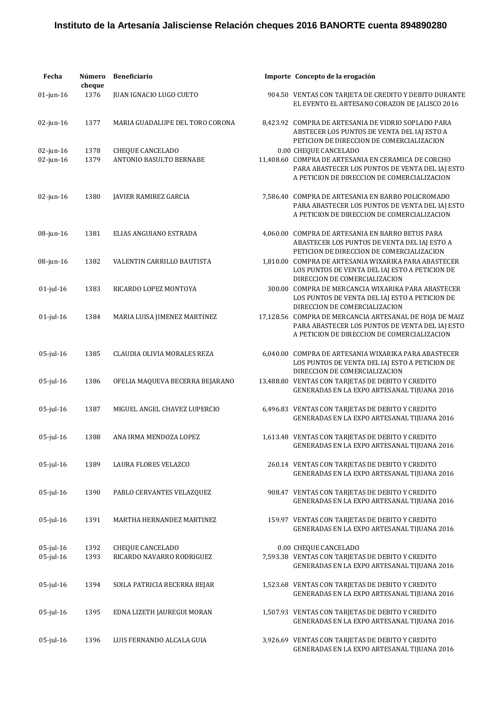| Fecha                        | Número<br>cheque | <b>Beneficiario</b>                         | Importe Concepto de la erogación                                                                                                                                               |
|------------------------------|------------------|---------------------------------------------|--------------------------------------------------------------------------------------------------------------------------------------------------------------------------------|
| $01$ -jun- $16$              | 1376             | JUAN IGNACIO LUGO CUETO                     | 904.50 VENTAS CON TARJETA DE CREDITO Y DEBITO DURANTE<br>EL EVENTO EL ARTESANO CORAZON DE JALISCO 2016                                                                         |
| $02$ -jun-16                 | 1377             | MARIA GUADALUPE DEL TORO CORONA             | 8,423.92 COMPRA DE ARTESANIA DE VIDRIO SOPLADO PARA<br>ABSTECER LOS PUNTOS DE VENTA DEL IAJ ESTO A<br>PETICION DE DIRECCION DE COMERCIALIZACION                                |
| $02$ -jun-16<br>$02$ -jun-16 | 1378<br>1379     | CHEQUE CANCELADO<br>ANTONIO BASULTO BERNABE | 0.00 CHEQUE CANCELADO<br>11,408.60 COMPRA DE ARTESANIA EN CERAMICA DE CORCHO<br>PARA ABASTECER LOS PUNTOS DE VENTA DEL IAJ ESTO<br>A PETICION DE DIRECCION DE COMERCIALIZACION |
| $02$ -jun-16                 | 1380             | JAVIER RAMIREZ GARCIA                       | 7,586.40 COMPRA DE ARTESANIA EN BARRO POLICROMADO<br>PARA ABASTECER LOS PUNTOS DE VENTA DEL IAJ ESTO<br>A PETICION DE DIRECCION DE COMERCIALIZACION                            |
| 08-jun-16                    | 1381             | ELIAS ANGUIANO ESTRADA                      | 4,060.00 COMPRA DE ARTESANIA EN BARRO BETUS PARA<br>ABASTECER LOS PUNTOS DE VENTA DEL IAJ ESTO A<br>PETICION DE DIRECCION DE COMERCIALIZACION                                  |
| 08-jun-16                    | 1382             | VALENTIN CARRILLO BAUTISTA                  | 1,810.00 COMPRA DE ARTESANIA WIXARIKA PARA ABASTECER<br>LOS PUNTOS DE VENTA DEL IAJ ESTO A PETICION DE<br>DIRECCION DE COMERCIALIZACION                                        |
| $01$ -jul-16                 | 1383             | RICARDO LOPEZ MONTOYA                       | 300.00 COMPRA DE MERCANCIA WIXARIKA PARA ABASTECER<br>LOS PUNTOS DE VENTA DEL IAJ ESTO A PETICION DE<br>DIRECCION DE COMERCIALIZACION                                          |
| $01$ -jul- $16$              | 1384             | MARIA LUISA JIMENEZ MARTINEZ                | 17,128.56 COMPRA DE MERCANCIA ARTESANAL DE HOJA DE MAIZ<br>PARA ABASTECER LOS PUNTOS DE VENTA DEL IAJ ESTO<br>A PETICION DE DIRECCION DE COMERCIALIZACION                      |
| $05$ -jul-16                 | 1385             | CLAUDIA OLIVIA MORALES REZA                 | 6,040.00 COMPRA DE ARTESANIA WIXARIKA PARA ABASTECER<br>LOS PUNTOS DE VENTA DEL IAJ ESTO A PETICION DE<br>DIRECCION DE COMERCIALIZACION                                        |
| $05$ -jul-16                 | 1386             | OFELIA MAQUEVA BECERRA BEJARANO             | 13,488.80 VENTAS CON TARJETAS DE DEBITO Y CREDITO<br>GENERADAS EN LA EXPO ARTESANAL TIJUANA 2016                                                                               |
| $05$ -jul-16                 | 1387             | MIGUEL ANGEL CHAVEZ LUPERCIO                | 6,496.83 VENTAS CON TARJETAS DE DEBITO Y CREDITO<br>GENERADAS EN LA EXPO ARTESANAL TIJUANA 2016                                                                                |
| $05$ -jul-16                 | 1388             | ANA IRMA MENDOZA LOPEZ                      | 1,613.48 VENTAS CON TARJETAS DE DEBITO Y CREDITO<br>GENERADAS EN LA EXPO ARTESANAL TIJUANA 2016                                                                                |
| $05$ -jul-16                 | 1389             | LAURA FLORES VELAZCO                        | 260.14 VENTAS CON TARJETAS DE DEBITO Y CREDITO<br>GENERADAS EN LA EXPO ARTESANAL TIJUANA 2016                                                                                  |
| $05$ -jul-16                 | 1390             | PABLO CERVANTES VELAZQUEZ                   | 908.47 VENTAS CON TARJETAS DE DEBITO Y CREDITO<br>GENERADAS EN LA EXPO ARTESANAL TIJUANA 2016                                                                                  |
| $05$ -jul-16                 | 1391             | MARTHA HERNANDEZ MARTINEZ                   | 159.97 VENTAS CON TARJETAS DE DEBITO Y CREDITO<br>GENERADAS EN LA EXPO ARTESANAL TIJUANA 2016                                                                                  |
| $05$ -jul-16                 | 1392             | CHEQUE CANCELADO                            | 0.00 CHEQUE CANCELADO                                                                                                                                                          |
| 05-jul-16                    | 1393             | RICARDO NAVARRO RODRIGUEZ                   | 7,593.38 VENTAS CON TARJETAS DE DEBITO Y CREDITO<br>GENERADAS EN LA EXPO ARTESANAL TIJUANA 2016                                                                                |
| $05$ -jul-16                 | 1394             | SOILA PATRICIA BECERRA BEJAR                | 1,523.68 VENTAS CON TARJETAS DE DEBITO Y CREDITO<br>GENERADAS EN LA EXPO ARTESANAL TIJUANA 2016                                                                                |
| $05$ -jul-16                 | 1395             | EDNA LIZETH JAUREGUI MORAN                  | 1,507.93 VENTAS CON TARJETAS DE DEBITO Y CREDITO<br>GENERADAS EN LA EXPO ARTESANAL TIJUANA 2016                                                                                |
| $05$ -jul-16                 | 1396             | LUIS FERNANDO ALCALA GUIA                   | 3,926.69 VENTAS CON TARJETAS DE DEBITO Y CREDITO<br>GENERADAS EN LA EXPO ARTESANAL TIJUANA 2016                                                                                |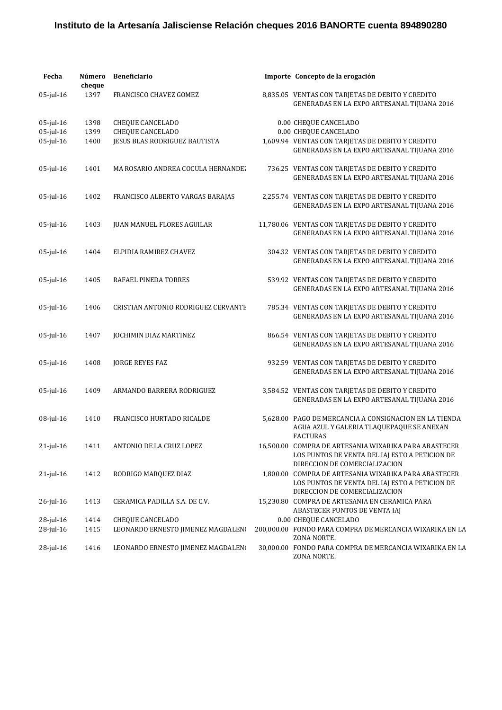| Fecha           | Número<br>cheque | <b>Beneficiario</b>                 | Importe Concepto de la erogación                                                                                                         |
|-----------------|------------------|-------------------------------------|------------------------------------------------------------------------------------------------------------------------------------------|
| $05$ -jul-16    | 1397             | FRANCISCO CHAVEZ GOMEZ              | 8,835.05 VENTAS CON TARJETAS DE DEBITO Y CREDITO<br>GENERADAS EN LA EXPO ARTESANAL TIJUANA 2016                                          |
| $05$ -jul-16    | 1398             | <b>CHEQUE CANCELADO</b>             | 0.00 CHEQUE CANCELADO                                                                                                                    |
| 05-jul-16       | 1399             | <b>CHEQUE CANCELADO</b>             | 0.00 CHEQUE CANCELADO                                                                                                                    |
| $05$ -jul-16    | 1400             | JESUS BLAS RODRIGUEZ BAUTISTA       | 1,609.94 VENTAS CON TARJETAS DE DEBITO Y CREDITO<br>GENERADAS EN LA EXPO ARTESANAL TIJUANA 2016                                          |
| $05$ -jul-16    | 1401             | MA ROSARIO ANDREA COCULA HERNANDEZ  | 736.25 VENTAS CON TARJETAS DE DEBITO Y CREDITO<br>GENERADAS EN LA EXPO ARTESANAL TIJUANA 2016                                            |
| $05$ -jul-16    | 1402             | FRANCISCO ALBERTO VARGAS BARAJAS    | 2,255.74 VENTAS CON TARJETAS DE DEBITO Y CREDITO<br>GENERADAS EN LA EXPO ARTESANAL TIJUANA 2016                                          |
| $05$ -jul-16    | 1403             | JUAN MANUEL FLORES AGUILAR          | 11,780.06 VENTAS CON TARJETAS DE DEBITO Y CREDITO<br>GENERADAS EN LA EXPO ARTESANAL TIJUANA 2016                                         |
| $05$ -jul-16    | 1404             | ELPIDIA RAMIREZ CHAVEZ              | 304.32 VENTAS CON TARJETAS DE DEBITO Y CREDITO<br>GENERADAS EN LA EXPO ARTESANAL TIJUANA 2016                                            |
| $05$ -jul-16    | 1405             | RAFAEL PINEDA TORRES                | 539.92 VENTAS CON TARJETAS DE DEBITO Y CREDITO<br>GENERADAS EN LA EXPO ARTESANAL TIJUANA 2016                                            |
| $05$ -jul-16    | 1406             | CRISTIAN ANTONIO RODRIGUEZ CERVANTE | 785.34 VENTAS CON TARJETAS DE DEBITO Y CREDITO<br>GENERADAS EN LA EXPO ARTESANAL TIJUANA 2016                                            |
| $05$ -jul-16    | 1407             | JOCHIMIN DIAZ MARTINEZ              | 866.54 VENTAS CON TARJETAS DE DEBITO Y CREDITO<br>GENERADAS EN LA EXPO ARTESANAL TIJUANA 2016                                            |
| $05$ -jul-16    | 1408             | <b>JORGE REYES FAZ</b>              | 932.59 VENTAS CON TARJETAS DE DEBITO Y CREDITO<br>GENERADAS EN LA EXPO ARTESANAL TIJUANA 2016                                            |
| $05$ -jul-16    | 1409             | ARMANDO BARRERA RODRIGUEZ           | 3,584.52 VENTAS CON TARJETAS DE DEBITO Y CREDITO<br>GENERADAS EN LA EXPO ARTESANAL TIJUANA 2016                                          |
| $08$ -jul-16    | 1410             | FRANCISCO HURTADO RICALDE           | 5.628.00 PAGO DE MERCANCIA A CONSIGNACION EN LA TIENDA<br>AGUA AZUL Y GALERIA TLAQUEPAQUE SE ANEXAN<br><b>FACTURAS</b>                   |
| $21$ -jul-16    | 1411             | ANTONIO DE LA CRUZ LOPEZ            | 16,500.00 COMPRA DE ARTESANIA WIXARIKA PARA ABASTECER<br>LOS PUNTOS DE VENTA DEL IAJ ESTO A PETICION DE<br>DIRECCION DE COMERCIALIZACION |
| $21$ -jul-16    | 1412             | RODRIGO MARQUEZ DIAZ                | 1.800.00 COMPRA DE ARTESANIA WIXARIKA PARA ABASTECER<br>LOS PUNTOS DE VENTA DEL IAJ ESTO A PETICION DE<br>DIRECCION DE COMERCIALIZACION  |
| $26$ -jul- $16$ | 1413             | CERAMICA PADILLA S.A. DE C.V.       | 15,230.80 COMPRA DE ARTESANIA EN CERAMICA PARA<br>ABASTECER PUNTOS DE VENTA IAJ                                                          |
| $28$ -jul-16    | 1414             | CHEQUE CANCELADO                    | 0.00 CHEQUE CANCELADO                                                                                                                    |
| 28-jul-16       | 1415             | LEONARDO ERNESTO JIMENEZ MAGDALENO  | 200,000.00 FONDO PARA COMPRA DE MERCANCIA WIXARIKA EN LA<br>ZONA NORTE.                                                                  |
| 28-jul-16       | 1416             | LEONARDO ERNESTO JIMENEZ MAGDALENO  | 30,000.00 FONDO PARA COMPRA DE MERCANCIA WIXARIKA EN LA<br>ZONA NORTE.                                                                   |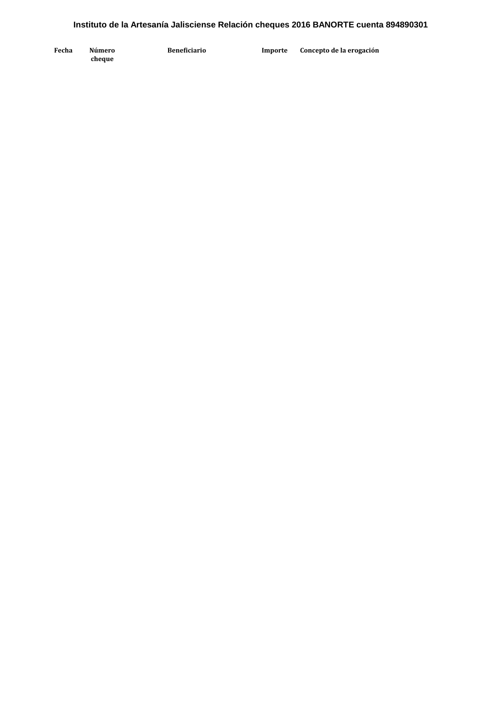**Fecha Número cheque Beneficiario Importe Concepto de la erogación**